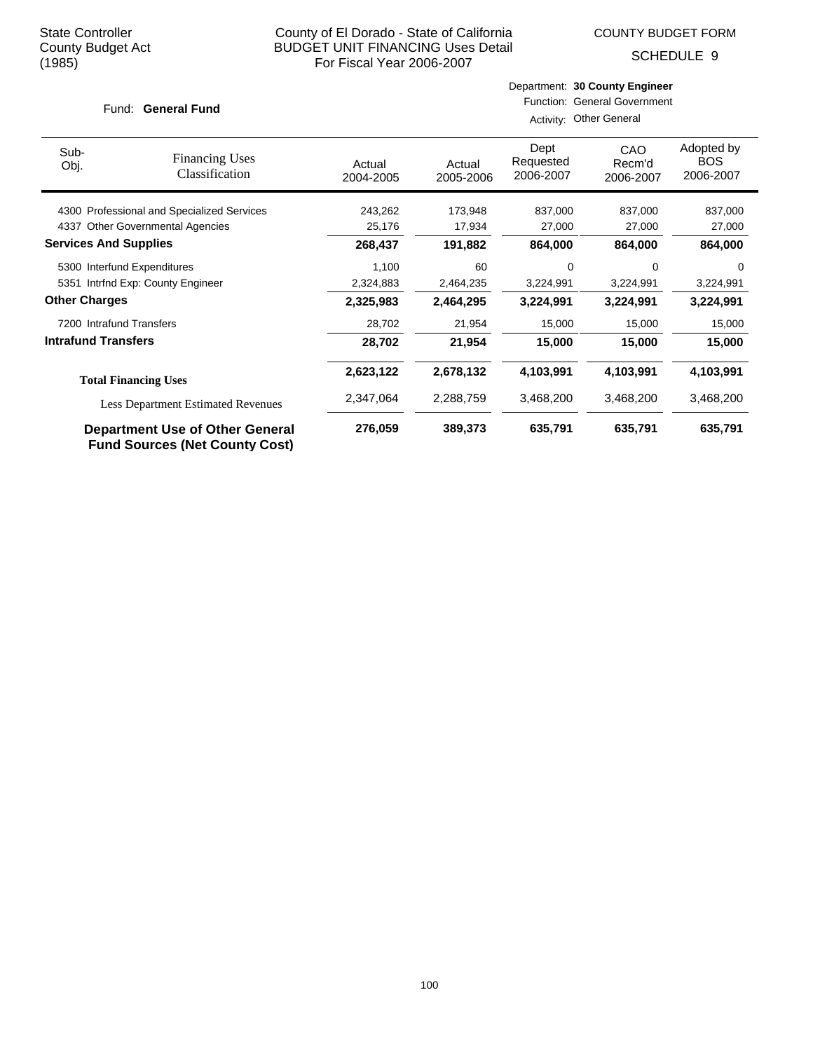SCHEDULE 9

#### Fund: General Fund

| Activity: Other General |  |
|-------------------------|--|
|                         |  |

| Sub-<br>Obj.                                                                    | <b>Financing Uses</b><br>Classification    | Actual<br>2004-2005 | Actual<br>2005-2006 | Dept<br>Requested<br>2006-2007 | CAO<br>Recm'd<br>2006-2007 | Adopted by<br><b>BOS</b><br>2006-2007 |
|---------------------------------------------------------------------------------|--------------------------------------------|---------------------|---------------------|--------------------------------|----------------------------|---------------------------------------|
|                                                                                 | 4300 Professional and Specialized Services | 243,262             | 173,948             | 837,000                        | 837,000                    | 837,000                               |
| 4337                                                                            | <b>Other Governmental Agencies</b>         | 25,176              | 17,934              | 27,000                         | 27,000                     | 27,000                                |
| <b>Services And Supplies</b>                                                    |                                            | 268,437             | 191,882             | 864,000                        | 864,000                    | 864,000                               |
|                                                                                 | 5300 Interfund Expenditures                | 1,100               | 60                  | 0                              | $\Omega$                   | $\Omega$                              |
|                                                                                 | 5351 Intrfnd Exp: County Engineer          | 2,324,883           | 2,464,235           | 3,224,991                      | 3,224,991                  | 3,224,991                             |
| <b>Other Charges</b>                                                            |                                            | 2,325,983           | 2,464,295           | 3,224,991                      | 3,224,991                  | 3,224,991                             |
| 7200 Intrafund Transfers                                                        |                                            | 28,702              | 21,954              | 15,000                         | 15,000                     | 15,000                                |
| <b>Intrafund Transfers</b>                                                      |                                            | 28,702              | 21,954              | 15,000                         | 15,000                     | 15,000                                |
|                                                                                 | <b>Total Financing Uses</b>                | 2,623,122           | 2,678,132           | 4,103,991                      | 4,103,991                  | 4,103,991                             |
| <b>Less Department Estimated Revenues</b>                                       |                                            | 2,347,064           | 2,288,759           | 3,468,200                      | 3,468,200                  | 3,468,200                             |
| <b>Department Use of Other General</b><br><b>Fund Sources (Net County Cost)</b> |                                            | 276,059             | 389,373             | 635,791                        | 635,791                    | 635,791                               |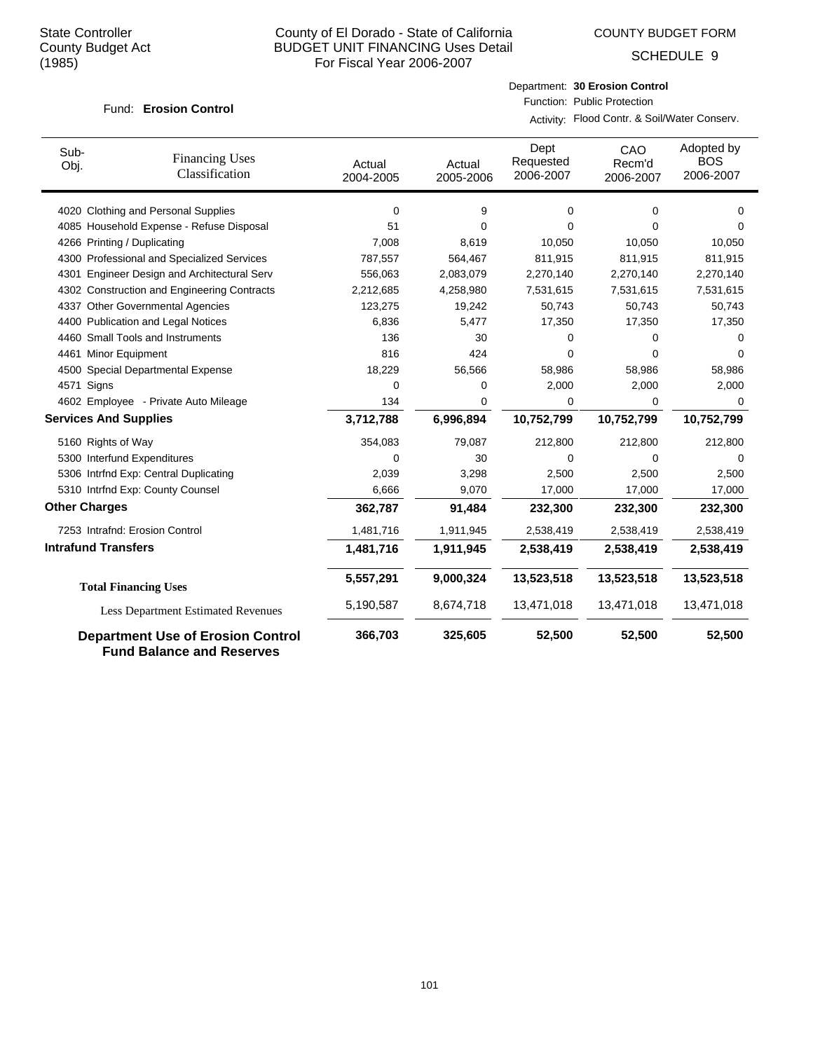COUNTY BUDGET FORM

SCHEDULE 9

#### **Erosion Control** Fund:

Department: **30 Erosion Control** Function: Public Protection

Activity: Flood Contr. & Soil/Water Conserv.

| Sub-<br>Obj.                 | <b>Financing Uses</b><br>Classification                                      | Actual<br>2004-2005 | Actual<br>2005-2006 | Dept<br>Requested<br>2006-2007 | CAO<br>Recm'd<br>2006-2007 | Adopted by<br><b>BOS</b><br>2006-2007 |
|------------------------------|------------------------------------------------------------------------------|---------------------|---------------------|--------------------------------|----------------------------|---------------------------------------|
|                              | 4020 Clothing and Personal Supplies                                          | $\mathbf 0$         | 9                   | 0                              | 0                          | 0                                     |
|                              | 4085 Household Expense - Refuse Disposal                                     | 51                  | 0                   | $\Omega$                       | 0                          | 0                                     |
| 4266 Printing / Duplicating  |                                                                              | 7,008               | 8,619               | 10,050                         | 10,050                     | 10,050                                |
|                              | 4300 Professional and Specialized Services                                   | 787,557             | 564,467             | 811,915                        | 811,915                    | 811,915                               |
|                              | 4301 Engineer Design and Architectural Serv                                  | 556,063             | 2,083,079           | 2,270,140                      | 2,270,140                  | 2,270,140                             |
|                              | 4302 Construction and Engineering Contracts                                  | 2,212,685           | 4,258,980           | 7,531,615                      | 7,531,615                  | 7,531,615                             |
|                              | 4337 Other Governmental Agencies                                             | 123,275             | 19,242              | 50,743                         | 50,743                     | 50,743                                |
|                              | 4400 Publication and Legal Notices                                           | 6,836               | 5,477               | 17,350                         | 17,350                     | 17,350                                |
|                              | 4460 Small Tools and Instruments                                             | 136                 | 30                  | 0                              | 0                          | 0                                     |
| 4461 Minor Equipment         |                                                                              | 816                 | 424                 | 0                              | 0                          | $\Omega$                              |
|                              | 4500 Special Departmental Expense                                            | 18,229              | 56,566              | 58,986                         | 58,986                     | 58,986                                |
| 4571 Signs                   |                                                                              | 0                   | 0                   | 2,000                          | 2,000                      | 2,000                                 |
|                              | 4602 Employee - Private Auto Mileage                                         | 134                 | 0                   | 0                              | $\Omega$                   | $\Omega$                              |
| <b>Services And Supplies</b> |                                                                              | 3,712,788           | 6,996,894           | 10,752,799                     | 10,752,799                 | 10,752,799                            |
| 5160 Rights of Way           |                                                                              | 354,083             | 79,087              | 212,800                        | 212,800                    | 212,800                               |
|                              | 5300 Interfund Expenditures                                                  | 0                   | 30                  | $\Omega$                       | 0                          | $\Omega$                              |
|                              | 5306 Intrfnd Exp: Central Duplicating                                        | 2,039               | 3,298               | 2,500                          | 2,500                      | 2,500                                 |
|                              | 5310 Intrfnd Exp: County Counsel                                             | 6,666               | 9,070               | 17,000                         | 17,000                     | 17,000                                |
| <b>Other Charges</b>         |                                                                              | 362,787             | 91,484              | 232,300                        | 232,300                    | 232,300                               |
|                              | 7253 Intrafnd: Erosion Control                                               | 1,481,716           | 1,911,945           | 2,538,419                      | 2,538,419                  | 2,538,419                             |
| <b>Intrafund Transfers</b>   |                                                                              | 1,481,716           | 1,911,945           | 2,538,419                      | 2,538,419                  | 2,538,419                             |
|                              | <b>Total Financing Uses</b>                                                  | 5,557,291           | 9,000,324           | 13,523,518                     | 13,523,518                 | 13,523,518                            |
|                              | <b>Less Department Estimated Revenues</b>                                    | 5,190,587           | 8,674,718           | 13,471,018                     | 13,471,018                 | 13,471,018                            |
|                              | <b>Department Use of Erosion Control</b><br><b>Fund Balance and Reserves</b> | 366,703             | 325,605             | 52,500                         | 52,500                     | 52,500                                |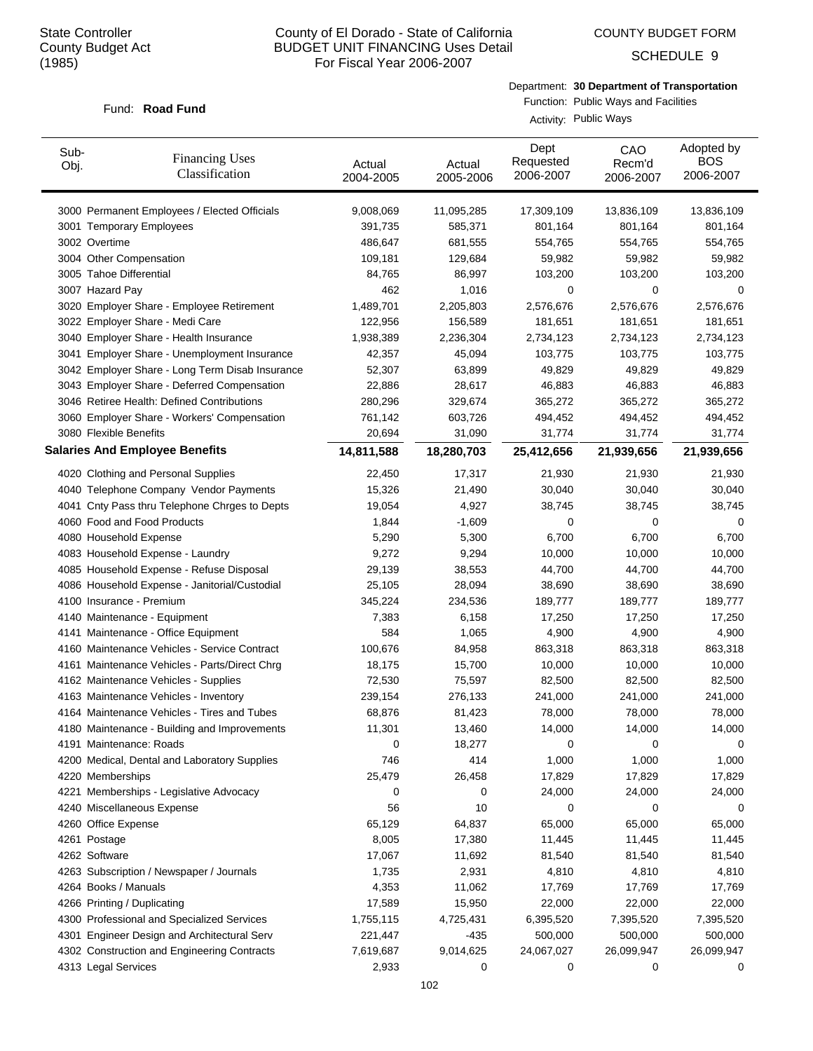COUNTY BUDGET FORM

SCHEDULE 9

## Department: **30 Department of Transportation**

#### Fund: Road Fund

Function: Public Ways and Facilities Activity: Public Ways

| Sub-<br>Obj. | <b>Financing Uses</b><br>Classification         | Actual<br>2004-2005 | Actual<br>2005-2006 | Dept<br>Requested<br>2006-2007 | CAO<br>Recm'd<br>2006-2007 | Adopted by<br><b>BOS</b><br>2006-2007 |
|--------------|-------------------------------------------------|---------------------|---------------------|--------------------------------|----------------------------|---------------------------------------|
|              | 3000 Permanent Employees / Elected Officials    | 9,008,069           | 11,095,285          | 17,309,109                     | 13,836,109                 | 13,836,109                            |
|              | 3001 Temporary Employees                        | 391,735             | 585,371             | 801,164                        | 801,164                    | 801,164                               |
|              | 3002 Overtime                                   | 486,647             | 681,555             | 554,765                        | 554,765                    | 554,765                               |
|              | 3004 Other Compensation                         | 109,181             | 129,684             | 59,982                         | 59,982                     | 59,982                                |
|              | 3005 Tahoe Differential                         | 84,765              | 86,997              | 103,200                        | 103,200                    | 103,200                               |
|              | 3007 Hazard Pay                                 | 462                 | 1,016               | 0                              | 0                          | 0                                     |
|              | 3020 Employer Share - Employee Retirement       | 1,489,701           | 2,205,803           | 2,576,676                      | 2,576,676                  | 2,576,676                             |
|              | 3022 Employer Share - Medi Care                 | 122,956             | 156,589             | 181,651                        | 181,651                    | 181,651                               |
|              | 3040 Employer Share - Health Insurance          | 1,938,389           | 2,236,304           | 2,734,123                      | 2,734,123                  | 2,734,123                             |
|              | 3041 Employer Share - Unemployment Insurance    | 42,357              | 45,094              | 103,775                        | 103,775                    | 103,775                               |
|              | 3042 Employer Share - Long Term Disab Insurance | 52,307              | 63,899              | 49,829                         | 49,829                     | 49,829                                |
|              | 3043 Employer Share - Deferred Compensation     | 22,886              | 28,617              | 46,883                         | 46,883                     | 46,883                                |
|              | 3046 Retiree Health: Defined Contributions      | 280,296             | 329,674             | 365,272                        | 365,272                    | 365,272                               |
|              | 3060 Employer Share - Workers' Compensation     | 761,142             | 603,726             | 494,452                        | 494,452                    | 494,452                               |
|              | 3080 Flexible Benefits                          | 20,694              | 31,090              | 31,774                         | 31,774                     | 31,774                                |
|              | <b>Salaries And Employee Benefits</b>           | 14,811,588          | 18,280,703          | 25,412,656                     | 21,939,656                 | 21,939,656                            |
|              | 4020 Clothing and Personal Supplies             | 22,450              | 17,317              | 21,930                         | 21,930                     | 21,930                                |
|              | 4040 Telephone Company Vendor Payments          | 15,326              | 21,490              | 30,040                         | 30,040                     | 30,040                                |
|              | 4041 Cnty Pass thru Telephone Chrges to Depts   | 19,054              | 4,927               | 38,745                         | 38,745                     | 38,745                                |
|              | 4060 Food and Food Products                     | 1,844               | $-1,609$            | 0                              | 0                          | 0                                     |
|              | 4080 Household Expense                          | 5,290               | 5,300               | 6,700                          | 6,700                      | 6,700                                 |
|              | 4083 Household Expense - Laundry                | 9,272               | 9,294               | 10,000                         | 10,000                     | 10,000                                |
|              | 4085 Household Expense - Refuse Disposal        | 29,139              | 38,553              | 44,700                         | 44,700                     | 44,700                                |
|              | 4086 Household Expense - Janitorial/Custodial   | 25,105              | 28,094              | 38,690                         | 38,690                     | 38,690                                |
|              | 4100 Insurance - Premium                        | 345,224             | 234,536             | 189,777                        | 189,777                    | 189,777                               |
|              | 4140 Maintenance - Equipment                    | 7,383               | 6,158               | 17,250                         | 17,250                     | 17,250                                |
|              | 4141 Maintenance - Office Equipment             | 584                 | 1,065               | 4,900                          | 4,900                      | 4,900                                 |
|              | 4160 Maintenance Vehicles - Service Contract    | 100,676             | 84,958              | 863,318                        | 863,318                    | 863,318                               |
|              | 4161 Maintenance Vehicles - Parts/Direct Chrg   | 18,175              | 15,700              | 10,000                         | 10,000                     | 10,000                                |
|              | 4162 Maintenance Vehicles - Supplies            | 72,530              | 75,597              | 82,500                         | 82,500                     | 82,500                                |
|              | 4163 Maintenance Vehicles - Inventory           | 239,154             | 276,133             | 241,000                        | 241,000                    | 241,000                               |
|              | 4164 Maintenance Vehicles - Tires and Tubes     | 68,876              | 81,423              | 78,000                         | 78,000                     | 78,000                                |
|              | 4180 Maintenance - Building and Improvements    | 11,301              | 13,460              | 14,000                         | 14,000                     | 14,000                                |
|              | 4191 Maintenance: Roads                         | 0                   | 18,277              | 0                              | 0                          | 0                                     |
|              | 4200 Medical, Dental and Laboratory Supplies    | 746                 | 414                 | 1,000                          | 1,000                      | 1,000                                 |
|              | 4220 Memberships                                | 25,479              | 26,458              | 17,829                         | 17,829                     | 17,829                                |
|              | 4221 Memberships - Legislative Advocacy         | 0                   | 0                   | 24,000                         | 24,000                     | 24,000                                |
|              | 4240 Miscellaneous Expense                      | 56                  | 10                  | 0                              | 0                          | 0                                     |
|              | 4260 Office Expense                             | 65,129              | 64,837              | 65,000                         | 65,000                     | 65,000                                |
|              | 4261 Postage                                    | 8,005               | 17,380              | 11,445                         | 11,445                     | 11,445                                |
|              | 4262 Software                                   | 17,067              | 11,692              | 81,540                         | 81,540                     | 81,540                                |
|              | 4263 Subscription / Newspaper / Journals        | 1,735               | 2,931               | 4,810                          | 4,810                      | 4,810                                 |
|              | 4264 Books / Manuals                            | 4,353               | 11,062              | 17,769                         | 17,769                     | 17,769                                |
|              | 4266 Printing / Duplicating                     | 17,589              | 15,950              | 22,000                         | 22,000                     | 22,000                                |
|              | 4300 Professional and Specialized Services      | 1,755,115           | 4,725,431           | 6,395,520                      | 7,395,520                  | 7,395,520                             |
|              | 4301 Engineer Design and Architectural Serv     | 221,447             | -435                | 500,000                        | 500,000                    | 500,000                               |
|              | 4302 Construction and Engineering Contracts     | 7,619,687           | 9,014,625           | 24,067,027                     | 26,099,947                 | 26,099,947                            |
|              | 4313 Legal Services                             | 2,933               | 0                   | 0                              | 0                          | 0                                     |
|              |                                                 |                     |                     |                                |                            |                                       |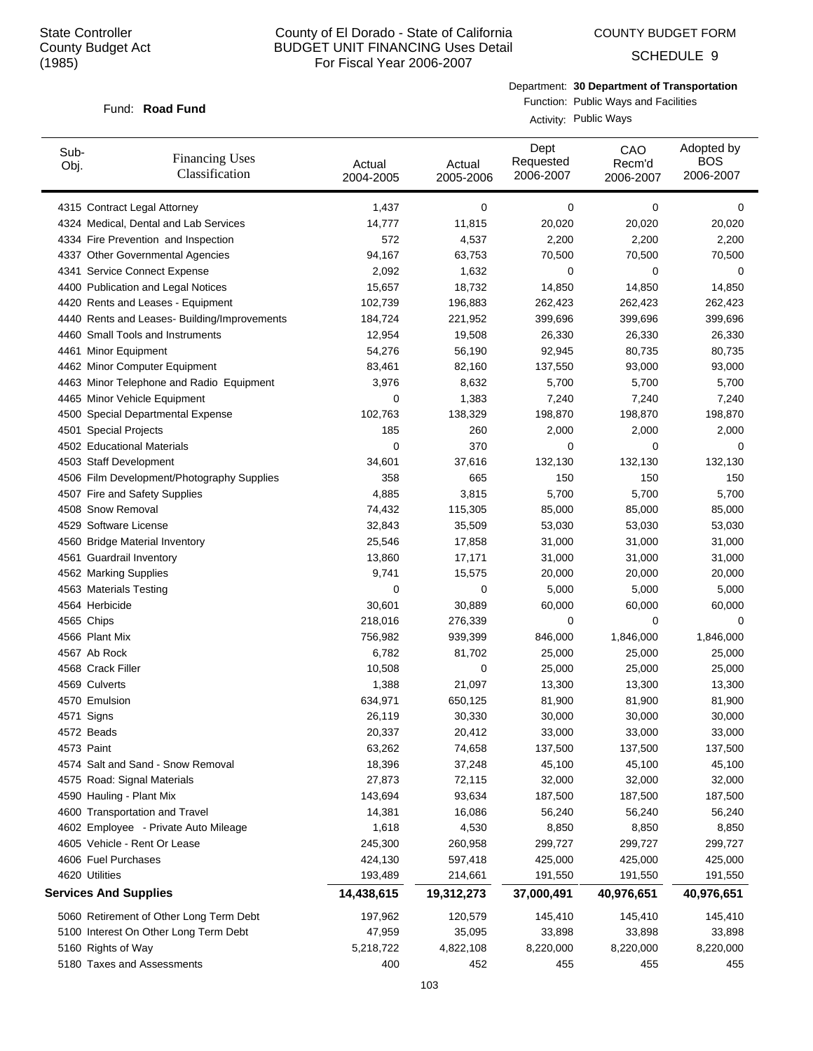COUNTY BUDGET FORM

SCHEDULE 9

Department: **30 Department of Transportation**

#### Fund: Road Fund

Function: Public Ways and Facilities Activity: Public Ways

| Sub-<br>Obj. | <b>Financing Uses</b><br>Classification      | Actual<br>2004-2005 | Actual<br>2005-2006 | Dept<br>Requested<br>2006-2007 | CAO<br>Recm'd<br>2006-2007 | Adopted by<br><b>BOS</b><br>2006-2007 |
|--------------|----------------------------------------------|---------------------|---------------------|--------------------------------|----------------------------|---------------------------------------|
|              | 4315 Contract Legal Attorney                 | 1,437               | 0                   | 0                              | 0                          | 0                                     |
|              | 4324 Medical, Dental and Lab Services        | 14,777              | 11,815              | 20,020                         | 20,020                     | 20,020                                |
|              | 4334 Fire Prevention and Inspection          | 572                 | 4,537               | 2,200                          | 2,200                      | 2,200                                 |
|              | 4337 Other Governmental Agencies             | 94,167              | 63,753              | 70,500                         | 70,500                     | 70,500                                |
|              | 4341 Service Connect Expense                 | 2,092               | 1,632               | 0                              | 0                          | 0                                     |
|              | 4400 Publication and Legal Notices           | 15,657              | 18,732              | 14,850                         | 14,850                     | 14,850                                |
|              | 4420 Rents and Leases - Equipment            | 102,739             | 196,883             | 262,423                        | 262,423                    | 262,423                               |
|              | 4440 Rents and Leases- Building/Improvements | 184,724             | 221,952             | 399,696                        | 399,696                    | 399,696                               |
|              | 4460 Small Tools and Instruments             | 12,954              | 19,508              | 26,330                         | 26,330                     | 26,330                                |
|              | 4461 Minor Equipment                         | 54,276              | 56,190              | 92,945                         | 80,735                     | 80,735                                |
|              | 4462 Minor Computer Equipment                | 83,461              | 82,160              | 137,550                        | 93,000                     | 93,000                                |
|              | 4463 Minor Telephone and Radio Equipment     | 3,976               | 8,632               | 5,700                          | 5,700                      | 5,700                                 |
|              | 4465 Minor Vehicle Equipment                 | 0                   | 1,383               | 7,240                          | 7,240                      | 7,240                                 |
|              | 4500 Special Departmental Expense            | 102,763             | 138,329             | 198,870                        | 198,870                    | 198,870                               |
|              | 4501 Special Projects                        | 185                 | 260                 | 2,000                          | 2,000                      | 2,000                                 |
|              | 4502 Educational Materials                   | 0                   | 370                 | 0                              | 0                          | 0                                     |
|              | 4503 Staff Development                       | 34,601              | 37,616              | 132,130                        | 132,130                    | 132,130                               |
|              | 4506 Film Development/Photography Supplies   | 358                 | 665                 | 150                            | 150                        | 150                                   |
|              | 4507 Fire and Safety Supplies                | 4,885               | 3,815               | 5,700                          | 5,700                      | 5,700                                 |
|              | 4508 Snow Removal                            | 74,432              | 115,305             | 85,000                         | 85,000                     | 85,000                                |
|              | 4529 Software License                        | 32,843              | 35,509              | 53,030                         | 53,030                     | 53,030                                |
|              | 4560 Bridge Material Inventory               | 25,546              | 17,858              | 31,000                         | 31,000                     | 31,000                                |
|              | 4561 Guardrail Inventory                     | 13,860              | 17,171              | 31,000                         | 31,000                     | 31,000                                |
|              | 4562 Marking Supplies                        | 9,741               | 15,575              | 20,000                         | 20,000                     | 20,000                                |
|              | 4563 Materials Testing                       | 0                   | 0                   | 5,000                          | 5,000                      | 5,000                                 |
|              | 4564 Herbicide                               | 30,601              | 30,889              | 60,000                         | 60,000                     | 60,000                                |
|              | 4565 Chips                                   | 218,016             | 276,339             | 0                              | $\mathbf 0$                | 0                                     |
|              | 4566 Plant Mix                               | 756,982             | 939,399             | 846,000                        | 1,846,000                  | 1,846,000                             |
|              | 4567 Ab Rock                                 | 6,782               | 81,702              | 25,000                         | 25,000                     | 25,000                                |
|              | 4568 Crack Filler                            | 10,508              | 0                   | 25,000                         | 25,000                     | 25,000                                |
|              | 4569 Culverts                                | 1,388               | 21,097              | 13,300                         | 13,300                     | 13,300                                |
|              | 4570 Emulsion                                | 634,971             | 650,125             | 81,900                         | 81,900                     | 81,900                                |
|              | 4571 Signs                                   | 26,119              | 30,330              | 30,000                         | 30,000                     | 30,000                                |
|              | 4572 Beads                                   | 20,337              | 20,412              | 33,000                         | 33,000                     | 33,000                                |
|              | 4573 Paint                                   | 63,262              | 74,658              | 137,500                        | 137,500                    | 137,500                               |
|              | 4574 Salt and Sand - Snow Removal            | 18,396              | 37,248              | 45,100                         | 45,100                     | 45,100                                |
|              | 4575 Road: Signal Materials                  | 27,873              | 72,115              | 32,000                         | 32,000                     | 32,000                                |
|              | 4590 Hauling - Plant Mix                     | 143,694             | 93,634              | 187,500                        | 187,500                    | 187,500                               |
|              | 4600 Transportation and Travel               | 14,381              | 16,086              | 56,240                         | 56,240                     | 56,240                                |
|              | 4602 Employee - Private Auto Mileage         | 1,618               | 4,530               | 8,850                          | 8,850                      | 8,850                                 |
|              | 4605 Vehicle - Rent Or Lease                 | 245,300             | 260,958             | 299,727                        | 299,727                    | 299,727                               |
|              | 4606 Fuel Purchases                          | 424,130             | 597,418             | 425,000                        | 425,000                    | 425,000                               |
|              | 4620 Utilities                               | 193,489             | 214,661             | 191,550                        | 191,550                    | 191,550                               |
|              | <b>Services And Supplies</b>                 | 14,438,615          | 19,312,273          | 37,000,491                     | 40,976,651                 | 40,976,651                            |
|              | 5060 Retirement of Other Long Term Debt      | 197,962             | 120,579             | 145,410                        | 145,410                    | 145,410                               |
|              | 5100 Interest On Other Long Term Debt        | 47,959              | 35,095              | 33,898                         | 33,898                     | 33,898                                |
|              | 5160 Rights of Way                           | 5,218,722           | 4,822,108           | 8,220,000                      | 8,220,000                  | 8,220,000                             |
|              | 5180 Taxes and Assessments                   | 400                 | 452                 | 455                            | 455                        | 455                                   |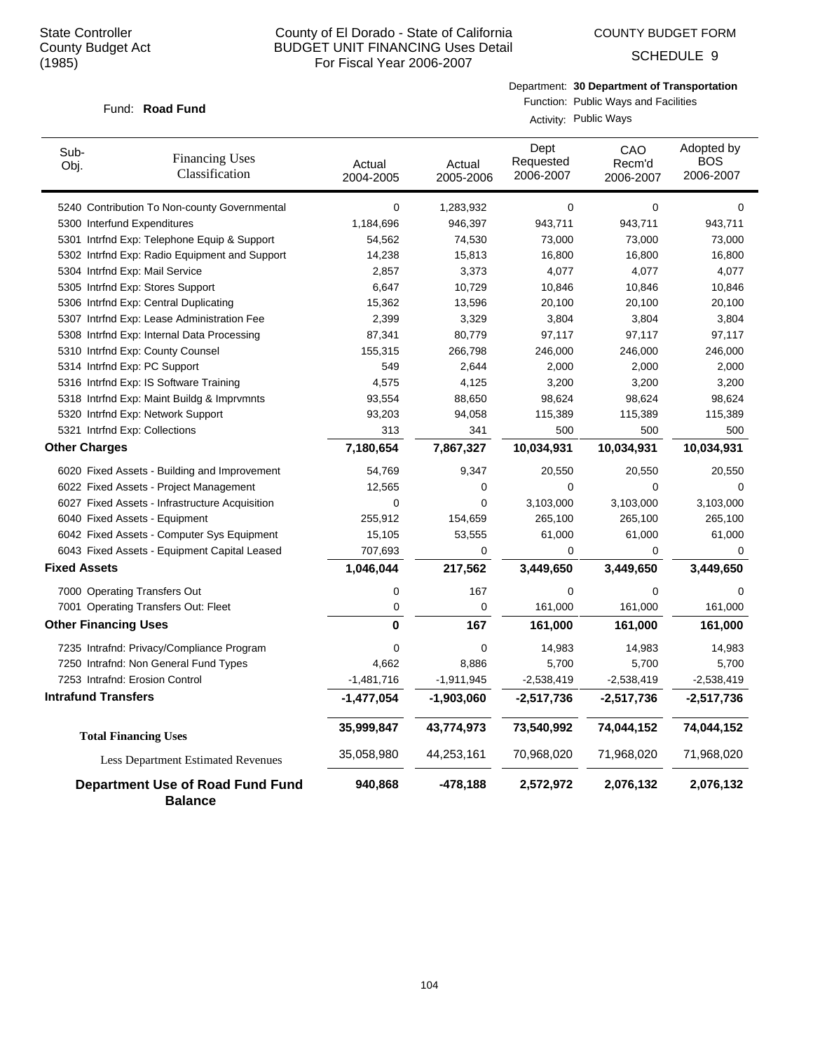COUNTY BUDGET FORM

SCHEDULE 9

Department: **30 Department of Transportation**

#### Fund: Road Fund

Function: Public Ways and Facilities Activity: Public Ways

| Sub-<br>Obj.        | <b>Financing Uses</b><br>Classification                   | Actual<br>2004-2005 | Actual<br>2005-2006 | Dept<br>Requested<br>2006-2007 | CAO<br>Recm'd<br>2006-2007 | Adopted by<br><b>BOS</b><br>2006-2007 |
|---------------------|-----------------------------------------------------------|---------------------|---------------------|--------------------------------|----------------------------|---------------------------------------|
|                     | 5240 Contribution To Non-county Governmental              | $\mathbf 0$         | 1,283,932           | $\mathbf 0$                    | $\mathbf 0$                | $\mathbf 0$                           |
|                     | 5300 Interfund Expenditures                               | 1,184,696           | 946,397             | 943,711                        | 943,711                    | 943,711                               |
|                     | 5301 Intrind Exp: Telephone Equip & Support               | 54,562              | 74,530              | 73,000                         | 73,000                     | 73,000                                |
|                     | 5302 Intrfnd Exp: Radio Equipment and Support             | 14,238              | 15,813              | 16,800                         | 16,800                     | 16,800                                |
|                     | 5304 Intrfnd Exp: Mail Service                            | 2,857               | 3,373               | 4,077                          | 4,077                      | 4,077                                 |
|                     | 5305 Intrfnd Exp: Stores Support                          | 6,647               | 10,729              | 10,846                         | 10,846                     | 10,846                                |
|                     | 5306 Intrfnd Exp: Central Duplicating                     | 15,362              | 13,596              | 20,100                         | 20,100                     | 20,100                                |
|                     | 5307 Intrfnd Exp: Lease Administration Fee                | 2,399               | 3,329               | 3,804                          | 3,804                      | 3,804                                 |
|                     | 5308 Intrfnd Exp: Internal Data Processing                | 87,341              | 80,779              | 97,117                         | 97,117                     | 97,117                                |
|                     | 5310 Intrfnd Exp: County Counsel                          | 155,315             | 266,798             | 246,000                        | 246,000                    | 246,000                               |
|                     | 5314 Intrfnd Exp: PC Support                              | 549                 | 2,644               | 2,000                          | 2,000                      | 2,000                                 |
|                     | 5316 Intrfnd Exp: IS Software Training                    | 4,575               | 4,125               | 3,200                          | 3,200                      | 3,200                                 |
|                     | 5318 Intrind Exp: Maint Buildg & Imprymnts                | 93,554              | 88,650              | 98,624                         | 98,624                     | 98,624                                |
|                     | 5320 Intrfnd Exp: Network Support                         | 93,203              | 94,058              | 115,389                        | 115,389                    | 115,389                               |
|                     | 5321 Intrfnd Exp: Collections                             | 313                 | 341                 | 500                            | 500                        | 500                                   |
|                     | <b>Other Charges</b>                                      | 7,180,654           | 7,867,327           | 10,034,931                     | 10,034,931                 | 10,034,931                            |
|                     | 6020 Fixed Assets - Building and Improvement              | 54,769              | 9,347               | 20,550                         | 20,550                     | 20,550                                |
|                     | 6022 Fixed Assets - Project Management                    | 12,565              | 0                   | 0                              | $\mathbf 0$                | 0                                     |
|                     | 6027 Fixed Assets - Infrastructure Acquisition            | 0                   | 0                   | 3,103,000                      | 3,103,000                  | 3,103,000                             |
|                     | 6040 Fixed Assets - Equipment                             | 255,912             | 154,659             | 265,100                        | 265,100                    | 265,100                               |
|                     | 6042 Fixed Assets - Computer Sys Equipment                | 15,105              | 53,555              | 61,000                         | 61,000                     | 61,000                                |
|                     | 6043 Fixed Assets - Equipment Capital Leased              | 707,693             | 0                   | 0                              | $\mathbf 0$                | 0                                     |
| <b>Fixed Assets</b> |                                                           | 1,046,044           | 217,562             | 3,449,650                      | 3,449,650                  | 3,449,650                             |
|                     | 7000 Operating Transfers Out                              | $\mathbf 0$         | 167                 | 0                              | $\mathbf 0$                | 0                                     |
|                     | 7001 Operating Transfers Out: Fleet                       | 0                   | 0                   | 161,000                        | 161,000                    | 161,000                               |
|                     | <b>Other Financing Uses</b>                               | $\mathbf{0}$        | 167                 | 161,000                        | 161,000                    | 161,000                               |
|                     | 7235 Intrafnd: Privacy/Compliance Program                 | 0                   | 0                   | 14,983                         | 14,983                     | 14,983                                |
|                     | 7250 Intrafnd: Non General Fund Types                     | 4,662               | 8,886               | 5,700                          | 5,700                      | 5,700                                 |
|                     | 7253 Intrafnd: Erosion Control                            | $-1,481,716$        | $-1,911,945$        | $-2,538,419$                   | $-2,538,419$               | $-2,538,419$                          |
|                     | <b>Intrafund Transfers</b>                                | $-1,477,054$        | $-1,903,060$        | $-2,517,736$                   | $-2,517,736$               | $-2,517,736$                          |
|                     | <b>Total Financing Uses</b>                               | 35,999,847          | 43,774,973          | 73,540,992                     | 74,044,152                 | 74,044,152                            |
|                     | Less Department Estimated Revenues                        | 35,058,980          | 44,253,161          | 70,968,020                     | 71,968,020                 | 71,968,020                            |
|                     | <b>Department Use of Road Fund Fund</b><br><b>Balance</b> | 940,868             | -478,188            | 2,572,972                      | 2,076,132                  | 2,076,132                             |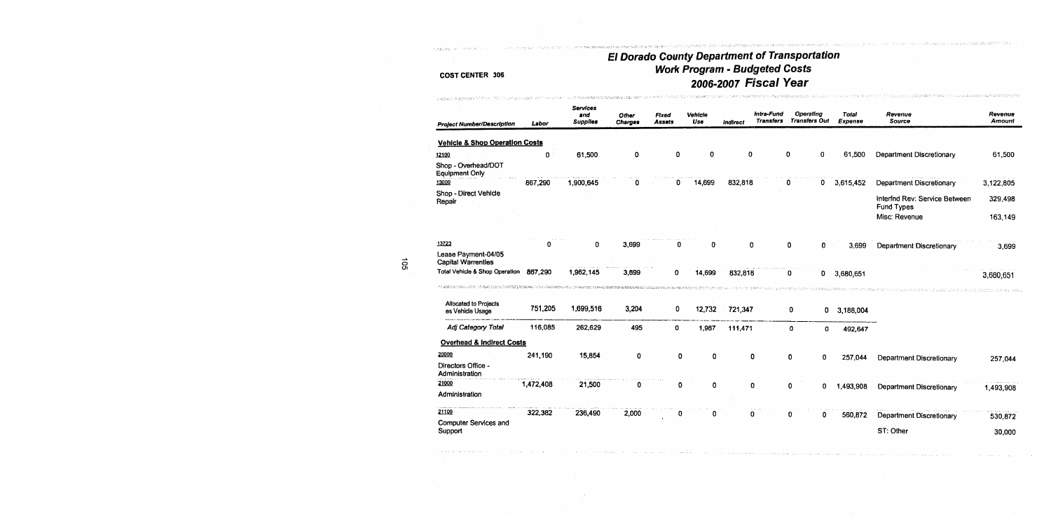.<br>До на суданије доден до 1. био и судани до сд<del>ен суд</del>аат на своја се стопан

.<br>In considerable and the construction of the construction of the construction of the construction of the construction of the construction of the construction of the construction of the construction of the construction of

| S ADAMAD, DISESPENDE TO DA CON LOS DE SEU DE SUS SUBSTANCES DE PRESENTA DE SU SUA FIX                                                                                                                                                                            |           | un de regelerativamente di M              |                         |                 |                |                 |                                       |                                   |                         |                                             |                          |
|------------------------------------------------------------------------------------------------------------------------------------------------------------------------------------------------------------------------------------------------------------------|-----------|-------------------------------------------|-------------------------|-----------------|----------------|-----------------|---------------------------------------|-----------------------------------|-------------------------|---------------------------------------------|--------------------------|
| <b>Project Number/Description</b>                                                                                                                                                                                                                                | Labor     | <b>Services</b><br>and<br><b>Supplies</b> | Other<br><b>Charges</b> | Fixed<br>Assets | Vehicle<br>Use | <b>Indirect</b> | <b>Intra-Fund</b><br><b>Transfers</b> | Operating<br><b>Transfers Out</b> | <b>Total</b><br>Expense | Revenue<br><b>Source</b>                    | Revenue<br><b>Amount</b> |
| <b>Vehicle &amp; Shop Operation Costs</b>                                                                                                                                                                                                                        |           |                                           |                         |                 |                |                 |                                       |                                   |                         |                                             |                          |
| 12100                                                                                                                                                                                                                                                            | 0         | 61,500                                    | 0                       | 0               | 0              | 0               |                                       | 0<br>0                            | 61,500                  | Department Discretionary                    | 61,500                   |
| Shop - Overhead/DOT<br><b>Equipment Only</b>                                                                                                                                                                                                                     |           |                                           |                         |                 |                |                 |                                       |                                   |                         |                                             |                          |
| 13000                                                                                                                                                                                                                                                            | 867,290   | 1,900,645                                 |                         | 0               | 14,699         | 832,818         |                                       | 0<br>0                            | 3,615,452               | Department Discretionary                    | 3,122,805                |
| Shop - Direct Vehicle<br>Repair                                                                                                                                                                                                                                  |           |                                           |                         |                 |                |                 |                                       |                                   |                         | Interfnd Rev: Service Between<br>Fund Types | 329,498                  |
|                                                                                                                                                                                                                                                                  |           |                                           |                         |                 |                |                 |                                       |                                   |                         | Misc: Revenue                               | 163,149                  |
| 13723                                                                                                                                                                                                                                                            | n         | 0                                         | 3,699                   | 0               | 0              | 0               |                                       | 0<br>0                            | 3.699                   | Department Discretionary                    | 3,699                    |
| Lease Payment-04/05<br><b>Capital Warrenties</b>                                                                                                                                                                                                                 |           |                                           |                         |                 |                |                 |                                       |                                   |                         |                                             |                          |
| Total Vehicle & Shop Operation<br>A COMPARATION OF THE THE FREE OF THE TRANSPORTED TO THE TRANSPORT THE COMPARATION OF THE COMPART TO THE TRANSPORTED TO THE TRANSPORTED TO THE TRANSPORTED TO THE TRANSPORTED TO THE TRANSPORTED TO THE TRANSPORTED TO THE TRAN | 867,290   | 1,962,145                                 | 3,699                   | 0               | 14,699         | 832,818         |                                       | 0<br>0                            | 3,680,651               |                                             | 3,680,651                |
| Allocated to Projects<br>es Vehicle Usage                                                                                                                                                                                                                        | 751,205   | 1,699,516                                 | 3,204                   | 0               | 12,732         | 721,347         |                                       | 0<br>0                            | 3,188,004               |                                             |                          |
| Adj Category Total                                                                                                                                                                                                                                               | 116,085   | 262,629                                   | 495                     | 0               | 1,967          | 111,471         |                                       | 0<br>o                            | 492,647                 |                                             |                          |
| <b>Overhead &amp; Indirect Costs</b>                                                                                                                                                                                                                             |           |                                           |                         |                 |                |                 |                                       |                                   |                         |                                             |                          |
| 20000                                                                                                                                                                                                                                                            | 241,190   | 15,854                                    | 0                       | 0               | 0              | 0               |                                       | 0<br>0                            | 257.044                 | Department Discretionary                    | 257,044                  |
| Directors Office -<br>Administration                                                                                                                                                                                                                             |           |                                           |                         |                 |                |                 |                                       |                                   |                         |                                             |                          |
| 21000                                                                                                                                                                                                                                                            | 1,472,408 | 21,500                                    | 0                       | 0               | 0              | 0               |                                       | 0<br>0                            | 1,493,908               | Department Discretionary                    | 1,493,908                |
| Administration                                                                                                                                                                                                                                                   |           |                                           |                         |                 |                |                 |                                       |                                   |                         |                                             |                          |
| 21100                                                                                                                                                                                                                                                            | 322,382   | 236,490                                   | 2,000                   | o               | O              | n               |                                       | 0<br>0                            | 560,872                 | Department Discretionary                    | 530,872                  |
| Computer Services and                                                                                                                                                                                                                                            |           |                                           |                         |                 |                |                 |                                       |                                   |                         |                                             |                          |
| Support                                                                                                                                                                                                                                                          |           |                                           |                         |                 |                |                 |                                       |                                   |                         | ST: Other                                   | 30,000                   |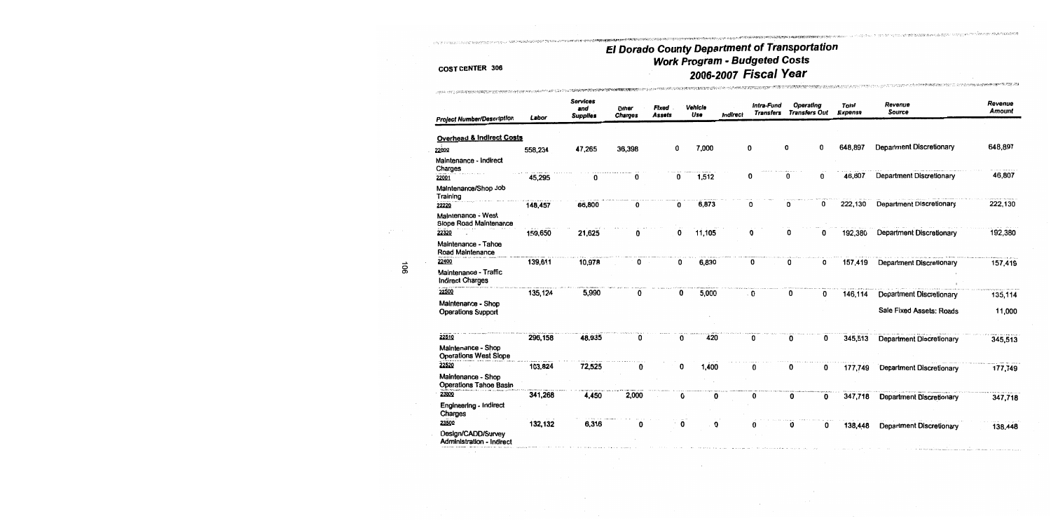**COUNTRIES OF THE UNION AND COUNTRY OF THE COUNTRY OF THE U** 

BROWN CARD TO A CONSTRUCT OF CONTRACTOR OR COMPANY TO A CONSTRUCT WE CARD TO A CONSTRUCT OF THE CONTRACTOR

## **COST CENTER 306**

man kata kata mana aka kata sa sa sa

| <b>Project Number/Description</b>                      | Labor   | <b>Services</b><br>and<br><b>Supplies</b> | Other<br><b>Charges</b> | Fixed<br><b>Assets</b> | Vehicle<br>Use | Indirect | Intra-Fund<br><b>Transfers</b> | Operating<br><b>Transfers Out</b> | Total<br>Expense | Revenue<br><b>Source</b>        | Revenue<br>Amount |
|--------------------------------------------------------|---------|-------------------------------------------|-------------------------|------------------------|----------------|----------|--------------------------------|-----------------------------------|------------------|---------------------------------|-------------------|
|                                                        |         |                                           |                         |                        |                |          |                                |                                   |                  |                                 |                   |
| <b>Overhead &amp; Indirect Costs</b>                   |         |                                           |                         |                        |                |          |                                |                                   |                  |                                 |                   |
| 22000                                                  | 558,234 | 47,265                                    | 36,398                  |                        | 7,000<br>0     |          | 0                              | 0<br>0                            | 648,897          | <b>Department Discretionary</b> | 648,897           |
| Maintenance - Indirect<br>Charges                      |         |                                           |                         |                        |                |          |                                |                                   |                  |                                 |                   |
| 22001                                                  | 45,295  | o                                         | 0                       |                        | 1,512<br>o     |          | 0                              | 0<br>0                            | 46,807           | <b>Department Discretionary</b> | 46,807            |
| Maintenance/Shop Job<br>Training                       |         |                                           |                         |                        |                |          |                                |                                   |                  |                                 |                   |
| 22220                                                  | 148,457 | 66,800                                    | 0                       |                        | 6,873<br>0     |          | 0                              | 0<br>n                            | 222,130          | <b>Department Discretionary</b> | 222,130           |
| Maintenance - West<br>Slope Road Maintenance           |         |                                           |                         |                        |                |          |                                |                                   |                  |                                 |                   |
| 22320                                                  | 159,650 | 21,625                                    |                         |                        | 11,105<br>0    |          |                                | 0<br>O                            | 192,380          | <b>Department Discretionary</b> | 192,380           |
| Maintenance - Tahoe<br>Road Maintenance                |         |                                           |                         |                        |                |          |                                |                                   |                  |                                 |                   |
| 22400                                                  | 139,611 | 10,978                                    | 0                       |                        | 6,830<br>0     |          | 0                              | 0<br>0                            | 157,419          | <b>Department Discretionary</b> | 157,419           |
| Maintenance - Traffic<br><b>Indirect Charges</b>       |         |                                           |                         |                        |                |          |                                |                                   |                  |                                 |                   |
| 22500                                                  | 135,124 | 5,990                                     | 0                       |                        | 5,000<br>0     |          | 0                              | 0<br>0                            | 146,114          | Department Discretionary        | 135,114           |
| Maintenance - Shop<br><b>Operations Support</b>        |         |                                           |                         |                        |                |          |                                |                                   |                  | Sale Fixed Assets: Roads        | 11,000            |
| 22510                                                  | 296,158 | 48,935                                    | 0                       |                        | 420<br>0       |          | 0                              | 0<br>0                            | 345,513          | <b>Department Discretionary</b> | 345,513           |
| Maintenance - Shop<br><b>Operations West Slope</b>     |         |                                           |                         |                        |                |          |                                |                                   |                  |                                 |                   |
| 22520                                                  | 103,824 | 72,525                                    | 0                       |                        | 1,400<br>0     |          | 0                              | 0<br>0                            | 177,749          | <b>Department Discretionary</b> | 177,749           |
| Maintenance - Shop<br><b>Operations Tahoe Basin</b>    |         |                                           |                         |                        |                |          |                                |                                   |                  |                                 |                   |
| 23000                                                  | 341,268 | 4,450                                     | 2,000                   |                        | 0<br>0         |          | 0                              | O<br>0                            | 347,718          | <b>Department Discretionary</b> | 347,718           |
| Engineering - Indirect<br>Charges                      |         |                                           |                         |                        |                |          |                                |                                   |                  |                                 |                   |
| 23500                                                  | 132,132 | 6,316                                     | 0                       |                        | 0<br>0         |          |                                | 0<br>0                            | 138,448          | <b>Department Discretionary</b> | 138,448           |
| Design/CADD/Survey<br><b>Administration - Indirect</b> |         |                                           |                         |                        |                |          |                                |                                   |                  |                                 |                   |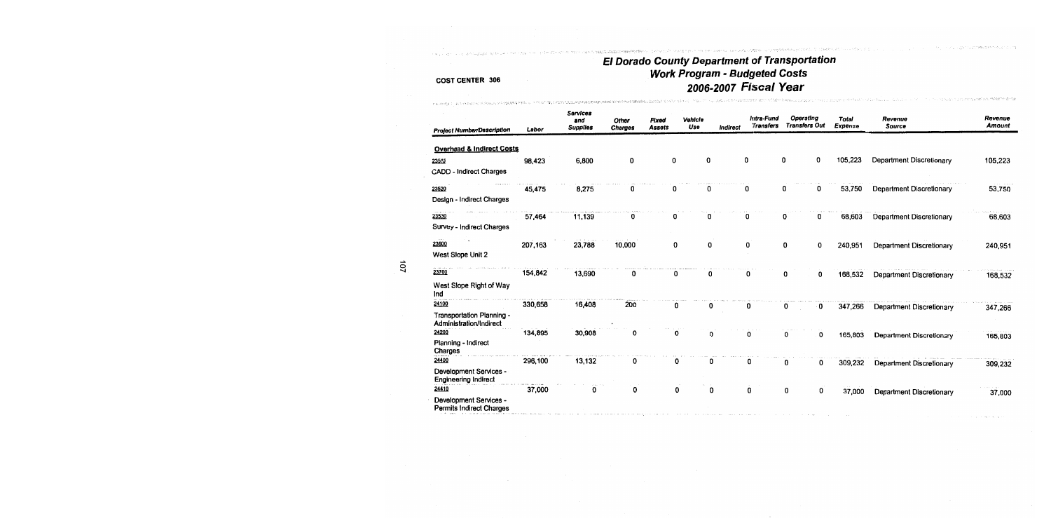The Content books in the

- 1999年10月19日,日本人民主义学家的一个人的人的人的人的人的人,但是在一个人的人的人,

## **COST CENTER 306**

THE ROOSER CLASS OF PARTICULAR STOCKING ON A SCAPE A POST O

| <b>Project Number/Description</b>                         | Labor   | <b>Services</b><br>and<br>Supplies | Other<br>Charges | Fixed<br><b>Assets</b> | Vehicle<br>Use | Indirect | Intra-Fund<br><b>Transfers</b> | Operating<br><b>Transfers Out</b> | <b>Total</b><br>Expense | Revenue<br>Source               | Revenue<br><b>Amount</b> |
|-----------------------------------------------------------|---------|------------------------------------|------------------|------------------------|----------------|----------|--------------------------------|-----------------------------------|-------------------------|---------------------------------|--------------------------|
|                                                           |         |                                    |                  |                        |                |          |                                |                                   |                         |                                 |                          |
| <b>Overhead &amp; Indirect Costs</b>                      |         |                                    |                  |                        |                |          |                                |                                   |                         |                                 |                          |
| 23510                                                     | 98,423  | 6,800                              | O                | 0                      | 0              |          | 0                              | 0<br>0                            | 105,223                 | <b>Department Discretionary</b> | 105,223                  |
| <b>CADD - Indirect Charges</b>                            |         |                                    |                  |                        |                |          |                                |                                   |                         |                                 |                          |
| 23520                                                     | 45,475  | 8,275                              |                  | 0                      | 0              |          | 0                              | 0<br>0                            | 53,750                  | Department Discretionary        | 53,750                   |
| Design - Indirect Charges                                 |         |                                    |                  |                        |                |          |                                |                                   |                         |                                 |                          |
| 23530                                                     | 57,464  | 11,139                             | 0                | 0                      | 0              |          |                                | 0<br>n                            | 68,603                  | <b>Department Discretionary</b> | 68,603                   |
| Survey - Indirect Charges                                 |         |                                    |                  |                        |                |          |                                |                                   |                         |                                 |                          |
| 23600                                                     | 207,163 | 23,788                             | 10,000           | 0                      | 0              |          | 0                              | 0<br>0                            | 240,951                 | Department Discretionary        | 240,951                  |
| West Slope Unit 2                                         |         |                                    |                  |                        |                |          |                                |                                   |                         |                                 |                          |
| 23700                                                     | 154,842 | 13,690                             | n                | 0                      | 0              |          | 0                              | 0                                 |                         |                                 |                          |
|                                                           |         |                                    |                  |                        |                |          |                                | 0                                 | 168,532                 | <b>Department Discretionary</b> | 168,532                  |
| West Slope Right of Way<br>Ind                            |         |                                    |                  |                        |                |          |                                |                                   |                         |                                 |                          |
| 24100                                                     | 330,658 | 16,408                             | 200              | 0                      | 0              |          | 0                              | 0<br>0                            | 347,266                 | Department Discretionary        | 347,266                  |
| Transportation Planning -<br>Administration/Indirect      |         |                                    |                  |                        |                |          |                                |                                   |                         |                                 |                          |
| 24200                                                     | 134,895 | 30,908                             |                  | 0                      | 0              |          | 0                              | 0<br>0                            | 165,803                 | Department Discretionary        | 165,803                  |
| Planning - Indirect<br>Charges                            |         |                                    |                  |                        |                |          |                                |                                   |                         |                                 |                          |
| 24400                                                     | 296,100 | 13,132                             | 0                | 0                      | 0              |          | 0                              | 0<br>0                            | 309,232                 | Department Discretionary        | 309,232                  |
| Development Services -<br><b>Engineering Indirect</b>     |         |                                    |                  |                        |                |          |                                |                                   |                         |                                 |                          |
| 24410                                                     | 37,000  | 0                                  | 0                | 0                      | 0              |          | 0                              | 0<br>0                            | 37,000                  | Department Discretionary        | 37,000                   |
| Development Services -<br><b>Permits Indirect Charges</b> |         |                                    |                  |                        |                |          |                                |                                   |                         |                                 |                          |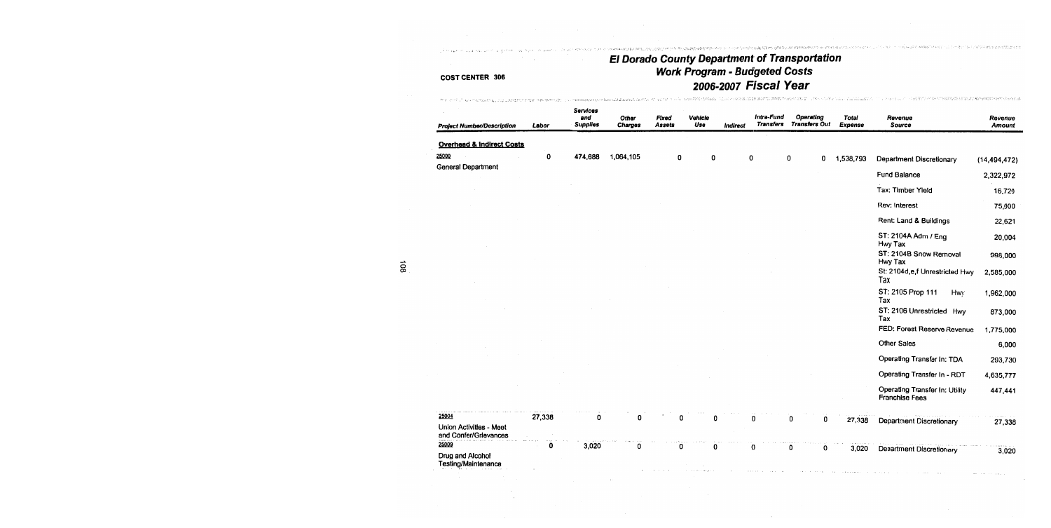para presenciale crest.

.<br>그리다 부모님은 공항(사용한 번역에서 연구하다 그리고 나서 1978년)의 사용을 확실하기 일본에 참 등 문화 역동에 발생한 전기 때마다 보고 있습니다. 그리고 있다고 있다.

constant and community of the constant

 $\mathfrak{u}_\mathcal{F} \rightarrow \mathfrak{u}_\mathcal{G} \mathfrak{u}_\mathcal{G} \mathfrak{u}_\mathcal{G} \mathfrak{u}_\mathcal{G} \mathfrak{u}_\mathcal{G} \mathfrak{u}_\mathcal{G} \mathfrak{u}_\mathcal{G} \mathfrak{u}_\mathcal{G} \mathfrak{u}_\mathcal{G} \mathfrak{u}_\mathcal{G} \mathfrak{u}_\mathcal{G} \mathfrak{u}_\mathcal{G} \mathfrak{u}_\mathcal{G} \mathfrak{u}_\mathcal{G} \mathfrak{u}_\mathcal{G} \mathfrak{u}_\mathcal$ 

.<br>- Policinus - 스넷 같은 PORT TRANSPORT APPRIL PROPERTY SERVER

## **COST CENTER 306**

العجماني الدامي والمحافرين استنزع والحاقل

and there

 $\mathcal{F}_{\mathcal{L}}$ 

| <b>Project Number/Description</b>                | Labor  | Services<br>and<br><b>Supplies</b> | Other<br>Charges | Fixed<br><b>Assets</b> | Vehicle<br>Use | Indirect | Intra-Fund<br><b>Transfers</b> | Operating<br><b>Transfers Out</b> | Total<br><b>Expense</b> | Revenue<br>Source                                | Revenue<br>Amount |
|--------------------------------------------------|--------|------------------------------------|------------------|------------------------|----------------|----------|--------------------------------|-----------------------------------|-------------------------|--------------------------------------------------|-------------------|
| Overhead & Indirect Costs                        |        |                                    |                  |                        |                |          |                                |                                   |                         |                                                  |                   |
| 25000                                            | 0      | 474,688                            | 1,064,105        | 0                      | 0              |          | 0                              | 0<br>0                            | 1,538,793               | Department Discretionary                         | (14, 494, 472)    |
| General Department                               |        |                                    |                  |                        |                |          |                                |                                   |                         | Fund Balance                                     | 2,322,972         |
|                                                  |        |                                    |                  |                        |                |          |                                |                                   |                         | Tax: Timber Yield                                | 16,720            |
|                                                  |        |                                    |                  |                        |                |          |                                |                                   |                         | Rev: Interest                                    | 75,000            |
|                                                  |        |                                    |                  |                        |                |          |                                |                                   |                         | Rent: Land & Buildings                           | 22,621            |
|                                                  |        |                                    |                  |                        |                |          |                                |                                   |                         | ST: 2104A Adm / Eng<br>Hwy Tax                   | 20,004            |
|                                                  |        |                                    |                  |                        |                |          |                                |                                   |                         | ST: 2104B Snow Removal<br>Hwy Tax                | 998,000           |
|                                                  |        |                                    |                  |                        |                |          |                                |                                   |                         | St: 2104d,e,f Unrestricted Hwy<br>Tax            | 2,585,000         |
|                                                  |        |                                    |                  |                        |                |          |                                |                                   |                         | ST: 2105 Prop 111<br>Hwy<br>Tax                  | 1,962,000         |
|                                                  |        |                                    |                  |                        |                |          |                                |                                   |                         | ST: 2106 Unrestricted Hwy<br>Tax                 | 873,000           |
|                                                  |        |                                    |                  |                        |                |          |                                |                                   |                         | FED: Forest Reserve Revenue                      | 1,775,000         |
|                                                  |        |                                    |                  |                        |                |          |                                |                                   |                         | Other Sales                                      | 6,000             |
|                                                  |        |                                    |                  |                        |                |          |                                |                                   |                         | Operating Transfer In: TDA                       | 293,730           |
|                                                  |        |                                    |                  |                        |                |          |                                |                                   |                         | Operating Transfer In - RDT                      | 4,635,777         |
|                                                  |        |                                    |                  |                        |                |          |                                |                                   |                         | Operating Transfer In: Utility<br>Franchise Fees | 447,441           |
| 25004                                            | 27,338 | 0                                  | 0                | U                      |                |          | 0                              | 0<br>0                            | 27,338                  | Department Discretionary                         |                   |
| Union Activities - Meet<br>and Confer/Grievances |        |                                    |                  |                        |                |          |                                |                                   |                         |                                                  | 27,338            |
| 25009<br>Drug and Alcohol<br>Testing/Maintenance | 0      | 3,020                              | 0                | 0                      | O              |          | 0                              | 0<br>0                            | 3,020                   | Department Discretionary                         | 3,020             |

 $\frac{108}{108}$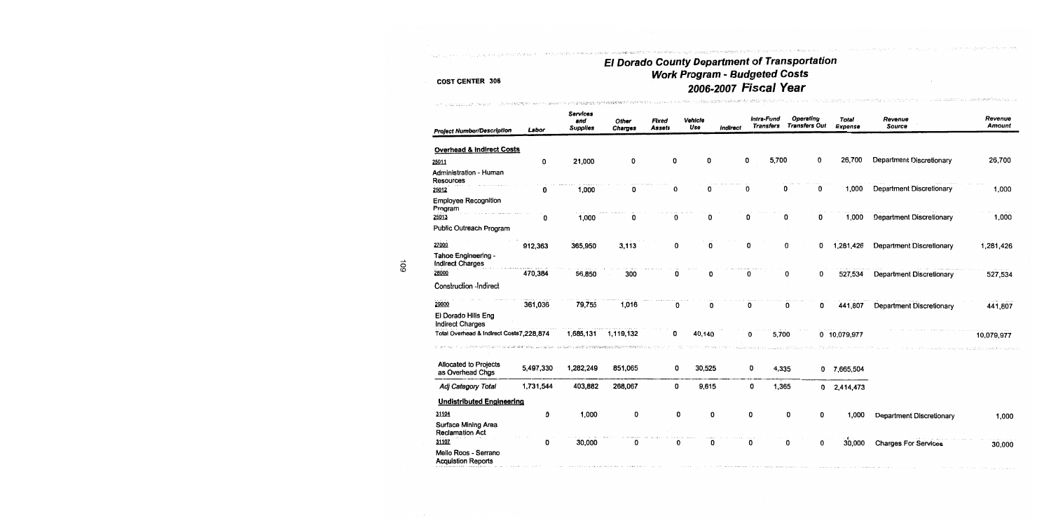## ma matematica e de compaña de la compaña de la compaña de la compaña de la compaña de la compaña de la compaña El Dorado County Department of Transportation<br>Work Program - Budgeted Costs 2006-2007 Fiscal Year

 $\langle \mathcal{L}^{\mathcal{A}}(A) \mathcal{L}^{\mathcal{A}}(A) \mathcal{L}^{\mathcal{A}}(A) \mathcal{L}^{\mathcal{A}}(A) \mathcal{L}^{\mathcal{A}}(A) \mathcal{L}^{\mathcal{A}}(A) \mathcal{L}^{\mathcal{A}}(A) \mathcal{L}^{\mathcal{A}}(A) \mathcal{L}^{\mathcal{A}}(A) \mathcal{L}^{\mathcal{A}}(A) \mathcal{L}^{\mathcal{A}}(A) \mathcal{L}^{\mathcal{A}}(A) \mathcal{L}^{\mathcal{A}}(A) \mathcal{L}^{\mathcal$ 

integrituata passang sukra ili merekakhajang di bilanca malakhil terhani

in Library <sup>Prope</sup> Participant Car

## **COST CENTER 306**

والجحاري والجواري

complete as a necessary and a spec-

and in the problem and choose and complete statements assets

| <b>Project Number/Description</b>                          | Labor     | <b>Services</b><br>and<br><b>Supplies</b> | Other<br>Charges | <b>Fixed</b><br><b>Assets</b> | Vehicle<br>Use | Indirect | Intra-Fund<br><b>Transfers</b> |       | Operating<br><b>Transfers Out</b> | Total<br>Expense | Revenue<br>Source               | Revenue<br><b>Amount</b> |
|------------------------------------------------------------|-----------|-------------------------------------------|------------------|-------------------------------|----------------|----------|--------------------------------|-------|-----------------------------------|------------------|---------------------------------|--------------------------|
| Overhead & Indirect Costs                                  |           |                                           |                  |                               |                |          |                                |       |                                   |                  |                                 |                          |
| 25011                                                      | 0         | 21,000                                    | 0                | 0                             | 0              |          | 5.700<br>0                     |       | 0                                 | 26,700           | Department Discretionary        | 26,700                   |
| Administration - Human<br><b>Resources</b>                 |           |                                           |                  |                               |                |          |                                |       |                                   |                  |                                 |                          |
| 25012                                                      | 0         | 1,000                                     | 0                | 0                             | 0              |          | 0                              | 0     | 0                                 | 1,000            | Department Discretionary        | 1,000                    |
| <b>Employee Recognition</b><br>Program                     |           |                                           |                  |                               |                |          |                                |       |                                   |                  |                                 |                          |
| 25013                                                      | 0         | 1,000                                     | 0                | 0                             | 0              |          | 0                              | 0     | 0                                 | 1,000            | <b>Department Discretionary</b> | 1,000                    |
| Public Outreach Program                                    |           |                                           |                  |                               |                |          |                                |       |                                   |                  |                                 |                          |
| 27000                                                      | 912,363   | 365,950                                   | 3.113            | 0                             | 0              |          | 0                              | 0     | 0                                 | 1,281,426        | <b>Department Discretionary</b> | 1,281,426                |
| Tahoe Engineering -<br><b>Indirect Charges</b>             |           |                                           |                  |                               |                |          |                                |       |                                   |                  |                                 |                          |
| 28000                                                      | 470,384   | 56,850                                    | 300              | 0                             | 0              |          | 0                              | 0     | 0                                 | 527,534          | <b>Department Discretionary</b> | 527,534                  |
| <b>Construction -Indirect</b>                              |           |                                           |                  |                               |                |          |                                |       |                                   |                  |                                 |                          |
| 29000                                                      | 361,036   | 79,755                                    | 1,016            | 0                             | 0              |          | 0                              | 0     | 0                                 | 441,807          | <b>Department Discretionary</b> | 441,807                  |
| El Dorado Hills Eng<br><b>Indirect Charges</b>             |           |                                           |                  |                               |                |          |                                |       |                                   |                  |                                 |                          |
| Total Overhead & Indirect Costs7,228,874                   |           | 1,686,131                                 | 1,119,132        | 0                             | 40,140         |          | 0                              | 5,700 |                                   | 0 10,079,977     |                                 | 10,079,977               |
| <b>Allocated to Projects</b><br>as Overhead Chgs           | 5,497,330 | 1,282,249                                 | 851,065          | 0                             | 30,525         |          | 0                              | 4,335 |                                   | 0 7,665,504      |                                 |                          |
| Adj Category Total                                         | 1,731,544 | 403,882                                   | 268,067          | 0                             | 9,615          |          | 0                              | 1,365 | $\mathbf{0}$                      | 2,414,473        |                                 |                          |
| <b>Undistributed Engineering</b>                           |           |                                           |                  |                               |                |          |                                |       |                                   |                  |                                 |                          |
| 31104                                                      | 0         | 1,000                                     | 0                | 0                             | 0              |          | 0                              | 0     | 0                                 | 1,000            | Department Discretionary        | 1,000                    |
| <b>Surface Mining Area</b><br><b>Reclamation Act</b>       |           |                                           |                  |                               |                |          |                                |       |                                   |                  |                                 |                          |
| 31107<br>Mello Roos - Serrano<br><b>Acquistion Reports</b> | 0         | 30,000                                    | 0                | 0                             | 0              |          | 0                              | 0     | 0                                 | 30,000           | <b>Charges For Services</b>     | 30,000                   |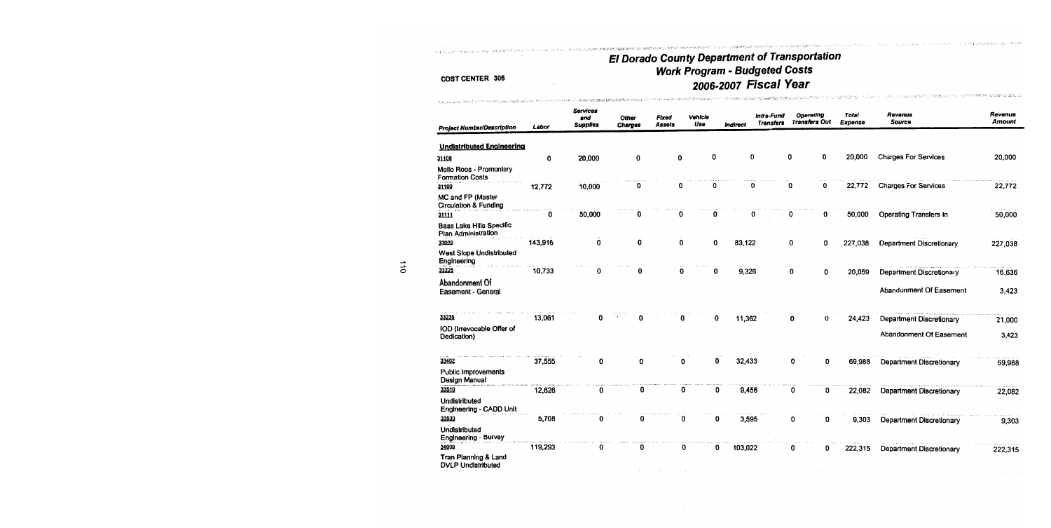## El Dorado County Department of Transportation<br>Work Program - Budgeted Costs<br>2006-2007 Fiscal Year - TA TA TA TA TA 1999년 1999년 2월 대학교 대학원 대학교 2월 2일 대학교 전 1999년 1월 1일 1일 1일 1일 1일 1일 1일 대학생 대학생 대학교 대학 전 시간을 통해 대학교 대학

**CONTACTOR ON ANY PROPERTY OF A STATE OF A STATE OF A STATE OF A STATE OF A STATE OF A STATE OF A STATE OF A ST** 

prices, the content of the experiment begins.

#### COST CENTER 306

the Chapter of the Contraction of the Contract of the Second Secondary of the Contract of the Contract of the Secondary of the Secondary of the Secondary of the Secondary of the Secondary of the Secondary of the Secondary

\* All lacences イアウト・イアヘアのぞくしょるのは新聞の作品(A)

| <b>Project Number/Description</b>                      | Labor   | Services<br>and<br><b>Supplies</b> | Other<br>Charges | Fixed<br>Assets | Vehicle<br>Use | <i><b>Indirect</b></i> | intra-Fund<br><b>Transfers</b> | Operating<br><b>Transfers Out</b> | Total<br>Expense | Revenue<br>Source               | Revenue<br><b>Amount</b> |
|--------------------------------------------------------|---------|------------------------------------|------------------|-----------------|----------------|------------------------|--------------------------------|-----------------------------------|------------------|---------------------------------|--------------------------|
| <b>Undistributed Engineering</b>                       |         |                                    |                  |                 |                |                        |                                |                                   |                  |                                 |                          |
| 31108                                                  | 0       | 20,000                             | 0                | 0               | 0              |                        | 0                              | 0<br>0                            | 20,000           | <b>Charges For Services</b>     | 20,000                   |
| Mello Roos - Promontory<br><b>Formation Costs</b>      |         |                                    |                  |                 |                |                        |                                |                                   |                  |                                 |                          |
| 31109                                                  | 12,772  | 10,000                             | O                | O               | 0              |                        | $\Omega$                       | 0<br>0                            | 22,772           | <b>Charges For Services</b>     | 22,772                   |
| MC and FP (Master<br>Circulation & Funding             |         |                                    |                  |                 |                |                        |                                |                                   |                  |                                 |                          |
| 31111                                                  | 0       | 50,000                             | 0                | 0               | 0              |                        | 0                              | 0<br>0                            | 50,000           | Operating Transfers In          | 50,000                   |
| <b>Bass Lake Hills Specific</b><br>Plan Administration |         |                                    |                  |                 |                |                        |                                |                                   |                  |                                 |                          |
| 33000                                                  | 143,916 | $\bf{0}$                           | 0                | 0               |                | 83,122<br>0            |                                | 0<br>0                            | 227,038          | Department Discretionary        | 227,038                  |
| West Slope Undistributed<br>Engineering                |         |                                    |                  |                 |                |                        |                                |                                   |                  |                                 |                          |
| 33225                                                  | 10,733  | 0                                  | n                | O               |                | 0<br>9,326             |                                | 0<br>0                            | 20,059           | Department Discretionary        | 16,636                   |
| Abandonment Of<br>Easement - General                   |         |                                    |                  |                 |                |                        |                                |                                   |                  | Abandonment Of Easement         | 3,423                    |
| 33235                                                  | 13,061  | 0                                  | 0                |                 | 0              | 11,362<br>0            |                                | 0<br>0                            | 24,423           | Department Discretionary        | 21,000                   |
| IOD (Irrevocable Offer of<br>Dedication)               |         |                                    |                  |                 |                |                        |                                |                                   |                  | Abandonment Of Easement         | 3,423                    |
| 33402                                                  | 37,555  | 0                                  |                  |                 | o              | 32,433<br>0            |                                | ŋ                                 | 0<br>69,988      | Department Discretionary        | 69,988                   |
| Public Improvements<br>Design Manual                   |         |                                    |                  |                 |                |                        |                                |                                   |                  |                                 |                          |
| 33510                                                  | 12,626  | 0                                  | 0                |                 | 0              | O<br>9,456             |                                | 0                                 | 22,082<br>0      | <b>Department Discretionary</b> | 22,082                   |
| <b>Undistributed</b><br>Engineering - CADD Unit        |         |                                    |                  |                 |                |                        |                                |                                   |                  |                                 |                          |
| 33530                                                  | 5,708   | 0                                  | 0                |                 | 0              | 0<br>3,595             |                                | 0<br>0                            | 9,303            | Department Discretionary        | 9,303                    |
| <b>Undistributed</b><br>Engineering - Survey           |         |                                    |                  |                 |                |                        |                                |                                   |                  |                                 |                          |
| 34000                                                  | 119,293 | 0                                  | 0                |                 | 0              | 0<br>103,022           |                                | 0<br>0                            | 222,315          | Department Discretionary        | 222,315                  |
| Tran Planning & Land<br><b>DVLP Undistributed</b>      |         |                                    |                  |                 |                |                        |                                |                                   |                  |                                 |                          |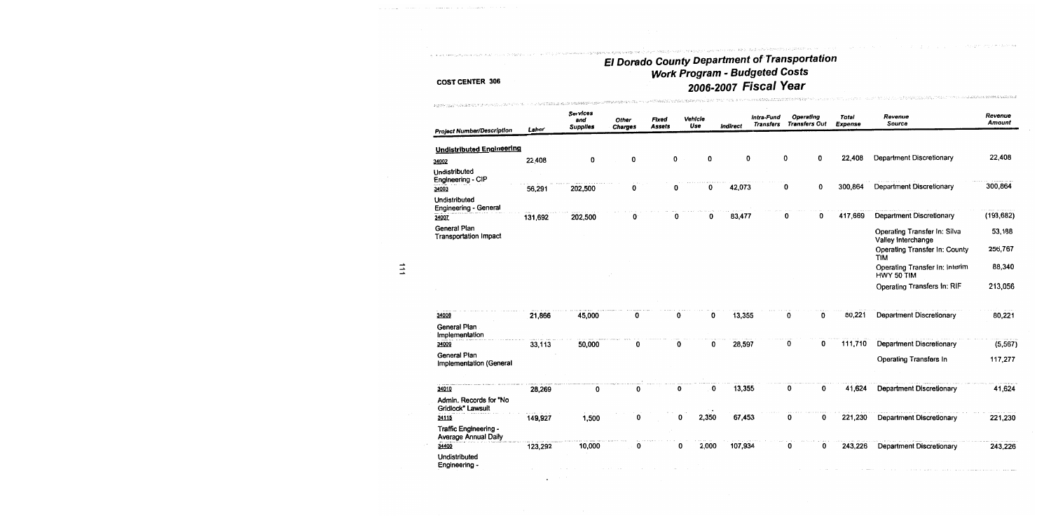.<br>La considerazione dell'articologicale dall'il

.<br>Professorente

.<br>Tradicional de la contra composta de la componecimiente de la componecimiente de la componecimiente de la comp

|                                               |         | Services<br>and<br><b>Supplies</b> | Other<br><b>Charges</b> | Fixed<br>Assets | Vehicle<br>Use |       | Indirect | Intra-Fund<br><b>Transfers</b> | Operating<br><b>Transfers Out</b> | <b>Total</b><br><b>Expense</b> | Revenue<br>Source                                  | Revenue<br>Amount |
|-----------------------------------------------|---------|------------------------------------|-------------------------|-----------------|----------------|-------|----------|--------------------------------|-----------------------------------|--------------------------------|----------------------------------------------------|-------------------|
| <b>Project Number/Description</b>             | Labor   |                                    |                         |                 |                |       |          |                                |                                   |                                |                                                    |                   |
| <b>Undistributed Engineering</b>              |         |                                    |                         |                 |                |       |          |                                |                                   |                                |                                                    |                   |
| 34002                                         | 22,408  | 0                                  | 0                       |                 | 0              | 0     | 0        |                                | 0<br>0                            | 22,408                         | Department Discretionary                           | 22,408            |
| Undistributed<br>Engineering - CIP            |         |                                    |                         |                 |                |       |          |                                |                                   |                                |                                                    |                   |
| 34003                                         | 56,291  | 202,500                            | 0                       |                 | 0              | 0     | 42,073   |                                | 0<br>0                            | 300,864                        | Department Discretionary                           | 300,864           |
| Undistributed<br><b>Engineering - General</b> |         |                                    |                         |                 |                |       |          |                                |                                   |                                |                                                    |                   |
| 34007                                         | 131,692 | 202,500                            | o                       |                 | 0              | 0     | 83,477   |                                | 0<br>0                            | 417,669                        | Department Discretionary                           | (193, 682)        |
| General Plan<br><b>Transportation Impact</b>  |         |                                    |                         |                 |                |       |          |                                |                                   |                                | Operating Transfer In: Silva<br>Valley Interchange | 53,188            |
|                                               |         |                                    |                         |                 |                |       |          |                                |                                   |                                | Operating Transfer In: County<br><b>TIM</b>        | 256,767           |
|                                               |         |                                    |                         |                 |                |       |          |                                |                                   |                                | Operating Transfer In: Interim<br>HWY 50 TIM       | 88,340            |
|                                               |         |                                    |                         |                 |                |       |          |                                |                                   |                                | Operating Transfers In: RIF                        | 213,056           |
| 34008                                         | 21,866  | 45,000                             | 0                       |                 | 0              | 0     | 13,355   |                                | 0<br>0                            | 80,221                         | <b>Department Discretionary</b>                    | 80,221            |
| General Plan<br>Implementation                |         |                                    |                         |                 |                |       |          |                                |                                   |                                |                                                    |                   |
| 34009                                         | 33,113  | 50,000                             | 0                       |                 | 0              | 0     | 28,597   |                                | 0<br>0                            | 111,710                        | <b>Department Discretionary</b>                    | (5, 567)          |
| General Plan<br>Implementation (General       |         |                                    |                         |                 |                |       |          |                                |                                   |                                | Operating Transfers In                             | 117,277           |
|                                               |         |                                    |                         |                 |                |       |          |                                |                                   |                                |                                                    |                   |
| 34010                                         | 28,269  | 0                                  | 0                       |                 | 0              | 0     | 13,355   |                                | 0<br>0                            | 41,624                         | <b>Department Discretionary</b>                    | 41,624            |
| Admin. Records for "No<br>Gridlock" Lawsuit   |         |                                    |                         |                 |                |       |          |                                |                                   |                                |                                                    |                   |
| 34115                                         | 149,927 | 1,500                              | 0                       |                 |                | 2,350 | 67,453   |                                | 0<br>0                            | 221,230                        | Department Discretionary                           | 221,230           |
| Traffic Engineering -<br>Average Annual Daily |         |                                    |                         |                 |                |       |          |                                |                                   |                                |                                                    |                   |
| 34400                                         | 123,292 | 10,000                             | 0                       |                 | 0              | 2,000 | 107,934  |                                | 0<br>0                            | 243,226                        | <b>Department Discretionary</b>                    | 243,226           |
| Undistributed<br>Engineering -                |         |                                    |                         |                 |                |       |          |                                |                                   |                                |                                                    |                   |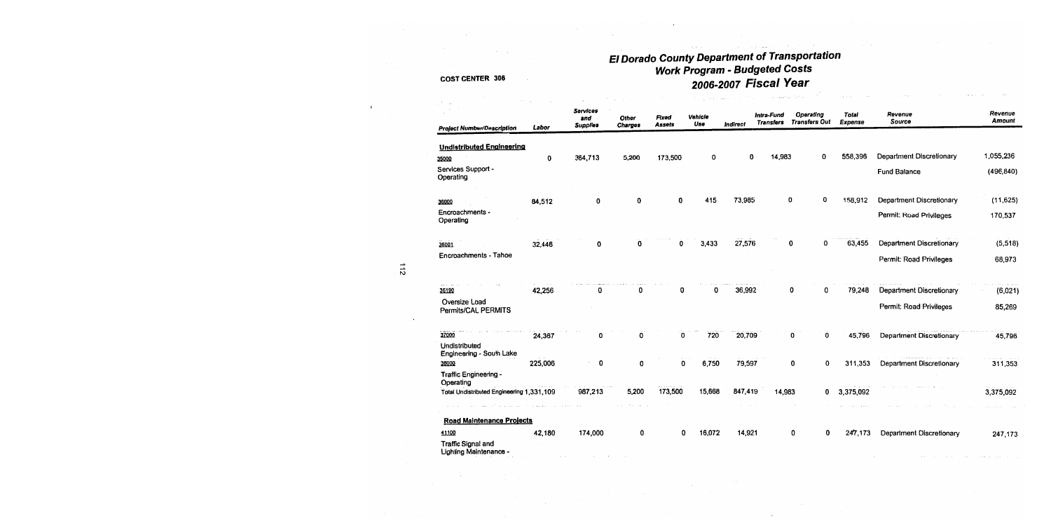| <b>Project Number/Description</b>                | Labor   | <b>Services</b><br>and<br><b>Supplies</b> | Other<br>Charges | Fixed<br>Assets | Vehicle<br>Use | <b>Indirect</b> | Intra-Fund<br><b>Transfers</b> | Operating<br><b>Transfers Out</b> | <b>Total</b><br><b>Expense</b> | Revenue<br>Source        | Revenue<br>Amount |
|--------------------------------------------------|---------|-------------------------------------------|------------------|-----------------|----------------|-----------------|--------------------------------|-----------------------------------|--------------------------------|--------------------------|-------------------|
|                                                  |         |                                           |                  |                 |                |                 |                                |                                   |                                |                          |                   |
| <b>Undistributed Engineering</b>                 |         |                                           |                  |                 |                |                 |                                |                                   |                                |                          |                   |
| 35000                                            | 0       | 364,713                                   | 5,200            | 173,500         | 0              | 0               | 14,983                         | 0                                 | 558,396                        | Department Discretionary | 1,055,236         |
| Services Support -<br>Operating                  |         |                                           |                  |                 |                |                 |                                |                                   |                                | <b>Fund Balance</b>      | (496, 840)        |
|                                                  |         |                                           |                  |                 |                |                 |                                | 0                                 |                                |                          |                   |
| 36000                                            | 84,512  | 0                                         | 0                | 0               | 415            | 73,985          |                                | 0                                 | 158,912                        | Department Discretionary | (11, 625)         |
| Encroachments -<br>Operating                     |         |                                           |                  |                 |                |                 |                                |                                   |                                | Permit: Road Privileges  | 170,537           |
| 36001                                            | 32,446  | 0                                         | 0                | 0               | 3,433          | 27,576          |                                | 0<br>0                            | 63,455                         | Department Discretionary | (5,518)           |
| Encroachments - Tahoe                            |         |                                           |                  |                 |                |                 |                                |                                   |                                | Permit: Road Privileges  | 68,973            |
| 36190                                            | 42,256  | 0                                         | 0                | 0               | 0              | 36,992          |                                | 0<br>0                            | 79,248                         | Department Discretionary | (6,021)           |
| Oversize Load<br>Permits/CAL PERMITS             |         |                                           |                  |                 |                |                 |                                |                                   |                                | Permit: Road Privileges  | 85,269            |
|                                                  |         |                                           |                  |                 |                |                 |                                |                                   |                                |                          |                   |
| 37000                                            | 24,367  | 0                                         | 0                | 0               | 720            | 20,709          |                                | 0<br>0                            | 45,796                         | Department Discretionary | 45,796            |
| Undistributed<br><b>Engineering - South Lake</b> |         |                                           |                  |                 |                |                 |                                |                                   |                                |                          |                   |
| 38000                                            | 225,006 | 0                                         | 0                | 0               | 6,750          | 79,597          |                                | 0<br>0                            | 311,353                        | Department Discretionary | 311,353           |
| Traffic Engineering -<br>Operating               |         |                                           |                  |                 |                |                 |                                |                                   |                                |                          |                   |
| Total Undistributed Engineering 1,331,109        |         | 987,213                                   | 5,200            | 173,500         | 15,668         | 847,419         | 14,983                         | 0                                 | 3,375,092                      |                          | 3,375,092         |
|                                                  |         |                                           |                  |                 |                |                 |                                |                                   |                                |                          |                   |
| <b>Road Maintenance Projects</b><br>41100        | 42,180  | 174,000                                   | 0                | 0               | 16,072         | 14,921          |                                | 0<br>0                            | 247,173                        | Department Discretionary | 247,173           |
| Traffic Signal and<br>Lighting Maintenance -     |         |                                           |                  |                 |                |                 |                                |                                   |                                |                          |                   |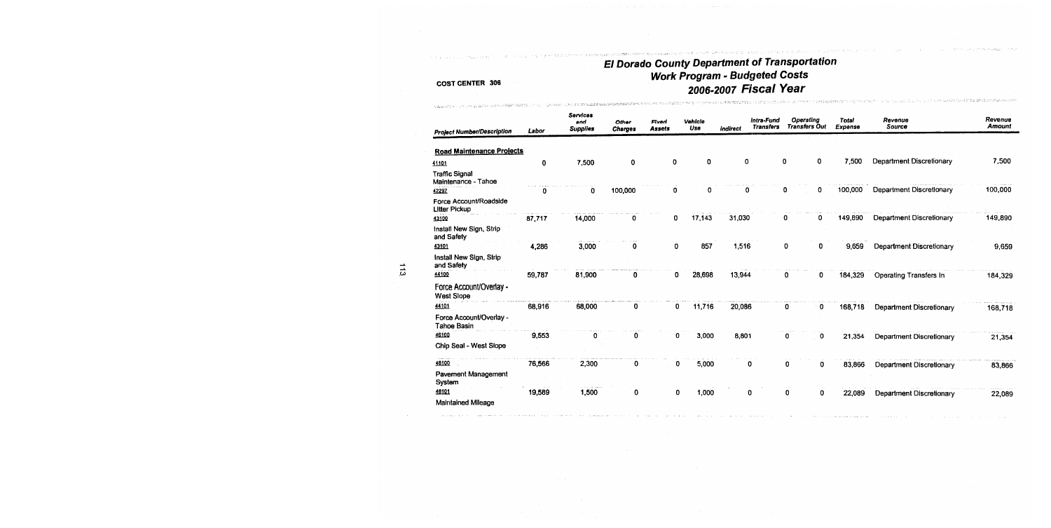i mise odgela i svije Pilino Hijelije od područava Australija i Kurijima i imenati

the banker of special at the first receives

 $\label{eq:R1} \Delta_{\mathcal{M}}(\mathcal{M}) \otimes \Delta_{\mathcal{M}}(\mathcal{M}) \otimes \Delta_{\mathcal{M}}(\mathcal{M}) \otimes \Delta_{\mathcal{M}}(\mathcal{M}) \otimes \Delta_{\mathcal{M}}(\mathcal{M}) \otimes \Delta_{\mathcal{M}}(\mathcal{M}) \otimes \Delta_{\mathcal{M}}(\mathcal{M}) \otimes \Delta_{\mathcal{M}}(\mathcal{M}) \otimes \Delta_{\mathcal{M}}(\mathcal{M}) \otimes \Delta_{\mathcal{M}}(\mathcal{M}) \otimes \Delta_{\mathcal{M}}(\mathcal{M}) \otimes \Delta_{\mathcal{M}}(\mathcal{M$ 

### **COST CENTER 306**

**CONTRACTORS IN THE REAL PROPERTY OF A SECTION AND PROPERTY AND A SECTION OF A SECTION AND RELEASED FOR A SECTION AND RELEASED FOR A SECTION AND LOCAL CONTROL CONTROL CONTROL CONTROL CONTROL CONTROL CONTROL CONTROL CONTROL** 

| <b>Project Number/Description</b>              | Labor  | <b>Services</b><br>and<br><b>Supplies</b> | Other<br><b>Charges</b> | Fixed<br><b>Assets</b> | Vehicle<br>Use | indirect | intra-Fund<br><b>Transfers</b> | Operating<br><b>Transfers Out</b> | <b>Total</b><br>Expense | Revenue<br>Source        | Revenue<br><b>Amount</b> |
|------------------------------------------------|--------|-------------------------------------------|-------------------------|------------------------|----------------|----------|--------------------------------|-----------------------------------|-------------------------|--------------------------|--------------------------|
| <b>Road Maintenance Projects</b>               |        |                                           |                         |                        |                |          |                                |                                   |                         |                          |                          |
|                                                |        |                                           |                         | 0                      | 0              | 0        |                                | 0<br>0                            | 7,500                   | Department Discretionary | 7,500                    |
| 41101                                          | 0      | 7,500                                     | 0                       |                        |                |          |                                |                                   |                         |                          |                          |
| <b>Traffic Signal</b><br>Maintenance - Tahoe   |        |                                           |                         |                        |                |          |                                |                                   |                         |                          |                          |
| 42297                                          | 0      | 0                                         | 100,000                 | 0                      | 0              | 0        |                                | 0<br>0                            | 100,000                 | Department Discretionary | 100,000                  |
| Force Account/Roadside<br><b>Litter Pickup</b> |        |                                           |                         |                        |                |          |                                |                                   |                         |                          |                          |
| 43100                                          | 87,717 | 14,000                                    | 0                       | 0                      | 17,143         | 31,030   |                                | 0<br>0                            | 149,890                 | Department Discretionary | 149,890                  |
| Install New Sign, Strip<br>and Safety          |        |                                           |                         |                        |                |          |                                |                                   |                         |                          |                          |
| 43101                                          | 4,286  | 3,000                                     | 0                       | 0                      | 857            | 1,516    |                                | 0<br>0                            | 9,659                   | Department Discretionary | 9,659                    |
| Install New Sign, Strip<br>and Safety          |        |                                           |                         |                        |                |          |                                |                                   |                         |                          |                          |
| 44100                                          | 59,787 | 81,900                                    | 0                       | 0                      | 28,698         | 13,944   |                                | 0<br>0                            | 184,329                 | Operating Transfers In   | 184,329                  |
| Force Account/Overlay -<br><b>West Slope</b>   |        |                                           |                         |                        |                |          |                                |                                   |                         |                          |                          |
| 44101                                          | 68.916 | 68,000                                    | 0                       | 0                      | 11,716         | 20,086   |                                | 0<br>0                            | 168,718                 | Department Discretionary | 168,718                  |
| Force Account/Overlay -<br>Tahoe Basin         |        |                                           |                         |                        |                |          |                                |                                   |                         |                          |                          |
| 46100                                          | 9,553  | 0                                         | 0                       | 0                      | 3,000          | 8,801    |                                | 0<br>0                            | 21,354                  | Department Discretionary | 21,354                   |
| Chip Seal - West Slope                         |        |                                           |                         |                        |                |          |                                |                                   |                         |                          |                          |
| 48100                                          | 76,566 | 2,300                                     | 0                       | o                      | 5,000          |          | 0                              | 0<br>0                            | 83,866                  | Department Discretionary | 83,866                   |
| Pavement Management<br>System                  |        |                                           |                         |                        |                |          |                                |                                   |                         |                          |                          |
| 48101                                          | 19,589 | contractor and<br>1,500                   | 0                       | 0                      | 1,000          |          | 0                              | 0<br>0                            | 22,089                  | Department Discretionary | 22,089                   |
| Maintained Mileage                             |        |                                           |                         |                        |                |          |                                |                                   |                         |                          |                          |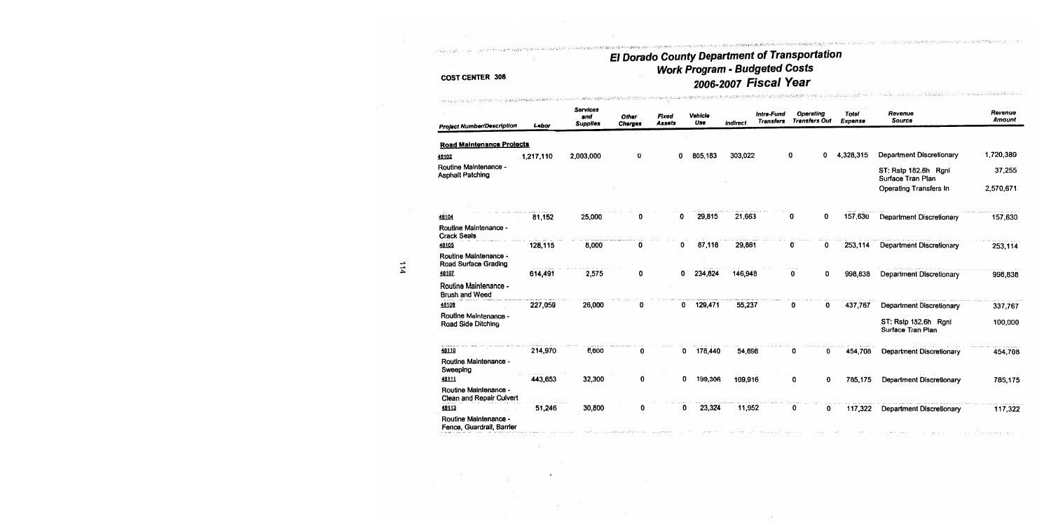## **COST CENTER 306**

, naše svojan

| <b>Project Number/Description</b>                  | Labor     | <b>Services</b><br>and<br><b>Supplies</b> | <b>Other</b><br><b>Charges</b> | Fixed<br>Assets | Vehicle<br>Use | indirect | Intra-Fund<br><b>Transfers</b> | Operating<br><b>Transfers Out</b> | <b>Total</b><br>Expense | Revenue<br>Source                         | Revenue<br>Amount |
|----------------------------------------------------|-----------|-------------------------------------------|--------------------------------|-----------------|----------------|----------|--------------------------------|-----------------------------------|-------------------------|-------------------------------------------|-------------------|
| <b>Road Maintenance Projects</b>                   |           |                                           |                                |                 |                |          |                                |                                   |                         |                                           |                   |
| 46102                                              | 1,217,110 | 2,003,000                                 | 0                              | 0               | 805,183        | 303,022  |                                | 0<br>0                            | 4,328,315               | Department Discretionary                  | 1,720,389         |
| Routine Maintenance -<br><b>Asphalt Patching</b>   |           |                                           |                                |                 |                |          |                                |                                   |                         | ST: Rstp 182.6h Rgnl<br>Surface Tran Plan | 37,255            |
|                                                    |           |                                           |                                |                 |                |          |                                |                                   |                         | Operating Transfers In                    | 2,570,671         |
|                                                    |           |                                           |                                |                 |                |          |                                |                                   |                         |                                           |                   |
| 48104                                              | 81,152    | 25,000                                    |                                | 0               | 29,815         | 21,663   |                                | 0<br>0                            | 157,630                 | <b>Department Discretionary</b>           | 157,630           |
| Routine Maintenance -<br><b>Crack Seals</b>        |           |                                           |                                |                 |                |          |                                |                                   |                         |                                           |                   |
| 48105                                              | 128,115   | 8,000                                     | 0                              | 0               | 87,118         | 29,881   |                                | 0<br>0                            | 253,114                 | <b>Department Discretionary</b>           | 253,114           |
| Routine Maintenance -<br>Road Surface Grading      |           |                                           |                                |                 |                |          |                                |                                   |                         |                                           |                   |
| 48107                                              | 614,491   | 2,575                                     | 0                              | 0               | 234,824        | 146,948  |                                | 0<br>0                            | 998,838                 | <b>Department Discretionary</b>           | 998,838           |
| Routine Maintenance -<br><b>Brush and Weed</b>     |           |                                           |                                |                 |                |          |                                |                                   |                         |                                           |                   |
| 18108                                              | 227,059   | 26,000                                    | 0                              | 0               | 129,471        | 55,237   |                                | 0<br>0                            | 437,767                 | <b>Department Discretionary</b>           | 337,767           |
| Routine Maintenance -<br>Road Side Ditching        |           |                                           |                                |                 |                |          |                                |                                   |                         | ST: Rstp 182.6h Rgnl<br>Surface Tran Plan | 100,000           |
| 48110                                              | 214,970   | 6,600                                     | 0                              | 0               | 178,440        | 54,698   |                                | 0<br>0                            | 454,708                 | <b>Department Discretionary</b>           | 454,708           |
| Routine Maintenance -<br>Sweeping                  |           |                                           |                                |                 |                |          |                                |                                   |                         |                                           |                   |
| 48111                                              | 443,653   | 32,300                                    | 0                              | 0               | 199,306        | 109,916  |                                | 0<br>0                            | 785,175                 | <b>Department Discretionary</b>           | 785,175           |
| Routine Maintenance -<br>Clean and Repair Culvert  |           |                                           |                                |                 |                |          |                                |                                   |                         |                                           |                   |
| 18113                                              | 51,246    | 30,800                                    | 0                              | 0               | 23,324         | 11,952   |                                | 0<br>0                            | 117,322                 | <b>Department Discretionary</b>           | 117,322           |
| Routine Maintenance -<br>Fence, Guardrail, Barrier |           |                                           |                                |                 |                |          |                                |                                   |                         |                                           |                   |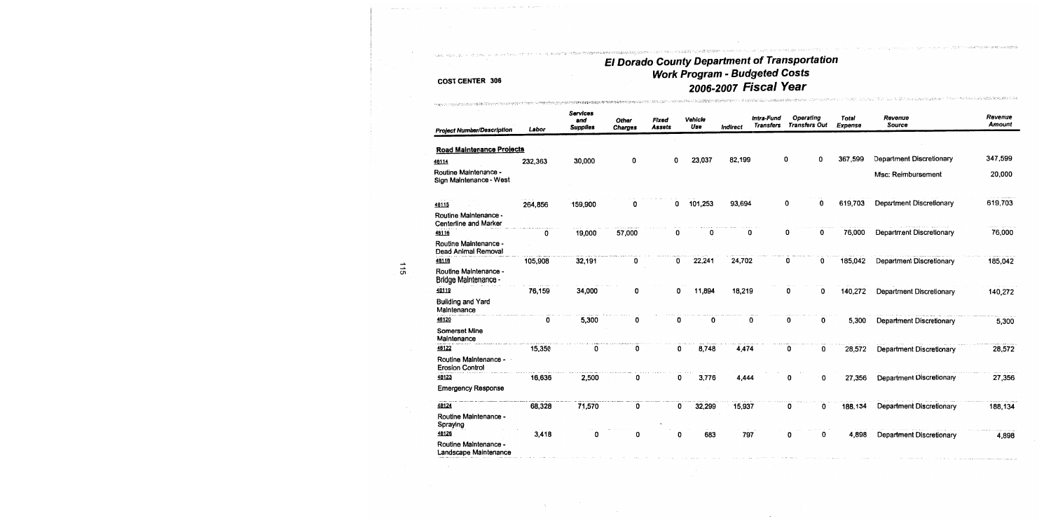.<br>Se nome seus professiones de terre la 1990 de 1990 de la 1990 de la 1990 de 1990 de la 1990 de la 1990 de la

CONSTITUTO PORT TOP TWO PLIZES AND LIMITED SERVER.

#### **COST CENTER 306**

There is a move to police a technology of the edi-

ካንናዊ አካላዊ የድምፍ የውጭር የአማራ መሥራት ያሉ አለ

we easy end of disk

| <b>Project Number/Description</b>                     | Labor   | <b>Services</b><br>and<br><b>Supplies</b> | Other<br><b>Charges</b> | Fixed<br><b>Assets</b> | Vehicle<br>Use | <b>Indirect</b> | Intra-Fund<br><b>Transfers</b> | Operating<br><b>Transfers Out</b> | <b>Total</b><br>Expense | Revenue<br>Source               | Revenue<br>Amount |
|-------------------------------------------------------|---------|-------------------------------------------|-------------------------|------------------------|----------------|-----------------|--------------------------------|-----------------------------------|-------------------------|---------------------------------|-------------------|
| <b>Road Maintenance Projects</b>                      |         |                                           |                         |                        |                |                 |                                |                                   |                         |                                 |                   |
| 46114                                                 | 232,363 | 30,000                                    | 0                       | 0                      | 23,037         | 82,199          |                                | 0<br>0                            | 367,599                 | Department Discretionary        | 347,599           |
| Routine Maintenance -<br>Sign Maintenance - West      |         |                                           |                         |                        |                |                 |                                |                                   |                         | Misc: Reimbursement             | 20,000            |
| 48115                                                 | 264,856 | 159,900                                   | n                       | 0                      | 101,253        | 93,694          |                                | 0<br>0                            | 619,703                 | Department Discretionary        | 619,703           |
| Routine Maintenance -<br>Centerline and Marker        |         |                                           |                         |                        |                |                 |                                |                                   |                         |                                 |                   |
| 48116                                                 | 0       | 19,000                                    | 57,000                  | 0                      | 0              | 0               |                                | 0<br>0                            | 76,000                  | <b>Department Discretionary</b> | 76,000            |
| Routine Maintenance -<br>Dead Animal Removal          |         |                                           |                         |                        |                |                 |                                |                                   |                         |                                 |                   |
| 48118                                                 | 105,908 | 32,191                                    | 0                       | 0                      | 22,241         | 24,702          |                                | 0<br>0                            | 185,042                 | Department Discretionary        | 185,042           |
| Routine Maintenance -<br>Bridge Maintenance -         |         |                                           |                         |                        |                |                 |                                |                                   |                         |                                 |                   |
| 48119                                                 | 76,159  | 34,000                                    | 0                       | 0                      | 11,894         | 18,219          |                                | 0<br>0                            | 140,272                 | Department Discretionary        | 140,272           |
| <b>Building and Yard</b><br>Maintenance               |         |                                           |                         |                        |                |                 |                                |                                   |                         |                                 |                   |
| 46120                                                 | 0       | 5,300                                     | 0                       | 0                      | 0              | 0               |                                | 0<br>0                            | 5,300                   | Department Discretionary        | 5,300             |
| <b>Somerset Mine</b><br>Maintenance                   |         |                                           |                         |                        |                |                 |                                |                                   |                         |                                 |                   |
| 48122                                                 | 15,350  | 0                                         | 0                       | 0                      | 8,748          | 4,474           |                                | 0<br>0                            | 28,572                  | Department Discretionary        | 28,572            |
| Routine Maintenance -<br><b>Erosion Control</b>       |         |                                           |                         |                        |                |                 |                                |                                   |                         |                                 |                   |
| 48123                                                 | 16,636  | 2,500                                     | 0                       | 0                      | 3,776          | 4,444           |                                | 0<br>0                            | 27,356                  | Department Discretionary        | 27,356            |
| <b>Emergency Response</b>                             |         |                                           |                         |                        |                |                 |                                |                                   |                         |                                 |                   |
| 48124                                                 | 68,328  | 71,570                                    | 0                       | 0                      | 32,299         | 15,937          |                                | 0<br>0                            | 188,134                 | Department Discretionary        | 188,134           |
| Routine Maintenance -<br>Spraying                     |         |                                           |                         |                        |                |                 |                                |                                   |                         |                                 |                   |
| 48126                                                 | 3,418   | n                                         | 0                       | 0                      | 683            | 797             |                                | 0<br>0                            | 4,898                   | Department Discretionary        | 4,898             |
| <b>Routine Maintenance -</b><br>Landscape Maintenance |         |                                           |                         |                        |                |                 |                                |                                   |                         |                                 |                   |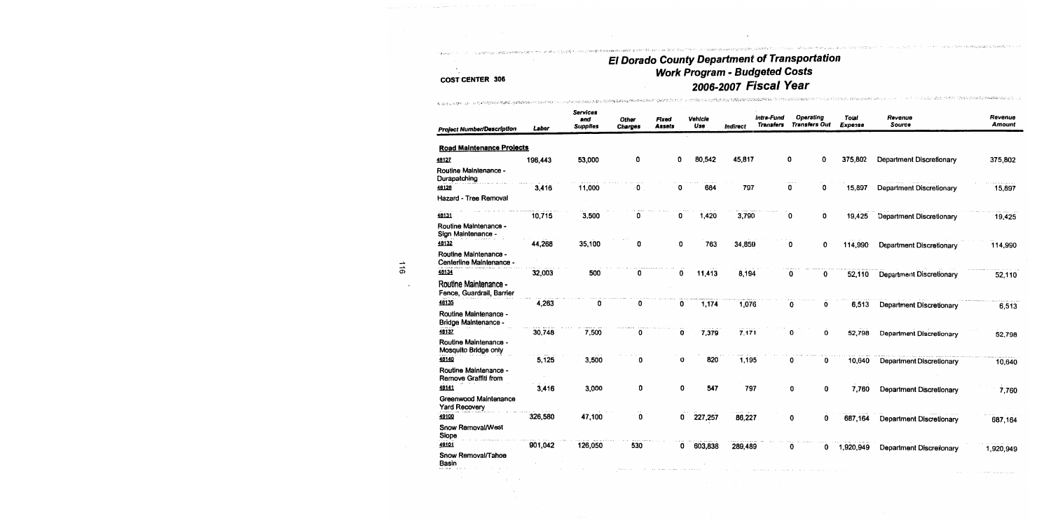化高温电极电压电电阻 机电子 医无耳状的 化硫化碳化合物 计相关 化二氯化合物 化硫酸氢化钠 计编码的

## **COST CENTER 306**

of positive control of the properties in the control of the set of the set of the set of the set of

| <b>Project Number/Description</b>                    | Labor   | Services<br>and<br><b>Supplies</b> | Other<br>Charges | Fixed<br>Assets | Vehicle<br>Use | Indirect | intra-Fund<br><b>Transfers</b> | Operating<br><b>Transfers Out</b> |   | Total<br>Expense | Revenue<br>Source               | Revenue<br><b>Amount</b> |
|------------------------------------------------------|---------|------------------------------------|------------------|-----------------|----------------|----------|--------------------------------|-----------------------------------|---|------------------|---------------------------------|--------------------------|
| <b>Road Maintenance Projects</b>                     |         |                                    |                  |                 |                |          |                                |                                   |   |                  |                                 |                          |
| 48127                                                | 196,443 | 53,000                             | 0                | 0               | 80,542         | 45,817   |                                | 0                                 | 0 | 375,802          | Department Discretionary        | 375,802                  |
| Routine Maintenance -<br>Durapatching                |         |                                    |                  |                 |                |          |                                |                                   |   |                  |                                 |                          |
| 48128                                                | 3,416   | 11,000                             | 0                | 0               | 684            | 797      |                                | 0                                 | 0 | 15,897           | Department Discretionary        | 15,897                   |
| Hazard - Tree Removal                                |         |                                    |                  |                 |                |          |                                |                                   |   |                  |                                 |                          |
| 48131                                                | 10,715  | 3,500                              | 0                | 0               | 1,420          | 3,790    |                                | 0                                 | 0 | 19,425           | <b>Department Discretionary</b> | 19,425                   |
| Routine Maintenance -<br>Sign Maintenance            |         |                                    |                  |                 |                |          |                                |                                   |   |                  |                                 |                          |
| 48132                                                | 44,268  | 35,100                             | 0                | 0               | 763            | 34,859   |                                | 0                                 | 0 | 114,990          | Department Discretionary        | 114,990                  |
| Routine Maintenance -<br>Centerline Maintenance -    |         |                                    |                  |                 |                |          |                                |                                   |   |                  |                                 |                          |
| 48134                                                | 32,003  | 500                                | 0                | 0               | 11,413         | 8,194    |                                | 0                                 | 0 | 52,110           | <b>Department Discretionary</b> | 52,110                   |
| Routine Maintenance -<br>Fence, Guardrail, Barrier   |         |                                    |                  |                 |                |          |                                |                                   |   |                  |                                 |                          |
| 48135                                                | 4,263   | 0                                  | 0                | 0               | 1,174          | 1,076    |                                | 0                                 | 0 | 6,513            | <b>Department Discretionary</b> | 6,513                    |
| Routine Maintenance -<br><b>Bridge Maintenance -</b> |         |                                    |                  |                 |                |          |                                |                                   |   |                  |                                 |                          |
| 48137                                                | 30,748  | 7,500                              | 0                | 0               | 7,379          | 7,171    |                                | O                                 | 0 | 52,798           | <b>Department Discretionary</b> | 52,798                   |
| Routine Maintenance -<br>Mosquito Bridge only        |         |                                    |                  |                 |                |          |                                |                                   |   |                  |                                 |                          |
| 18140                                                | 5.125   | 3,500                              | 0                | 0               | 820            | 1,195    |                                | 0                                 | 0 | 10,640           | Department Discretionary        | 10,640                   |
| Routine Maintenance -<br>Remove Graffiti from        |         |                                    |                  |                 |                |          |                                |                                   |   |                  |                                 |                          |
| 48141                                                | 3,416   | 3,000                              | 0                | 0               | 547            | 797      |                                | 0                                 | 0 | 7,760            | Department Discretionary        | 7,760                    |
| Greenwood Maintenance<br><b>Yard Recovery</b>        |         |                                    |                  |                 |                |          |                                |                                   |   |                  |                                 |                          |
| 49100                                                | 326,580 | 47,100                             | 0                | 0               | 227,257        | 86,227   |                                | 0                                 | 0 | 687,164          | <b>Department Discretionary</b> | 687,164                  |
| Snow Removal/West<br>Slope                           |         |                                    |                  |                 |                |          |                                |                                   |   |                  |                                 |                          |
| 49101                                                | 901,042 | 126,050                            | 530              | 0               | 603,838        | 289,489  |                                | 0                                 | 0 | 1,920,949        | <b>Department Discretionary</b> | 1,920,949                |
| Snow Removal/Tahoe<br>Basin                          |         |                                    |                  |                 |                |          |                                |                                   |   |                  |                                 |                          |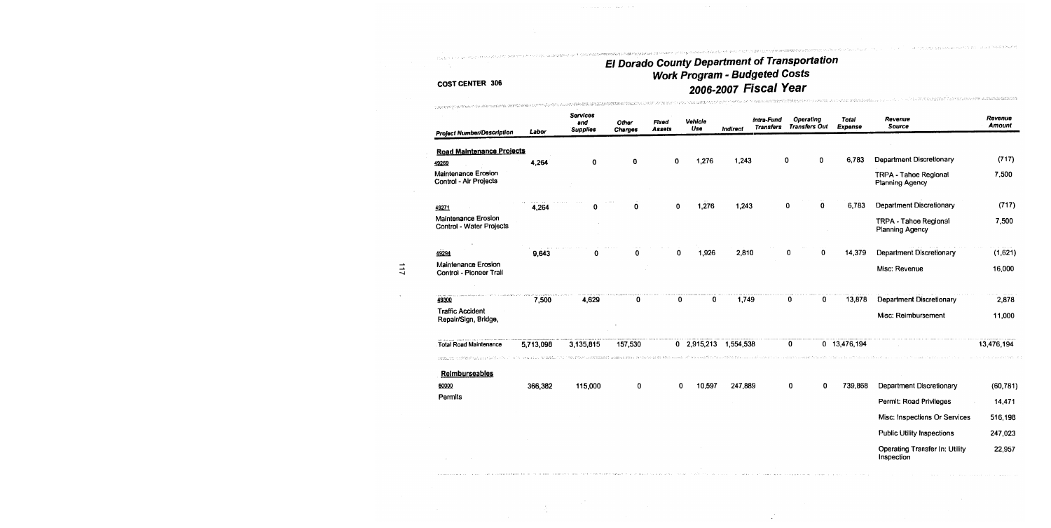spessedence sett

and the same

ET, harly store was a proposed

## **COST CENTER 306**

 $\frac{N}{2}$ 

povere a sur de

| TORNATION IN PRODUCT CONSIDERATION OF THE REPORT MORAL CONTINUES ON THE SECOND DRAG DRAG DISPOSITION CONTINUES<br><b>Project Number/Description</b> | Labor     | Services<br>and<br><b>Supplies</b> | Other<br><b>Charges</b>                                            | Fixed<br><b>Assets</b> | Vehicle<br>Use        | Indirect | Intra-Fund<br><b>Transfers</b> | Operating<br><b>Transfers Out</b> | Total<br>Expense | Revenue<br><b>Source</b>                               | Revenue<br><b>Amount</b> |
|-----------------------------------------------------------------------------------------------------------------------------------------------------|-----------|------------------------------------|--------------------------------------------------------------------|------------------------|-----------------------|----------|--------------------------------|-----------------------------------|------------------|--------------------------------------------------------|--------------------------|
| <b>Road Maintenance Projects</b>                                                                                                                    |           |                                    |                                                                    |                        |                       |          |                                |                                   |                  |                                                        |                          |
| 49269                                                                                                                                               | 4,264     | 0                                  | 0                                                                  | 0                      | 1,276                 | 1,243    |                                | $\mathbf 0$<br>0                  | 6,783            | <b>Department Discretionary</b>                        | (717)                    |
| Maintenance Erosion<br>Control - Air Projects                                                                                                       |           |                                    |                                                                    |                        |                       |          |                                |                                   |                  | <b>TRPA - Tahoe Regional</b><br>Planning Agency        | 7,500                    |
| 49271                                                                                                                                               | 4,264     | Ω                                  | 0                                                                  | 0                      | 1,276                 | 1,243    |                                | 0<br>0                            | 6,783            | <b>Department Discretionary</b>                        | (717)                    |
| Maintenance Erosion<br>Control - Water Projects                                                                                                     |           |                                    |                                                                    |                        |                       |          |                                |                                   |                  | <b>TRPA - Tahoe Regional</b><br><b>Planning Agency</b> | 7,500                    |
| 49294                                                                                                                                               | 9,643     |                                    | Ω                                                                  | 0                      | 1,926                 | 2,810    |                                | 0<br>0                            | 14,379           | Department Discretionary                               | (1,621)                  |
| <b>Maintenance Erosion</b><br>Control - Pioneer Trail                                                                                               |           |                                    |                                                                    |                        |                       |          |                                |                                   |                  | Misc: Revenue                                          | 16,000                   |
| 49300                                                                                                                                               | 7,500     | 4,629                              | 0                                                                  | 0                      | 0                     | 1.749    |                                | 0                                 | 13,878<br>0      | <b>Department Discretionary</b>                        | 2,878                    |
| <b>Traffic Accident</b><br>Repair/Sign, Bridge,                                                                                                     |           |                                    |                                                                    |                        |                       |          |                                |                                   |                  | Misc: Reimbursement                                    | 11,000                   |
| <b>Total Road Maintenance</b>                                                                                                                       | 5,713,098 | 3,135,815                          | 157,530                                                            |                        | 0 2,915,213 1,554,538 |          |                                | 0                                 | 0 13,476,194     |                                                        | 13,476,194               |
|                                                                                                                                                     |           |                                    | te, 4 terrori e humano i manza a roma con a cara della calla calla |                        |                       |          |                                |                                   |                  |                                                        |                          |
| <b>Reimburseables</b><br>60000                                                                                                                      | 366,382   | 115,000                            | 0                                                                  | 0                      | 10,597                | 247,889  |                                | 0                                 | 739,868<br>0     | <b>Department Discretionary</b>                        | (60, 781)                |
| Permits                                                                                                                                             |           |                                    |                                                                    |                        |                       |          |                                |                                   |                  |                                                        |                          |
|                                                                                                                                                     |           |                                    |                                                                    |                        |                       |          |                                |                                   |                  | Permit: Road Privileges                                | 14,471                   |
|                                                                                                                                                     |           |                                    |                                                                    |                        |                       |          |                                |                                   |                  | Misc: Inspections Or Services                          | 516,198                  |
|                                                                                                                                                     |           |                                    |                                                                    |                        |                       |          |                                |                                   |                  | <b>Public Utility Inspections</b>                      | 247,023                  |
|                                                                                                                                                     |           |                                    |                                                                    |                        |                       |          |                                |                                   |                  | Operating Transfer In: Utility<br>Insnection           | 22,957                   |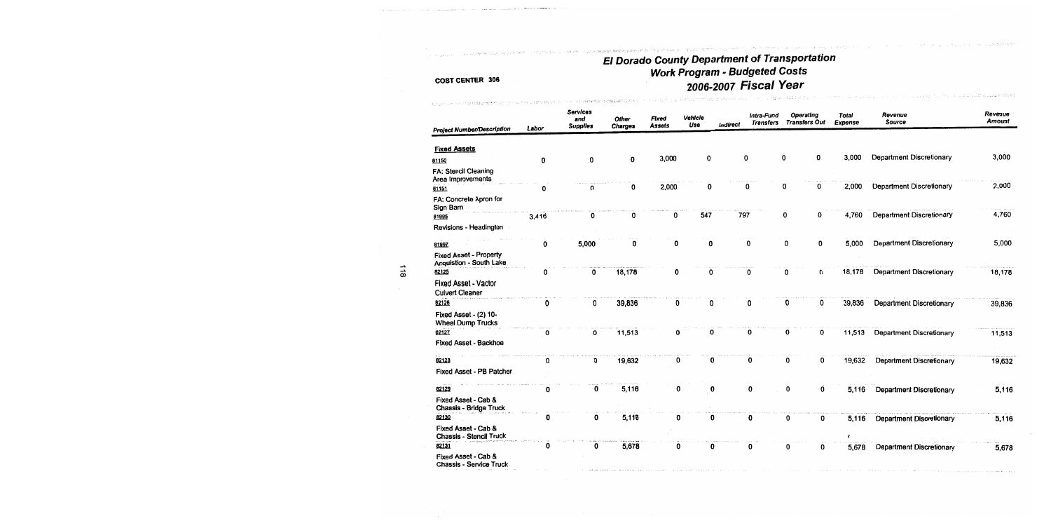in di sul stranana kako strukst

#### **COST CENTER 306**

The contract of the company's contract of the second contract.

| <b>Project Number/Description</b>                        | Labor    | <b>Services</b><br>and<br><b>Supplies</b> | Other<br><b>Charges</b> | Fixed<br><b>Assets</b> | Vehicle<br>Use | <b>Indirect</b> | Intra-Fund<br><b>Transfers</b> |   | Operating<br><b>Transfers Out</b> | Total<br>Expense | Revenue<br><b>Source</b>        | Revenue<br><b>Amount</b> |
|----------------------------------------------------------|----------|-------------------------------------------|-------------------------|------------------------|----------------|-----------------|--------------------------------|---|-----------------------------------|------------------|---------------------------------|--------------------------|
|                                                          |          |                                           |                         |                        |                |                 |                                |   |                                   |                  |                                 |                          |
| <b>Fixed Assets</b>                                      |          |                                           |                         |                        |                |                 |                                |   |                                   |                  |                                 |                          |
| 81150                                                    | 0        | 0                                         | 0                       | 3,000                  | 0              | 0               |                                | 0 | 0                                 | 3,000            | Department Discretionary        | 3,000                    |
| FA: Stencil Cleaning<br>Area Improvements                |          |                                           |                         |                        |                |                 |                                |   |                                   |                  |                                 |                          |
| 81151                                                    | 0        | O                                         | 0                       | 2,000                  | 0              | 0               |                                | 0 | 0                                 | 2,000            | Department Discretionary        | 2,000                    |
| FA: Concrete Apron for<br>Sign Barn                      |          |                                           |                         |                        |                |                 |                                |   |                                   |                  |                                 |                          |
| 81995                                                    | 3,416    | 0                                         | 0                       | 0                      | 547            | 797             |                                | 0 | 0                                 | 4,760            | <b>Department Discretionary</b> | 4,760                    |
| Revisions - Headington                                   |          |                                           |                         |                        |                |                 |                                |   |                                   |                  |                                 |                          |
| 81997                                                    | 0        | 5,000                                     | 0                       | 0                      | 0              | 0               |                                | 0 | 0                                 | 5,000            | Department Discretionary        | 5,000                    |
| <b>Fixed Asset - Property</b><br>Acquistion - South Lake |          |                                           |                         |                        |                |                 |                                |   |                                   |                  |                                 |                          |
| 82125                                                    | 0        | 0                                         | 18,178                  | 0                      | O              |                 | 0                              | ი | 0                                 | 18,178           | <b>Department Discretionary</b> | 18,178                   |
| <b>Fixed Asset - Vactor</b><br><b>Culvert Cleaner</b>    |          |                                           |                         |                        |                |                 |                                |   |                                   |                  |                                 |                          |
| 82126                                                    | 0        | 0                                         | 39,836                  | 0                      | 0              |                 | 0                              | 0 | 0                                 | 39,836           | Department Discretionary        | 39,836                   |
| Fixed Asset - (2) 10-<br><b>Wheel Dump Trucks</b>        |          |                                           |                         |                        |                |                 |                                |   |                                   |                  |                                 |                          |
| 82127                                                    | $\Omega$ | 0                                         | 11,513                  | 0                      | 0              |                 | O                              | 0 | 0                                 | 11,513           | Department Discretionary        | 11,513                   |
| <b>Fixed Asset - Backhoe</b>                             |          |                                           |                         |                        |                |                 |                                |   |                                   |                  |                                 |                          |
| 82128                                                    | 0        | 0                                         | 19,632                  | 0                      | 0              |                 | 0                              | 0 | 0                                 | 19,632           | <b>Department Discretionary</b> | 19,632                   |
| Fixed Asset - PB Patcher                                 |          |                                           |                         |                        |                |                 |                                |   |                                   |                  |                                 |                          |
| 82129                                                    | 0        | 0                                         | 5,116                   | 0                      | 0              |                 | 0                              | 0 | 0                                 | 5,116            | Department Discretionary        | 5,116                    |
| Fixed Asset - Cab &<br>Chassis - Bridge Truck            |          |                                           |                         |                        |                |                 |                                |   |                                   |                  |                                 |                          |
| 82130                                                    | 0        | 0                                         | 5,116                   | 0                      | 0              |                 | 0                              | 0 | 0                                 | 5,116            | Department Discretionary        | 5,116                    |
| Fixed Asset - Cab &<br>Chassis - Stencil Truck           |          |                                           |                         |                        |                |                 |                                |   |                                   | v                |                                 |                          |
| 82131                                                    | 0        | 0                                         | 5,678                   | 0                      | 0              |                 | 0                              | 0 | 0                                 | 5,678            | Department Discretionary        | 5,678                    |
| Fixed Asset - Cab &<br>Chassis - Service Truck           |          |                                           |                         |                        |                |                 |                                |   |                                   |                  |                                 |                          |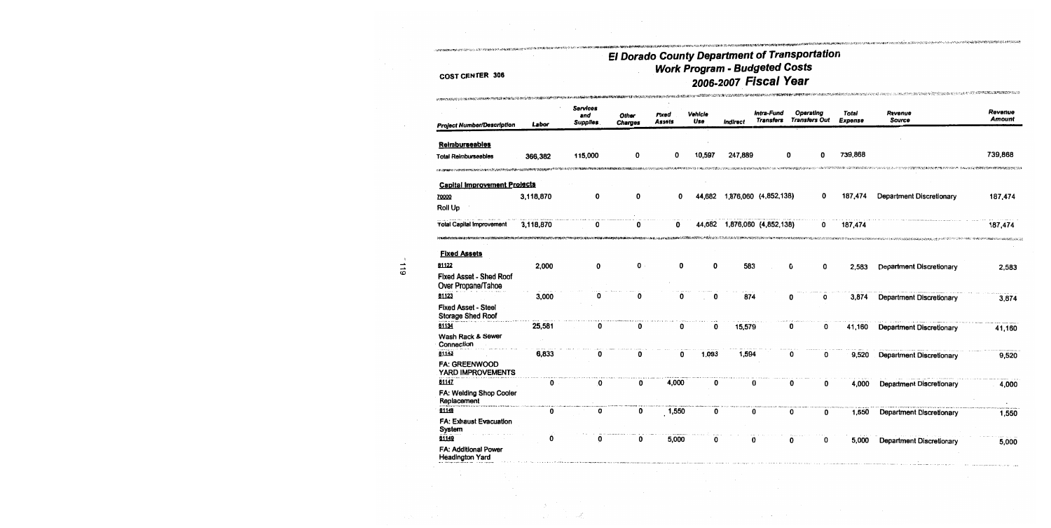## **COST CENTER 306**

APP OF

| преподавой состоянии и <b>политичес</b>                |           |                                    |                  |                                                                                                                       |                |          |                                |                                   |                  |                                 |                   |
|--------------------------------------------------------|-----------|------------------------------------|------------------|-----------------------------------------------------------------------------------------------------------------------|----------------|----------|--------------------------------|-----------------------------------|------------------|---------------------------------|-------------------|
| <b>Project Number/Description</b>                      | Labor     | Services<br>and<br><b>Supplies</b> | Other<br>Charges | Fixed<br>Assets                                                                                                       | Vehicle<br>Use | Indirect | Intra-Fund<br><b>Transfers</b> | Operating<br><b>Transfers Out</b> | Total<br>Expense | Revenue<br>Source               | Revenue<br>Amount |
|                                                        |           |                                    |                  |                                                                                                                       |                |          |                                |                                   |                  |                                 |                   |
| Reimburseables                                         |           |                                    |                  |                                                                                                                       |                |          |                                |                                   |                  |                                 | 739,868           |
| Total Reimburseables                                   | 366,382   | 115,000                            | 0                | 0                                                                                                                     | 10,597         | 247,889  | O                              | 0                                 | 739,868          |                                 |                   |
| ነው መፍጠር የአማርኛ የመልክ አንድ የአማርኛ አንድ በአማርኛ በአማርኛ አንድ       |           |                                    |                  |                                                                                                                       |                |          |                                |                                   |                  |                                 |                   |
| <b>Capital Improvement Projects</b>                    |           |                                    |                  |                                                                                                                       |                |          |                                |                                   |                  |                                 |                   |
| 70000                                                  | 3,118,870 | 0                                  | 0                | 0                                                                                                                     | 44,682         |          | 1,876,060 (4,852,138)          | 0                                 | 187,474          | <b>Department Discretionary</b> | 187,474           |
| Roll Up                                                |           |                                    |                  |                                                                                                                       |                |          |                                |                                   |                  |                                 |                   |
| <b>Total Capital Improvement</b>                       | 3,118,870 | 0                                  |                  | O                                                                                                                     | 44,682         |          | 1,876,060 (4,852,138)          | 0                                 | 187,474          |                                 | 187,474           |
|                                                        |           |                                    |                  | <b>Pierazies voor de sterne keelen van de verken van de verken van de verken van de verken van de verken van de v</b> |                |          |                                |                                   |                  |                                 |                   |
| <b>Fixed Assets</b>                                    |           |                                    |                  |                                                                                                                       |                |          |                                |                                   |                  |                                 |                   |
| 81122                                                  | 2,000     | 0                                  | 0                | 0                                                                                                                     | 0              | 583      |                                | 0<br>0                            | 2,583            | Department Discretionary        | 2,583             |
| <b>Fixed Asset - Shed Roof</b>                         |           |                                    |                  |                                                                                                                       |                |          |                                |                                   |                  |                                 |                   |
| Over Propane/Tahoe                                     |           |                                    |                  |                                                                                                                       |                |          |                                |                                   |                  |                                 |                   |
| 81123                                                  | 3,000     | ŋ                                  | 0                | 0                                                                                                                     | 0              | 874      |                                | 0<br>0                            | 3,874            | <b>Department Discretionary</b> | 3,874             |
| <b>Fixed Asset - Steel</b><br><b>Storage Shed Roof</b> |           |                                    |                  |                                                                                                                       |                |          |                                |                                   |                  |                                 |                   |
| 81134                                                  | 25,581    | O                                  | 0                | 0                                                                                                                     | 0              | 15,579   |                                | 0<br>0                            | 41,160           | <b>Department Discretionary</b> | 41,160            |
| Wash Rack & Sewer<br>Connection                        |           |                                    |                  |                                                                                                                       |                |          |                                |                                   |                  |                                 |                   |
| 81143                                                  | 6,833     | 0                                  | 0                | 0                                                                                                                     | 1,093          | 1,594    |                                | 0<br>0                            | 9,520            | <b>Department Discretionary</b> | 9,520             |
| <b>FA: GREENWOOD</b><br>YARD IMPROVEMENTS              |           |                                    |                  |                                                                                                                       |                |          |                                |                                   |                  |                                 |                   |
| 81147                                                  | 0         | 0                                  | 0                | 4,000                                                                                                                 | 0              |          | 0                              | 0<br>0                            | 4,000            | <b>Department Discretionary</b> | 4,000             |
| FA: Welding Shop Cooler<br>Replacement                 |           |                                    |                  |                                                                                                                       |                |          |                                |                                   |                  |                                 |                   |
| 81148                                                  | 0         | 0                                  | 0                | 1,550                                                                                                                 | 0              |          | 0                              | 0<br>0                            | 1,550            | <b>Department Discretionary</b> | 1,550             |
| FA: Exhaust Evacuation<br>System                       |           |                                    |                  |                                                                                                                       |                |          |                                |                                   |                  |                                 |                   |
| 01149                                                  | 0         | 0                                  | 0                | 5,000                                                                                                                 | 0              |          | 0                              | 0<br>0                            | 5,000            | <b>Department Discretionary</b> | 5,000             |
| FA: Additional Power<br><b>Headington Yard</b>         |           |                                    |                  |                                                                                                                       |                |          |                                |                                   |                  |                                 |                   |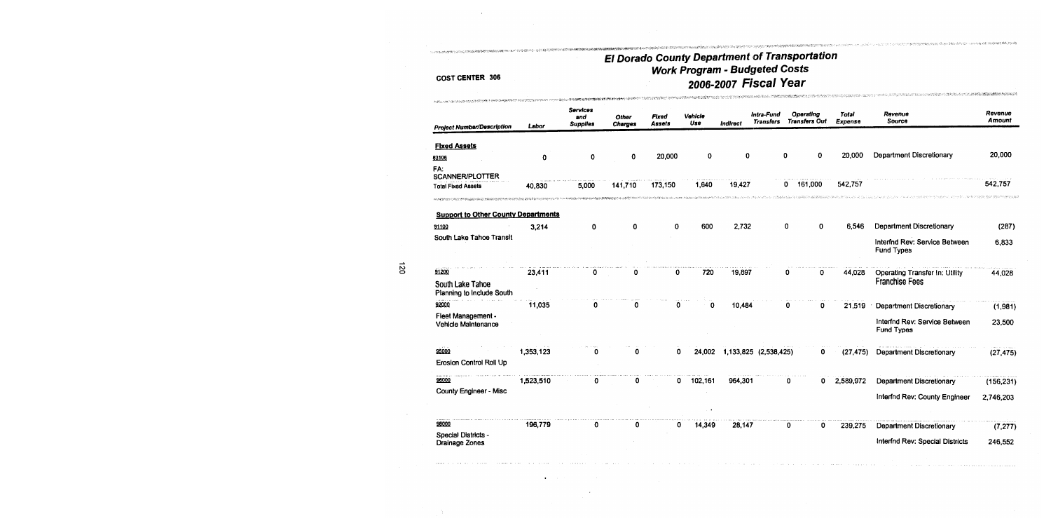see parte and marketing that intends

## **COST CENTER 306**

 $\bullet$ 

| <b>Project Number/Description</b>             | Labor     | Services<br>and<br><b>Supplies</b> | Other<br><b>Charges</b> | Fixed<br>Assets | Vehicle<br>Use | Indirect | Intra-Fund<br><b>Transfers</b> | Operating<br><b>Transfers Out</b> | Total<br>Expense | Revenue<br>Source                                  | Revenue<br><b>Amount</b> |
|-----------------------------------------------|-----------|------------------------------------|-------------------------|-----------------|----------------|----------|--------------------------------|-----------------------------------|------------------|----------------------------------------------------|--------------------------|
| <b>Fixed Assets</b>                           |           |                                    |                         |                 |                |          |                                |                                   |                  |                                                    |                          |
| 83106                                         | $\bf{0}$  | 0                                  | 0                       | 20,000          | 0              | 0        | 0                              | 0                                 | 20,000           | <b>Department Discretionary</b>                    | 20,000                   |
| FA:<br><b>SCANNER/PLOTTER</b>                 |           |                                    |                         |                 |                |          |                                |                                   |                  |                                                    |                          |
| <b>Total Fixed Assets</b>                     | 40,830    | 5,000                              | 141.710                 | 173,150         | 1,640          | 19,427   | 0                              | 161,000                           | 542,757          |                                                    | 542,757                  |
| <b>Support to Other County Departments</b>    |           |                                    |                         |                 |                |          |                                |                                   |                  |                                                    |                          |
| 91100                                         | 3,214     | 0                                  | 0                       | 0               | 600            | 2,732    | 0                              | 0                                 | 6.546            | <b>Department Discretionary</b>                    | (287)                    |
| South Lake Tahoe Transit                      |           |                                    |                         |                 |                |          |                                |                                   |                  | Interfnd Rev: Service Between<br><b>Fund Types</b> | 6,833                    |
| 91200                                         | 23,411    | 0                                  |                         | 0               | 720            | 19,897   |                                | 0<br>0                            | 44,028           | Operating Transfer In: Utility                     | 44,028                   |
| South Lake Tahoe<br>Planning to Include South |           |                                    |                         |                 |                |          |                                |                                   |                  | <b>Franchise Fees</b>                              |                          |
| 92000                                         | 11,035    | Ω                                  | 0                       | 0               | 0              | 10,484   |                                | 0<br>0                            | 21,519           | <b>Department Discretionary</b>                    | (1,981)                  |
| Fleet Management -<br>Vehicle Maintenance     |           |                                    |                         |                 |                |          |                                |                                   |                  | Interfnd Rev: Service Between<br>Fund Types        | 23,500                   |
| 95000                                         | 1,353,123 |                                    | o                       | 0               | 24,002         |          | 1,133,825 (2,538,425)          | 0                                 | (27, 475)        | Department Discretionary                           | (27, 475)                |
| Erosion Control Roll Up                       |           |                                    |                         |                 |                |          |                                |                                   |                  |                                                    |                          |
| 96000                                         | 1,523,510 |                                    | 0                       | 0               | 102,161        | 964,301  |                                | 0<br>0                            | 2,589,972        | <b>Department Discretionary</b>                    | (156, 231)               |
| County Engineer - Misc                        |           |                                    |                         |                 |                |          |                                |                                   |                  | Interfnd Rev: County Engineer                      | 2,746,203                |
| 98000                                         | 196,779   |                                    | 0                       | 0               | 14,349         | 28,147   |                                | 0<br>0                            | 239,275          | <b>Department Discretionary</b>                    | (7, 277)                 |
| Special Districts -<br>Drainage Zones         |           |                                    |                         |                 |                |          |                                |                                   |                  | Interfnd Rev: Special Districts                    | 246,552                  |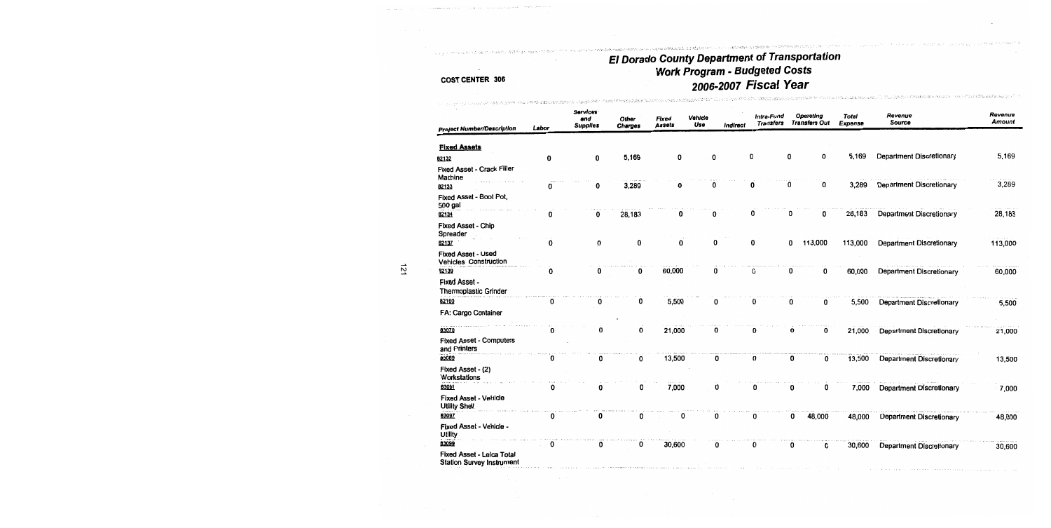## El Dorado County Department of Transportation<br>Work Program - Budgeted Costs<br>2006-2007 Fiscal Year the sensor of the property of the control of the control of the sensor of the theoretic present of the sensor sensor of the sensor of the sensor of the sensor of the sensor of the sensor of the sensor of the sensor of the

.<br>Martin adalah persampang pangkatan di pangkalan ang

|                                                                      | Labor | Services<br>and<br><b>Supplies</b> | Other<br>Charges | <b>Fixed</b><br><b>Assets</b> | Vehicle<br>Use | Indirect | Intra-Fund<br><b>Transfers</b> | Operating<br><b>Transfers Out</b> |         | Total<br>Expense | Revenue<br>Source               | Revenue<br>Amount |
|----------------------------------------------------------------------|-------|------------------------------------|------------------|-------------------------------|----------------|----------|--------------------------------|-----------------------------------|---------|------------------|---------------------------------|-------------------|
| <b>Project Number/Description</b>                                    |       |                                    |                  |                               |                |          |                                |                                   |         |                  |                                 |                   |
| <b>Fixed Assets</b>                                                  |       |                                    |                  |                               |                |          |                                |                                   |         |                  |                                 |                   |
| 82132                                                                | 0     | 0                                  | 5,169            | 0                             | 0              |          | 0                              | 0                                 | 0       | 5,169            | Department Discretionary        | 5,169             |
| Fixed Asset - Crack Filler<br>Machine                                |       |                                    |                  |                               |                |          |                                |                                   |         |                  |                                 |                   |
| 82133                                                                |       | 0                                  | 3,289            | ŋ                             | 0              |          | 0                              | 0                                 | 0       | 3,289            | <b>Department Discretionary</b> | 3,289             |
| Fixed Asset - Boot Pot,<br>500 gal<br>62134                          |       | 0                                  | 28,183           | 0                             | 0              |          | 0                              | 0                                 | 0       | 28,183           | <b>Department Discretionary</b> | 28,183            |
|                                                                      |       |                                    |                  |                               |                |          |                                |                                   |         |                  |                                 |                   |
| Fixed Asset - Chip<br>Spreader<br>82137                              | 0     | 0                                  | 0                | 0                             | 0              |          | 0                              | 0                                 | 113,000 | 113,000          | Department Discretionary        | 113,000           |
| <b>Fixed Asset - Used</b><br>Vehicles Construction                   |       |                                    |                  |                               |                |          |                                |                                   |         |                  |                                 |                   |
| 82139                                                                | 0     | 0                                  | 0                | 60,000                        | 0              |          | 0                              | 0                                 | 0       | 60,000           | <b>Department Discretionary</b> | 60,000            |
| <b>Fixed Asset -</b><br><b>Thermoplastic Grinder</b>                 |       |                                    |                  |                               |                |          |                                |                                   |         |                  |                                 |                   |
| 82160                                                                | 0     | 0                                  | 0                | 5,500                         | 0              |          | 0                              | 0                                 | 0       | 5,500            | <b>Department Discretionary</b> | 5,500             |
| FA: Cargo Container                                                  |       |                                    |                  |                               |                |          |                                |                                   |         |                  |                                 |                   |
| 83070                                                                | 0     | <sup>0</sup>                       | 0                | 21,000                        | 0              |          | 0                              | o                                 | 0       | 21,000           | Department Discretionary        | 21,000            |
| <b>Fixed Asset - Computers</b><br>and Printers                       |       |                                    |                  |                               |                |          |                                |                                   |         |                  |                                 |                   |
| 83089                                                                | 0     | n                                  | 0                | 13,500                        | 0              |          | 0                              | 0                                 | 0       | 13,500           | <b>Department Discretionary</b> | 13,500            |
| Fixed Asset - (2)<br>Workstations                                    |       |                                    |                  |                               |                |          |                                |                                   |         |                  |                                 |                   |
| 83091                                                                | 0     | 0                                  | 0                | 7,000                         | 0              |          | 0                              | 0                                 | 0       | 7,000            | Department Discretionary        | 7,000             |
| <b>Fixed Asset - Vehicle</b><br><b>Utility Shell</b>                 |       |                                    |                  |                               |                |          |                                |                                   |         |                  |                                 |                   |
| 03097                                                                | 0     | 0                                  | 0                | 0                             | 0              |          | 0                              | 0                                 | 48,000  | 48,000           | Department Discretionary        | 48,000            |
| Fixed Asset - Vehicle -<br>Utility                                   |       |                                    |                  |                               |                |          |                                |                                   |         |                  |                                 |                   |
| 83099                                                                | 0     | 0                                  | 0                | 30,600                        | 0              |          | 0                              | 0                                 | 0       | 30,600           | Department Discretionary        | 30,600            |
| <b>Fixed Asset - Leica Total</b><br><b>Station Survey Instrument</b> |       |                                    |                  |                               |                |          |                                |                                   |         |                  |                                 |                   |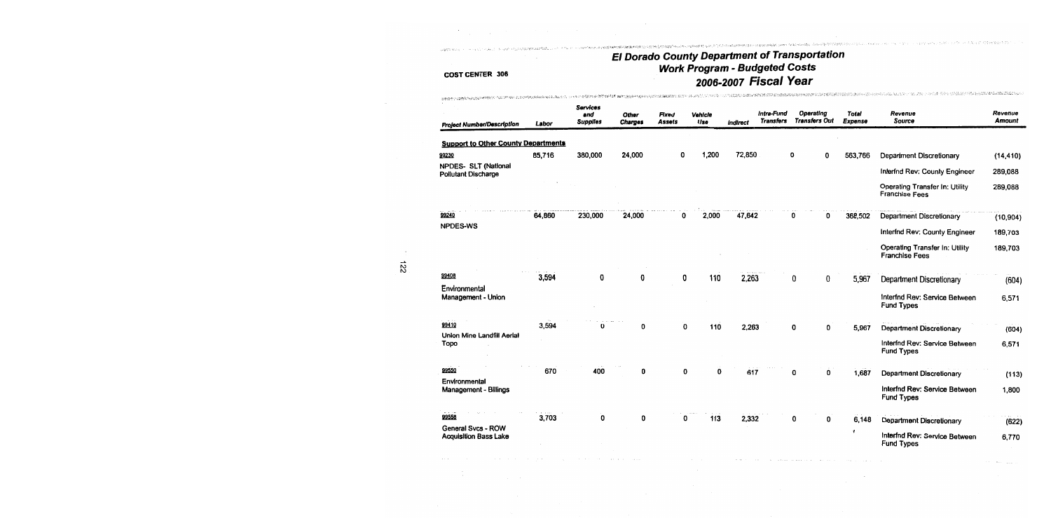## **COST CENTER 306**

.<br>U da med *hatt* 1997

| ም በመጨዋታ በተደረቀው አይተማመት የሚመድረስ አማርኛ ነው። በዚህ አይተማል የአማር አይታወቁ የአማር መሆኑ የሚያስተው የአማር አይታወቁ የአማር አይታወቁ የአማር አይታወቁ የአማ |        |                                    |                         | ALLEY THE RESPONSE FOR A LOCAL CONTRACTOR CONTRACTOR OF THE RESPONSE OF THE RESPONSE OF THE RESPONSE OF THE RE |                |          |                                |                                   |                  | And the control of the condition was representated the analysis of the property of the control of the |                          |
|-----------------------------------------------------------------------------------------------------------------|--------|------------------------------------|-------------------------|----------------------------------------------------------------------------------------------------------------|----------------|----------|--------------------------------|-----------------------------------|------------------|-------------------------------------------------------------------------------------------------------|--------------------------|
| <b>Project Number/Description</b>                                                                               | Labor  | Services<br>and<br><b>Supplies</b> | Other<br><b>Charges</b> | Fixed<br><b>Assets</b>                                                                                         | Vehicle<br>Use | Indirect | Intra-Fund<br><b>Transfers</b> | Operating<br><b>Transfers Out</b> | Total<br>Expense | Revenue<br>Source                                                                                     | Revenue<br><b>Amount</b> |
|                                                                                                                 |        |                                    |                         |                                                                                                                |                |          |                                |                                   |                  |                                                                                                       |                          |
| <b>Support to Other County Departments</b>                                                                      |        |                                    |                         |                                                                                                                |                |          |                                |                                   |                  |                                                                                                       |                          |
| 99230<br>NPDES- SLT (National                                                                                   | 85,716 | 380,000                            | 24,000                  | 0                                                                                                              | 1,200          | 72,850   |                                | 0<br>0                            | 563,766          | <b>Department Discretionary</b>                                                                       | (14, 410)                |
| <b>Pollutant Discharge</b>                                                                                      |        |                                    |                         |                                                                                                                |                |          |                                |                                   |                  | Interfnd Rev: County Engineer                                                                         | 289,088                  |
|                                                                                                                 |        |                                    |                         |                                                                                                                |                |          |                                |                                   |                  | <b>Operating Transfer In: Utility</b><br><b>Franchise Fees</b>                                        | 289,088                  |
| 99240                                                                                                           | 64,860 | 230,000                            | 24,000                  | 0                                                                                                              | 2,000          | 47,642   |                                | 0<br>0                            | 368,502          | Department Discretionary                                                                              | (10, 904)                |
| <b>NPDES-WS</b>                                                                                                 |        |                                    |                         |                                                                                                                |                |          |                                |                                   |                  | Interfnd Rev: County Engineer                                                                         | 189,703                  |
|                                                                                                                 |        |                                    |                         |                                                                                                                |                |          |                                |                                   |                  | Operating Transfer In: Utility<br><b>Franchise Fees</b>                                               | 189,703                  |
| 99408                                                                                                           | 3,594  | 0                                  | 0                       | 0                                                                                                              | 110            | 2,263    |                                | 0<br>0                            | 5,967            | Department Discretionary                                                                              | (604)                    |
| Environmental                                                                                                   |        |                                    |                         |                                                                                                                |                |          |                                |                                   |                  |                                                                                                       |                          |
| Management - Union                                                                                              |        |                                    |                         |                                                                                                                |                |          |                                |                                   |                  | Interfnd Rev: Service Between<br><b>Fund Types</b>                                                    | 6,571                    |
| 99410                                                                                                           | 3,594  |                                    | 0                       | 0                                                                                                              | 110            | 2,263    |                                | 0<br>0                            | 5,967            | Department Discretionary                                                                              | (604)                    |
| Union Mine Landfill Aerial<br>Topo                                                                              |        |                                    |                         |                                                                                                                |                |          |                                |                                   |                  | Interfnd Rev: Service Between<br><b>Fund Types</b>                                                    | 6,571                    |
| 99550                                                                                                           | 670    | 400                                | 0                       | 0                                                                                                              | 0              | 617      |                                | 0<br>0                            | 1,687            | <b>Department Discretionary</b>                                                                       | (113)                    |
| Environmental<br>Management - Billings                                                                          |        |                                    |                         |                                                                                                                |                |          |                                |                                   |                  | Interfnd Rev: Service Between<br>Fund Types                                                           | 1,800                    |
| 99558                                                                                                           | 3,703  | ŋ                                  | 0                       | ŋ                                                                                                              | 113            | 2,332    |                                | 0<br>0                            | 6,148            | Department Discretionary                                                                              | (622)                    |
| General Svcs - ROW<br><b>Acquisition Bass Lake</b>                                                              |        |                                    |                         |                                                                                                                |                |          |                                |                                   |                  | Interfnd Rev: Service Between<br><b>Fund Types</b>                                                    | 6,770                    |

communications and analysis

122

 $\sim$   $\sim$ 

 $\mathbb{I}$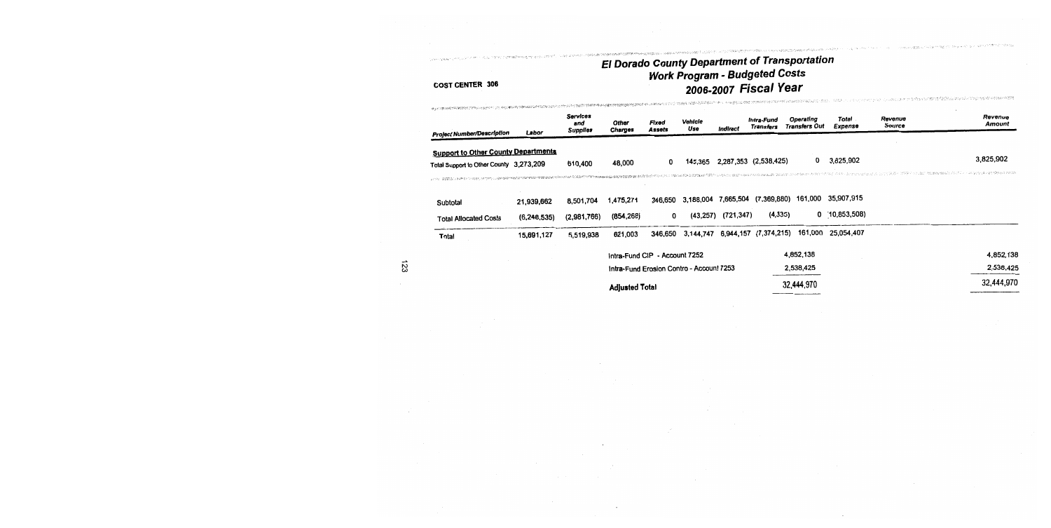## .<br>1994-1994 - January Maria Maria Maria (1995-1994) El Dorado County Department of Transportation<br>Work Program - Budgeted Costs 2006-2007 Fiscal Year

Machine with the property of the state of the state of the state of the school

two your responsibilities (Base, 1980), the 2010/2010/2010 Every Co.

| <b>Project Number/Description</b>                                                     | Labor         | <b>Services</b><br>and<br><b>Supplies</b> | Other<br>Charges              | Fixed<br>Assets | Vehicle<br>Use                           | Indirect               | Intra-Fund<br><b>Transfers</b>  | Operating<br>Transfers Out | Total<br>Expense | Revenue<br>Source | Revenue<br>Amount                                             |
|---------------------------------------------------------------------------------------|---------------|-------------------------------------------|-------------------------------|-----------------|------------------------------------------|------------------------|---------------------------------|----------------------------|------------------|-------------------|---------------------------------------------------------------|
| <b>Support to Other County Departments</b><br>Total Support to Other County 3,273,209 |               | 610,400                                   | 48,000                        | 0               | 145,365                                  |                        | 2,287,353 (2,538,425)           | 0                          | 3.825,902        |                   | 3,825,902<br>ていこう コウティット はこ Mission made アニュー おうろうか はんがいぶ パンか |
| Subtotal                                                                              | 21,939,662    | 8,501,704                                 | 1,475,271                     | 346,650         |                                          |                        | 3,188,004 7,665,504 (7,369,880) | 161,000                    | 35,907,915       |                   |                                                               |
| <b>Total Allocated Costs</b>                                                          | (6, 248, 535) | (2,981,766)                               | (854, 268)                    | 0               |                                          | $(43,257)$ $(721,347)$ | (4, 335)                        |                            | $0$ (10,853,508) |                   |                                                               |
| Total                                                                                 | 15,691,127    | 5,519,938                                 | 621,003                       | 346,650         | 3,144,747                                |                        | 6,944,157 (7,374,215)           | 161,000                    | 25,054,407       |                   |                                                               |
|                                                                                       |               |                                           | Intra-Fund CIP - Account 7252 |                 |                                          |                        |                                 | 4,852,138                  |                  |                   | 4,852,138                                                     |
|                                                                                       |               |                                           |                               |                 | Intra-Fund Erosion Contro - Account 7253 |                        |                                 | 2,538,425                  |                  |                   | 2,538,425                                                     |
|                                                                                       |               |                                           | <b>Adjusted Total</b>         |                 |                                          |                        |                                 | 32,444,970                 |                  |                   | 32,444,970                                                    |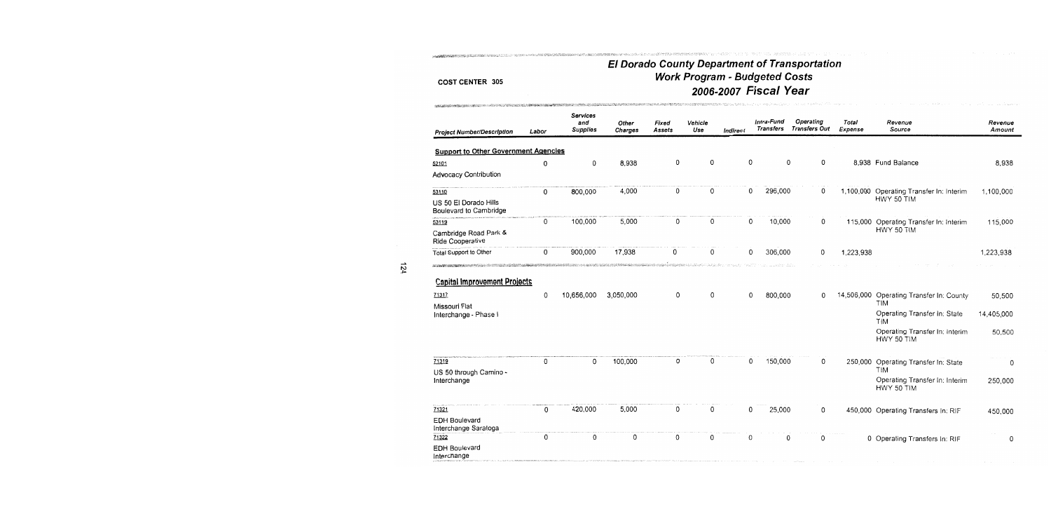THE TRANSPORT THE STATE OF THE STATE OF THE RELEASE OF THE STATE OF THE LANGE THE STATE OF THE STATE OF THE STATE OF THE STATE OF THE STATE OF THE STATE OF THE STATE OF THE STATE OF THE STATE OF THE STATE OF THE STATE OF T

## El Dorado County Department of Transportation<br>Work Program - Budgeted Costs 2006-2007 Fiscal Year

| <b>Project Number/Description</b>                                                               | Labor  | <b>Services</b><br>and<br><b>Supplies</b> | Other<br>Charges     | Fixed<br>Assets | Vehicle<br>Use | <b>Indirect</b> | Intra-Fund<br>Transfers | Operating<br><b>Transfers Out</b> | Total<br>Expense | Revenue<br>Source                                                                                                           | Revenue<br>Amount              |
|-------------------------------------------------------------------------------------------------|--------|-------------------------------------------|----------------------|-----------------|----------------|-----------------|-------------------------|-----------------------------------|------------------|-----------------------------------------------------------------------------------------------------------------------------|--------------------------------|
| <b>Support to Other Government Agencies</b>                                                     |        |                                           |                      |                 |                |                 |                         |                                   |                  |                                                                                                                             |                                |
| 52101                                                                                           | 0      | 0                                         | 8,938                | 0               | 0              | 0               |                         | 0<br>0                            |                  | 8,938 Fund Balance                                                                                                          | 8,938                          |
| <b>Advocacy Contribution</b>                                                                    |        |                                           |                      |                 |                |                 |                         |                                   |                  |                                                                                                                             |                                |
| 53110                                                                                           | 0      | 800,000                                   | 4,000                | 0               | 0              | 0               | 296,000                 | 0                                 | 1,100,000        | Operating Transfer In: Interim                                                                                              | 1,100,000                      |
| US 50 El Dorado Hills<br>Boulevard to Cambridge                                                 |        |                                           |                      |                 |                |                 |                         |                                   |                  | HWY 50 TIM                                                                                                                  |                                |
| 53119                                                                                           | 0      | 100,000                                   | 5,000                | 0               | 0              | 0               | 10,000                  | 0                                 | 115,000          | Operating Transfer In: Interim                                                                                              | 115,000                        |
| Cambridge Road Park &<br>Ride Cooperative                                                       |        |                                           |                      |                 |                |                 |                         |                                   |                  | HWY 50 TIM                                                                                                                  |                                |
| Total Support to Other                                                                          | 0      | 900,000                                   | 17,938               | 0               | 0              | 0               | 306,000                 | 0                                 | 1,223,938        |                                                                                                                             | 1,223,938                      |
| <b>Capital Improvement Projects</b><br>71317<br>Missouri Flat<br>Interchange - Phase I<br>71319 | 0<br>0 | 10,656,000<br>0                           | 3,050,000<br>100,000 | 0<br>0          | 0<br>0         | 0<br>0          | 800,000<br>150,000      | 0<br>0                            | 14,506,000       | Operating Transfer In: County<br>TIM<br>Operating Transfer In: State<br>TIM<br>Operating Transfer In: Interim<br>HWY 50 TIM | 50,500<br>14,405,000<br>50,500 |
| US 50 through Camino -                                                                          |        |                                           |                      |                 |                |                 |                         |                                   | 250,000          | Operating Transfer In: State<br>TIM                                                                                         | 0                              |
| Interchange                                                                                     |        |                                           |                      |                 |                |                 |                         |                                   |                  | Operating Transfer In: Interim<br>HWY 50 TIM                                                                                | 250,000                        |
| 71321                                                                                           | 0      | 420,000                                   | 5,000                | 0               | 0              | 0               | 25,000                  | 0                                 |                  | 450,000 Operating Transfers In: RIF                                                                                         | 450,000                        |
| <b>EDH Boulevard</b><br>Interchange Saratoga                                                    |        |                                           |                      |                 |                |                 |                         |                                   |                  |                                                                                                                             |                                |
| 71322                                                                                           | 0      | 0                                         | 0                    | 0               | 0              | 0               |                         | O<br>0                            |                  | 0 Operating Transfers In: RIF                                                                                               | 0                              |
| <b>EDH Boulevard</b><br>Interchange                                                             |        |                                           |                      |                 |                |                 |                         |                                   |                  |                                                                                                                             |                                |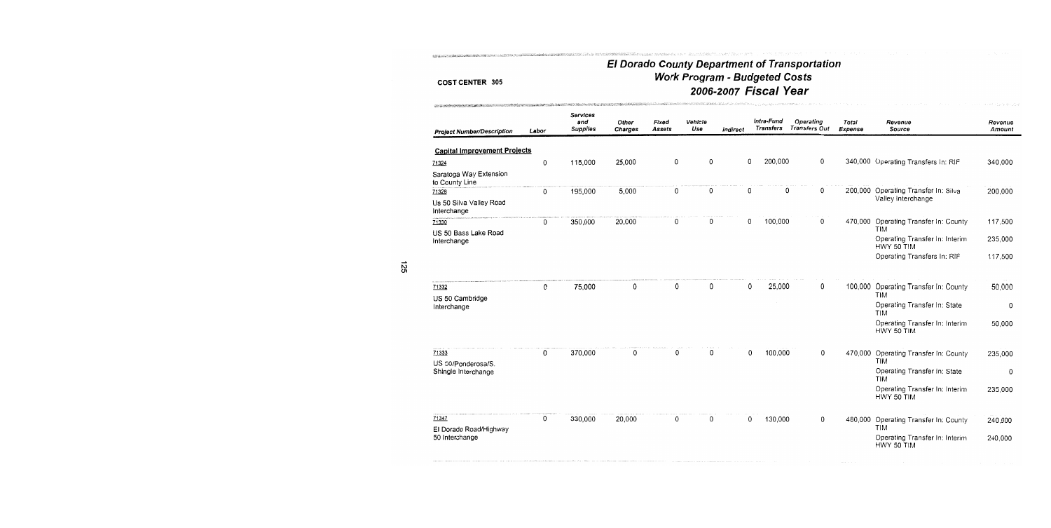THE CONFIDENTIAL CONSTITUTION OF THE CONFIDENTIAL CONFIDENTIAL CONTINUES AND CONFIDENTIAL CONFIDENTIAL CONFIDENTIAL CONFIDENTIAL CONFIDENTIAL CONFIDENTIAL CONFIDENTIAL CONFIDENTIAL CONFIDENTIAL CONFIDENTIAL CONFIDENTIAL CO

**NORTHERN AND CONSTRUCTIONS OF A STATE OF A STATE OF A STATE OF A STATE OF A STATE OF A STATE OF A STATE OF A S** 

## El Dorado County Department of Transportation<br>Work Program - Budgeted Costs 2006-2007 Fiscal Year

| <b>Project Number/Description</b>        | Labor | Services<br>and<br><b>Supplies</b> | Other<br>Charges | Fixed<br><b>Assets</b> | Vehicle<br>Use | <b>Indirect</b> |   | Intra-Fund<br>Transfers | Operating<br><b>Transfers Out</b> | Total<br>Expense | Revenue<br>Source                            | Revenue<br>Amount |
|------------------------------------------|-------|------------------------------------|------------------|------------------------|----------------|-----------------|---|-------------------------|-----------------------------------|------------------|----------------------------------------------|-------------------|
| <b>Capital Improvement Projects</b>      |       |                                    |                  |                        |                |                 |   |                         |                                   |                  |                                              |                   |
| 71324                                    | 0     | 115,000                            | 25,000           | 0                      | 0              |                 | 0 | 200,000                 | 0                                 |                  | 340,000 Operating Transfers In: RIF          | 340,000           |
| Saratoga Way Extension<br>to County Line |       |                                    |                  |                        |                |                 |   |                         |                                   |                  |                                              |                   |
| 71328                                    | 0     | 195,000                            | 5,000            | 0                      | 0              |                 | 0 | 0                       | 0                                 |                  | 200,000 Operating Transfer In: Silva         | 200,000           |
| Us 50 Silva Valley Road<br>Interchange   |       |                                    |                  |                        |                |                 |   |                         |                                   |                  | Valley Interchange                           |                   |
| 71330                                    | 0     | 350,000                            | 20,000           | 0                      | 0              |                 | 0 | 100,000                 | 0                                 | 470,000          | Operating Transfer In: County<br><b>TIM</b>  | 117,500           |
| US 50 Bass Lake Road<br>Interchange      |       |                                    |                  |                        |                |                 |   |                         |                                   |                  | Operating Transfer In: Interim<br>HWY 50 TIM | 235,000           |
|                                          |       |                                    |                  |                        |                |                 |   |                         |                                   |                  | Operating Transfers In: RIF                  | 117,500           |
| 71332                                    | 0     | 75,000                             | 0                | 0                      | 0              |                 | 0 | 25,000                  | 0                                 | 100,000          | Operating Transfer In: County                | 50,000            |
| US 50 Cambridge                          |       |                                    |                  |                        |                |                 |   |                         |                                   |                  | <b>TIM</b>                                   |                   |
| Interchange                              |       |                                    |                  |                        |                |                 |   |                         |                                   |                  | Operating Transfer In: State<br>TIM          | 0                 |
|                                          |       |                                    |                  |                        |                |                 |   |                         |                                   |                  | Operating Transfer In: Interim<br>HWY 50 TIM | 50,000            |
| 71333<br>US 50/Ponderosa/S.              | 0     | 370,000                            | $\Omega$         | 0                      | 0              |                 | 0 | 100,000                 | 0                                 | 470,000          | Operating Transfer In: County<br><b>TIM</b>  | 235,000           |
| Shingle Interchange                      |       |                                    |                  |                        |                |                 |   |                         |                                   |                  | Operating Transfer In: State<br><b>TIM</b>   | 0                 |
|                                          |       |                                    |                  |                        |                |                 |   |                         |                                   |                  | Operating Transfer In: Interim<br>HWY 50 TIM | 235,000           |
| 71347<br>El Dorado Road/Highway          | 0     | 330,000                            | 20,000           | 0                      | 0              |                 | 0 | 130,000                 | 0                                 | 480,000          | Operating Transfer In: County<br>TIM         | 240,000           |
| 50 Interchange                           |       |                                    |                  |                        |                |                 |   |                         |                                   |                  | Operating Transfer In: Interim<br>HWY 50 TIM | 240,000           |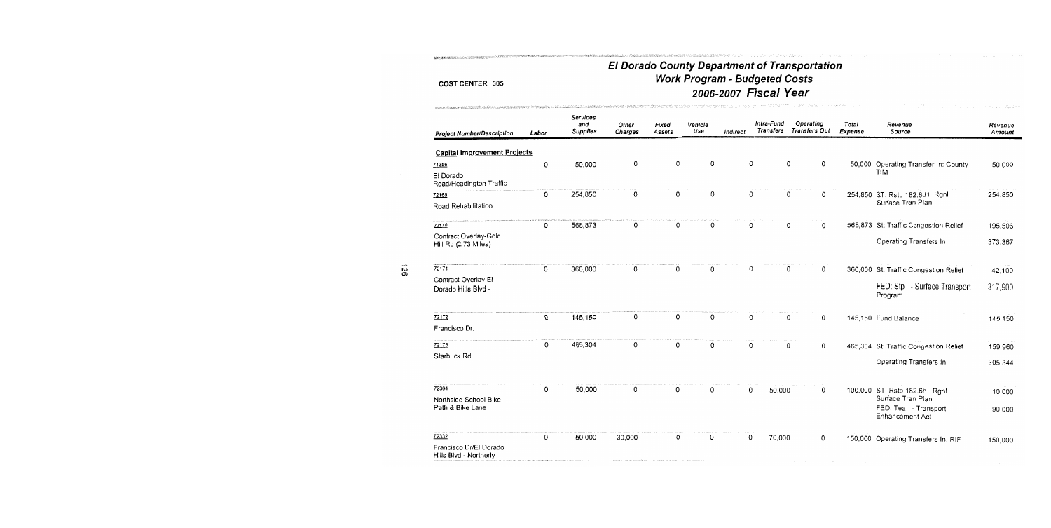ALLANGER MARCHERSTON SAN SPERANTANIA

The March of the Second Second Second Second Second Second Second Second Second Second Second Second Second Second Second Second Second Second Second Second Second Second Second Second Second Second Second Second Second Se

## El Dorado County Department of Transportation **Work Program - Budgeted Costs** 2006-2007 Fiscal Year

| <b>Project Number/Description</b>                         | Labor | <b>Services</b><br>and<br><b>Supplies</b> | Other<br>Charges | Fixed<br>Assets | Vehicle<br>Use | Indirect | Intra-Fund<br>Transfers |   | Operating<br><b>Transfers Out</b> | Total<br>Expense | Revenue<br>Source                                 | Revenue<br>Amount |
|-----------------------------------------------------------|-------|-------------------------------------------|------------------|-----------------|----------------|----------|-------------------------|---|-----------------------------------|------------------|---------------------------------------------------|-------------------|
| <b>Capital Improvement Projects</b>                       |       |                                           |                  |                 |                |          |                         |   |                                   |                  |                                                   |                   |
| 71356                                                     | 0     | 50,000                                    | 0                | 0               | 0              |          | 0                       | 0 | 0                                 |                  | 50,000 Operating Transfer In: County              | 50,000            |
| El Dorado<br>Road/Headington Traffic                      |       |                                           |                  |                 |                |          |                         |   |                                   |                  | <b>TIM</b>                                        |                   |
| 72169                                                     | 0     | 254,850                                   | 0                | 0               | 0              |          | 0                       | 0 | 0                                 |                  | 254,850 ST: Rstp 182.6d1 Rgnl                     | 254,850           |
| Road Rehabilitation                                       |       |                                           |                  |                 |                |          |                         |   |                                   |                  | Surface Tran Plan                                 |                   |
| 72170                                                     | 0     | 568,873                                   | 0                | 0               | 0              |          | 0                       | 0 | $\mathbf 0$                       |                  | 568,873 St: Traffic Congestion Relief             | 195,506           |
| Contract Overlay-Gold<br>Hill Rd (2.73 Miles)             |       |                                           |                  |                 |                |          |                         |   |                                   |                  | Operating Transfers In                            | 373,367           |
| 72171                                                     | 0     | 360,000                                   | 0                | 0               | 0              |          | 0                       | 0 | 0                                 |                  | 360,000 St: Traffic Congestion Relief             | 42,100            |
| Contract Overlay El<br>Dorado Hills Blvd -                |       |                                           |                  |                 |                |          |                         |   |                                   |                  | FED: Stp - Surface Transport<br>Program           | 317,900           |
| 72172                                                     | 0     | 145,150                                   | 0                | 0               | 0              |          | 0                       | 0 | 0                                 |                  | 145,150 Fund Balance                              | 145,150           |
| Francisco Dr.                                             |       |                                           |                  |                 |                |          |                         |   |                                   |                  |                                                   |                   |
| 72173                                                     | 0     | 465,304                                   | 0                | 0               | 0              |          | 0                       | 0 | 0                                 |                  | 465,304 St: Traffic Congestion Relief             | 159,960           |
| Starbuck Rd.                                              |       |                                           |                  |                 |                |          |                         |   |                                   |                  | Operating Transfers In                            | 305,344           |
| 72304                                                     | 0     | 50,000                                    | 0                | 0               | 0              |          | 0<br>50,000             |   | 0                                 |                  | 100,000 ST: Rstp 182.6h Rgnl<br>Surface Tran Plan | 10,000            |
| Northside School Bike<br>Path & Bike Lane                 |       |                                           |                  |                 |                |          |                         |   |                                   |                  | FED: Tea - Transport<br><b>Enhancement Act</b>    | 90,000            |
| 72332<br>Francisco Dr/El Dorado<br>Hills Blvd - Northerly | 0     | 50,000                                    | 30,000           | 0               | 0              |          | 0<br>70,000             |   | 0                                 |                  | 150,000 Operating Transfers In: RIF               | 150,000           |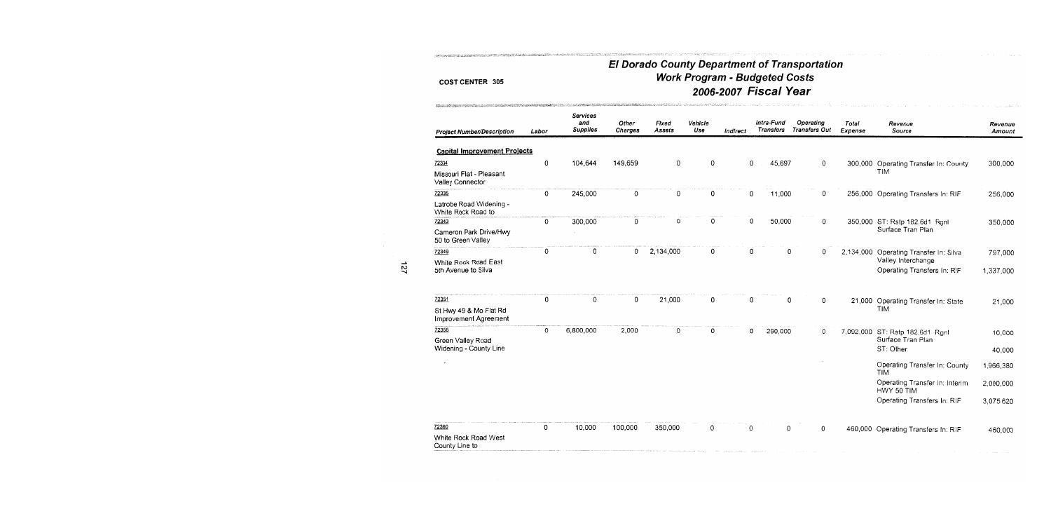- new political construction of the control of the construction

## El Dorado County Department of Transportation **Work Program - Budgeted Costs** 2006-2007 Fiscal Year

| <b>Project Number/Description</b>               | Labor | Services<br>and<br><b>Supplies</b> | Other<br><b>Charges</b> | Fixed<br>Assets | Vehicle<br>Use | Indirect | Intra-Fund<br><b>Transfers</b> | Operating<br><b>Transfers Out</b> | Total<br><b>Expense</b> | Revenue<br>Source                            | Revenue<br>Amount |
|-------------------------------------------------|-------|------------------------------------|-------------------------|-----------------|----------------|----------|--------------------------------|-----------------------------------|-------------------------|----------------------------------------------|-------------------|
| <b>Capital Improvement Projects</b>             |       |                                    |                         |                 |                |          |                                |                                   |                         |                                              |                   |
| 72334                                           | 0     | 104,644                            | 149,659                 | 0               | 0              | 0        | 45,697                         | 0                                 |                         | 300,000 Operating Transfer In: County        | 300,000           |
| Missouri Flat - Pleasant<br>Valley Connector    |       |                                    |                         |                 |                |          |                                |                                   |                         | TIM                                          |                   |
| 72335                                           | 0     | 245,000                            | 0                       | 0               | 0              | 0        | 11,000                         | 0                                 |                         | 256,000 Operating Transfers In: RIF          | 256,000           |
| Latrobe Road Widening -<br>White Rock Road to   |       |                                    |                         |                 |                |          |                                |                                   |                         |                                              |                   |
| 72343                                           | 0     | 300,000                            | 0                       | 0               | 0              | 0        | 50,000                         | 0                                 |                         | 350,000 ST: Rstp 182.6d1 Rgnl                | 350,000           |
| Cameron Park Drive/Hwy<br>50 to Green Valley    |       |                                    |                         |                 |                |          |                                |                                   |                         | Surface Tran Plan                            |                   |
| 72349                                           | 0     | 0                                  | 0                       | 2,134,000       | 0              | 0        |                                | $\mathbf 0$<br>0                  | 2,134,000               | Operating Transfer In: Silva                 | 797,000           |
| White Rock Road East                            |       |                                    |                         |                 |                |          |                                |                                   |                         | Valley Interchange                           |                   |
| 5th Avenue to Silva                             |       |                                    |                         |                 |                |          |                                |                                   |                         | Operating Transfers In: RIF                  | 1,337,000         |
| 72351                                           | 0     | 0                                  | 0                       | 21,000          | 0              | 0        |                                | 0<br>0                            |                         | 21,000 Operating Transfer In: State          | 21,000            |
| St Hwy 49 & Mo Flat Rd<br>Improvement Agreement |       |                                    |                         |                 |                |          |                                |                                   |                         | <b>TIM</b>                                   |                   |
| 72355                                           | 0     | 6,800,000                          | 2,000                   | 0               | 0              | 0        | 290,000                        | 0                                 |                         | 7,092,000 ST: Rstp 182.6d1 Rgnl              | 10,000            |
| Green Valley Road                               |       |                                    |                         |                 |                |          |                                |                                   |                         | Surface Tran Plan                            |                   |
| Widening - County Line                          |       |                                    |                         |                 |                |          |                                |                                   |                         | ST: Other                                    | 40,000            |
|                                                 |       |                                    |                         |                 |                |          |                                |                                   |                         | Operating Transfer In: County<br><b>TIM</b>  | 1,966,380         |
|                                                 |       |                                    |                         |                 |                |          |                                |                                   |                         | Operating Transfer In: Interim<br>HWY 50 TIM | 2,000,000         |
|                                                 |       |                                    |                         |                 |                |          |                                |                                   |                         | Operating Transfers In: RIF                  | 3,075,620         |
| 72360                                           | 0     | 10,000                             | 100,000                 | 350,000         | 0              | 0        |                                | 0<br>0                            |                         | 460,000 Operating Transfers In: RIF          | 460,000           |
| White Rock Road West<br>County Line to          |       |                                    |                         |                 |                |          |                                |                                   |                         |                                              |                   |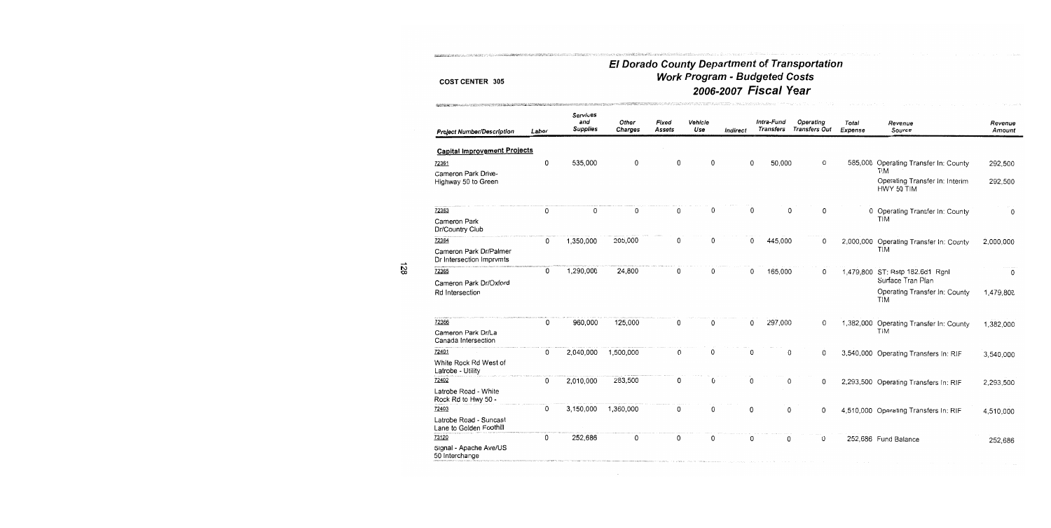PERSONAL MARK GUN DE TEMPORT LE LA REGIMIE ANNEMATICAMENTE LE PROPERT

SARASTI TARA LATA DELA 1989 DER SI GRANDE MARI ELEMBRATI ALTERITATU MULTI HOMI HARA BATA DE L'ATERITZAR

## El Dorado County Department of Transportation<br>Work Program - Budgeted Costs 2006-2007 Fiscal Year

| <b>Project Number/Description</b>                  | Labor | <b>Services</b><br>and<br><b>Supplies</b> | Other<br>Charges | Fixed<br>Assets | Vehicle<br>Use | Indirect | Intra-Fund<br>Transfers | Operating<br><b>Transfers Out</b> | Total<br>Expense | Revenue<br>Source                                          | Revenue<br>Amount |
|----------------------------------------------------|-------|-------------------------------------------|------------------|-----------------|----------------|----------|-------------------------|-----------------------------------|------------------|------------------------------------------------------------|-------------------|
| <b>Capital Improvement Projects</b>                |       |                                           |                  |                 |                |          |                         |                                   |                  |                                                            |                   |
| 72361                                              | 0     | 535,000                                   | 0                | 0               | 0              | 0        | 50,000                  | 0                                 | 585,000          | Operating Transfer In: County                              | 292,500           |
| Cameron Park Drive-<br>Highway 50 to Green         |       |                                           |                  |                 |                |          |                         |                                   |                  | <b>TIM</b><br>Operating Transfer In: Interim<br>HWY 50 TIM | 292,500           |
| 72363                                              | 0     | 0                                         | 0                | 0               | 0              |          | 0<br>0                  | 0                                 |                  | 0 Operating Transfer In: County                            | 0                 |
| Cameron Park<br>Dr/Country Club                    |       |                                           |                  |                 |                |          |                         |                                   |                  | <b>TIM</b>                                                 |                   |
| 72364                                              | 0     | 1,350,000                                 | 205,000          | 0               | 0              |          | 0<br>445,000            | 0                                 |                  | 2,000,000 Operating Transfer In: County                    | 2,000,000         |
| Cameron Park Dr/Palmer<br>Dr Intersection Imprymts |       |                                           |                  |                 |                |          |                         |                                   |                  | TIM                                                        |                   |
| 72365                                              | 0     | 1,290,000                                 | 24,800           | 0               | 0              | 0        | 165,000                 | 0                                 |                  | 1,479,800 ST: Rstp 182.6d1 Rgnl                            | 0                 |
| Cameron Park Dr/Oxford                             |       |                                           |                  |                 |                |          |                         |                                   |                  | Surface Tran Plan                                          |                   |
| Rd Intersection                                    |       |                                           |                  |                 |                |          |                         |                                   |                  | Operating Transfer In: County<br><b>TIM</b>                | 1,479,800         |
| 72366                                              | 0     | 960,000                                   | 125,000          | 0               | 0              |          | 0<br>297,000            | 0                                 |                  | 1,382,000 Operating Transfer In: County                    | 1,382,000         |
| Cameron Park Dr/La<br>Canada Intersection          |       |                                           |                  |                 |                |          |                         |                                   |                  | <b>TIM</b>                                                 |                   |
| 72401                                              | 0     | 2,040,000                                 | 1,500,000        | 0               | 0              | 0        | 0                       | 0                                 |                  | 3,540,000 Operating Transfers In: RIF                      | 3,540,000         |
| White Rock Rd West of<br>Latrobe - Utility         |       |                                           |                  |                 |                |          |                         |                                   |                  |                                                            |                   |
| 72402                                              | 0     | 2,010,000                                 | 283,500          | 0               | 0              | 0        | 0                       | 0                                 |                  | 2,293,500 Operating Transfers In: RIF                      | 2,293,500         |
| Latrobe Road - White<br>Rock Rd to Hwy 50 -        |       |                                           |                  |                 |                |          |                         |                                   |                  |                                                            |                   |
| 72403                                              | 0     | 3,150,000                                 | 1,360,000        | 0               | 0              | 0        | 0                       | 0                                 |                  | 4,510,000 Operating Transfers In: RIF                      | 4,510,000         |
| Latrobe Road - Suncast<br>Lane to Golden Foothill  |       |                                           |                  |                 |                |          |                         |                                   |                  |                                                            |                   |
| 73120                                              | 0     | 252,686                                   | 0                | 0               | 0              | 0        | 0                       | 0                                 |                  | 252,686 Fund Balance                                       | 252,686           |
| Signal - Apache Ave/US<br>50 Interchange           |       |                                           |                  |                 |                |          |                         |                                   |                  |                                                            |                   |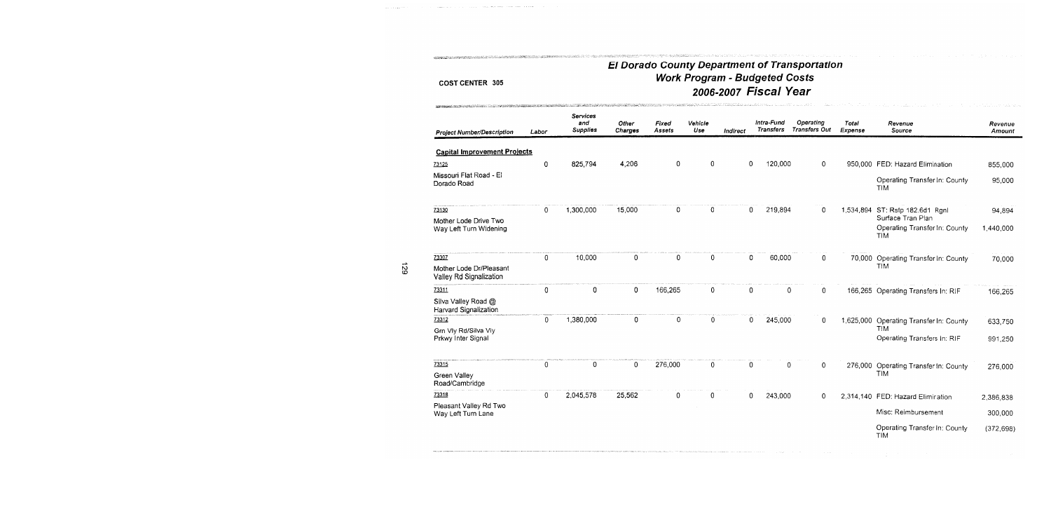and a contract of the complete state of the contract of the contract of the contract of the contract of the contract of the contract of the contract of the contract of the contract of the contract of the contract of the co

<u>Participate commence of the control of the commentation of the commentation of the commentation of the commentation of the commentation of the commentation of the commentation of the commentation of the commentation of th</u>

media and contents and content of the form of the state of the state of the state of the state of the state of

## El Dorado County Department of Transportation<br>Work Program - Budgeted Costs 2006-2007 Fiscal Year

| <b>Project Number/Description</b>                   | Labor       | Services<br>and<br><b>Supplies</b> | Other<br>Charges | Fixed<br>Assets | Vehicle<br>Use | Indirect | Intra-Fund<br>Transfers | Operating<br><b>Transfers Out</b> | Total<br>Expense | Revenue<br>Source                                                | Revenue<br>Amount |
|-----------------------------------------------------|-------------|------------------------------------|------------------|-----------------|----------------|----------|-------------------------|-----------------------------------|------------------|------------------------------------------------------------------|-------------------|
| <b>Capital Improvement Projects</b>                 |             |                                    |                  |                 |                |          |                         |                                   |                  |                                                                  |                   |
| 73125                                               | 0           | 825.794                            | 4,206            | 0               | 0              | 0        | 120,000                 | $\mathbf 0$                       |                  | 950,000 FED: Hazard Elimination                                  | 855,000           |
| Missouri Flat Road - El<br>Dorado Road              |             |                                    |                  |                 |                |          |                         |                                   |                  | Operating Transfer In: County<br><b>TIM</b>                      | 95,000            |
| 73130                                               | $\Omega$    | 1,300,000                          | 15,000           | 0               | 0              |          | 219,894<br>$\mathbf{0}$ | 0                                 |                  | 1,534,894 ST: Rstp 182.6d1 Rgnl                                  | 94,894            |
| Mother Lode Drive Two<br>Way Left Turn Widening     |             |                                    |                  |                 |                |          |                         |                                   |                  | Surface Tran Plan<br>Operating Transfer In: County<br><b>TIM</b> | 1,440,000         |
| 73307                                               | $\mathbf 0$ | 10,000                             | 0                | $\mathbf 0$     | $\mathbf 0$    |          | 0<br>60,000             | 0                                 |                  | 70,000 Operating Transfer In: County                             | 70,000            |
| Mother Lode Dr/Pleasant<br>Valley Rd Signalization  |             |                                    |                  |                 |                |          |                         |                                   |                  | <b>TIM</b>                                                       |                   |
| 73311                                               | 0           | 0                                  | 0                | 166,265         | 0              |          | 0                       | 0<br>0                            | 166,265          | Operating Transfers In: RIF                                      | 166,265           |
| Silva Valley Road @<br><b>Harvard Signalization</b> |             |                                    |                  |                 |                |          |                         |                                   |                  |                                                                  |                   |
| 73312                                               | 0           | 1,380,000                          | 0                | 0               | 0              |          | 0<br>245,000            | 0                                 |                  | 1,625,000 Operating Transfer In: County                          | 633,750           |
| Grn Vly Rd/Silva Vly<br>Prkwy Inter Signal          |             |                                    |                  |                 |                |          |                         |                                   |                  | <b>TIM</b><br>Operating Transfers In: RIF                        | 991,250           |
| 73315                                               | 0           | 0                                  | $\mathbf{0}$     | 276,000         | $\Omega$       |          | 0                       | 0<br>0                            | 276,000          | Operating Transfer In: County                                    | 276,000           |
| Green Valley<br>Road/Cambridge                      |             |                                    |                  |                 |                |          |                         |                                   |                  | <b>TIM</b>                                                       |                   |
| 73318                                               | $\mathbf 0$ | 2,045,578                          | 25,562           | 0               | 0              |          | 0<br>243,000            | 0                                 |                  | 2,314,140 FED: Hazard Elimination                                | 2,386,838         |
| Pleasant Valley Rd Two<br>Way Left Turn Lane        |             |                                    |                  |                 |                |          |                         |                                   |                  | Misc: Reimbursement                                              | 300,000           |
|                                                     |             |                                    |                  |                 |                |          |                         |                                   |                  | Operating Transfer In: County<br><b>TIM</b>                      | (372, 698)        |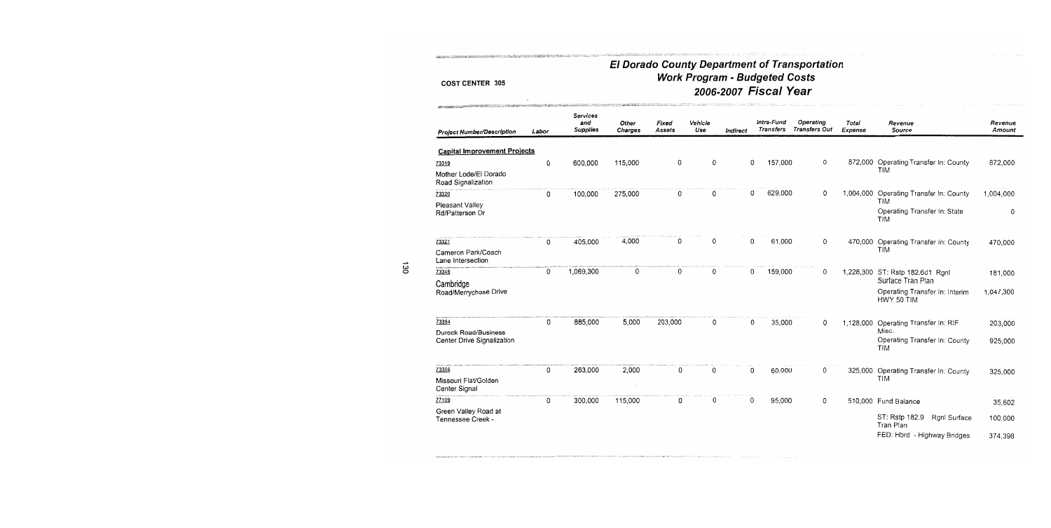**Station of Mexican Bright of** 

## El Dorado County Department of Transportation<br>Work Program - Budgeted Costs 2006-2007 Fiscal Year

| <b>Project Number/Description</b>           | Labor | <b>Services</b><br>and<br><b>Supplies</b> | Other<br>Charges | Fixed<br><b>Assets</b> | Vehicle<br>Use | Indirect |   | Intra-Fund<br><b>Transfers</b> | Operating<br><b>Transfers Out</b> | Total<br>Expense | Revenue<br>Source                                    | Revenue<br>Amount |
|---------------------------------------------|-------|-------------------------------------------|------------------|------------------------|----------------|----------|---|--------------------------------|-----------------------------------|------------------|------------------------------------------------------|-------------------|
| <b>Capital Improvement Projects</b>         |       |                                           |                  |                        |                |          |   |                                |                                   |                  |                                                      |                   |
| 73319                                       | 0     | 600,000                                   | 115,000          | 0                      | 0              |          | 0 | 157,000                        | 0                                 |                  | 872,000 Operating Transfer In: County                | 872,000           |
| Mother Lode/El Dorado<br>Road Signalization |       |                                           |                  |                        |                |          |   |                                |                                   |                  | <b>TIM</b>                                           |                   |
| 73320                                       | 0     | 100,000                                   | 275,000          | 0                      | 0              |          | 0 | 629,000                        | 0                                 | 1,004,000        | Operating Transfer In: County                        | 1,004,000         |
| Pleasant Valley                             |       |                                           |                  |                        |                |          |   |                                |                                   |                  | <b>TIM</b>                                           |                   |
| Rd/Patterson Dr                             |       |                                           |                  |                        |                |          |   |                                |                                   |                  | Operating Transfer In: State<br><b>TIM</b>           | 0                 |
| 73321                                       | 0     | 405,000                                   | 4,000            | 0                      | 0              |          | 0 | 61,000                         | 0                                 | 470,000          | Operating Transfer In: County                        | 470,000           |
| Cameron Park/Coach<br>Lane Intersection     |       |                                           |                  |                        |                |          |   |                                |                                   |                  | <b>TIM</b>                                           |                   |
| 73345<br>Cambridge                          | 0     | 1,069,300                                 | 0                | 0                      | 0              |          | 0 | 159,000                        | 0                                 |                  | 1,228,300 ST: Rstp 182.6d1 Rgnl<br>Surface Tran Plan | 181,000           |
| Road/Merrychase Drive                       |       |                                           |                  |                        |                |          |   |                                |                                   |                  | Operating Transfer In: Interim<br>HWY 50 TIM         | 1,047,300         |
| 73354                                       | 0     | 885,000                                   | 5,000            | 203,000                | 0              |          | 0 | 35,000                         | 0                                 | 1,128,000        | Operating Transfer In: RIF                           | 203,000           |
| <b>Durock Road/Business</b>                 |       |                                           |                  |                        |                |          |   |                                |                                   |                  | Misc.                                                |                   |
| Center Drive Signalization                  |       |                                           |                  |                        |                |          |   |                                |                                   |                  | Operating Transfer In: County<br><b>TIM</b>          | 925,000           |
| 73356                                       | 0     | 263,000                                   | 2,000            | 0                      | 0              |          | 0 | 60,000                         | 0                                 | 325,000          | Operating Transfer In: County                        | 325,000           |
| Missouri Flat/Golden<br>Center Signal       |       |                                           |                  |                        |                |          |   |                                |                                   |                  | TIM                                                  |                   |
| 77109                                       | 0     | 300,000                                   | 115,000          | 0                      | 0              |          | 0 | 95,000                         | 0                                 |                  | 510,000 Fund Balance                                 | 35,602            |
| Green Valley Road at                        |       |                                           |                  |                        |                |          |   |                                |                                   |                  |                                                      |                   |
| Tennessee Creek -                           |       |                                           |                  |                        |                |          |   |                                |                                   |                  | ST: Rstp 182.9<br>Rgnl Surface<br>Tran Plan          | 100,000           |
|                                             |       |                                           |                  |                        |                |          |   |                                |                                   |                  | FED: Hbrd - Highway Bridges                          | 374,398           |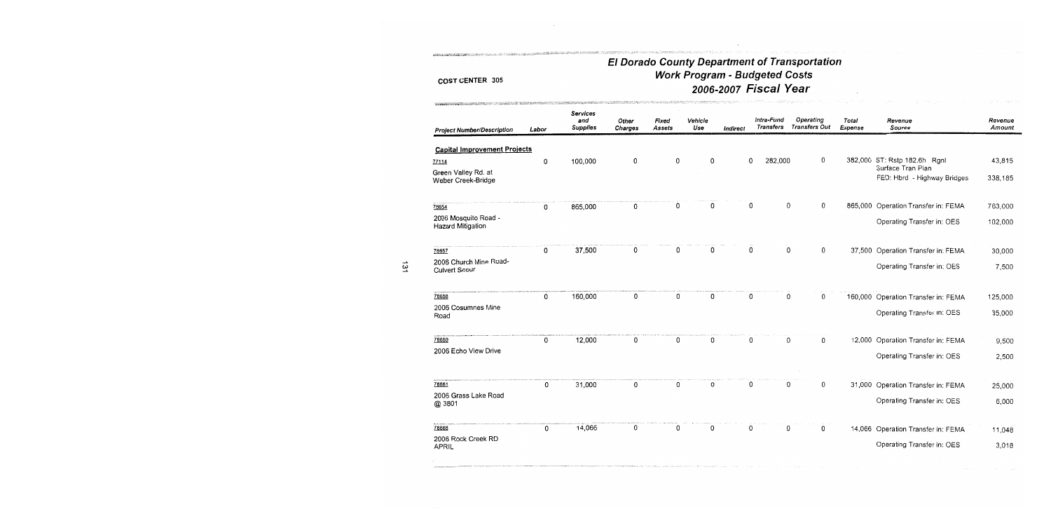NING A COMMUNIST COMMUNIST AND DESCRIPTION OF A CONTRACT OF A CONTRACT OF A CONTRACT OF A CONTRACT OF A CONTRACT OF A CONTRACT OF A CONTRACT OF A CONTRACT OF A CONTRACT OF A CONTRACT OF A CONTRACT OF A CONTRACT OF A CONTRA

.<br>Montucin coversports and the COW

.<br>2002 - 2014 - 2014 - 2014 - 2015 - 2016 - 2017 - 2018 - 2019 - 2019 - 2019 - 2019 - 2019 - 2019 - 2019 - 2019<br>2019 - 2019 - 2019 - 2019 - 2019 - 2019 - 2019 - 2019 - 2019 - 2019 - 2019 - 2019 - 2019 - 2019 - 2019 - 2019

## El Dorado County Department of Transportation Work Program - Budgeted Costs 2006-2007 Fiscal Year

| <b>Project Number/Description</b>              | Labor | <b>Services</b><br>and<br><b>Supplies</b> | Other<br>Charges | Fixed<br>Assets | Vehicle<br>Use | Indirect | Intra-Fund<br><b>Transfers</b> | Operating<br><b>Transfers Out</b> | Total<br>Expense | Revenue<br>Source                                | Revenue<br>Amount |
|------------------------------------------------|-------|-------------------------------------------|------------------|-----------------|----------------|----------|--------------------------------|-----------------------------------|------------------|--------------------------------------------------|-------------------|
| <b>Capital Improvement Projects</b>            |       |                                           |                  |                 |                |          |                                |                                   |                  |                                                  |                   |
| 77114                                          | 0     | 100,000                                   | 0                | 0               | 0              |          | 0<br>282,000                   |                                   | 0                | 382,000 ST: Rstp 182.6h Rgnl                     | 43,815            |
| Green Valley Rd. at<br>Weber Creek-Bridge      |       |                                           |                  |                 |                |          |                                |                                   |                  | Surface Tran Plan<br>FED: Hbrd - Highway Bridges | 338,185           |
| 78654                                          | 0     | 865,000                                   | 0                | 0               | 0              |          | 0                              | 0                                 | 0                | 865,000 Operation Transfer in: FEMA              | 763,000           |
| 2006 Mosquito Road -<br>Hazard Mitigation      |       |                                           |                  |                 |                |          |                                |                                   |                  | Operating Transfer in: OES                       | 102,000           |
| 78657                                          | 0     | 37,500                                    | 0                | 0               | 0              |          | 0                              | 0                                 | 0                | 37,500 Operation Transfer in: FEMA               | 30,000            |
| 2006 Church Mine Road-<br><b>Culvert Scour</b> |       |                                           |                  |                 |                |          |                                |                                   |                  | Operating Transfer in: OES                       | 7,500             |
| 78658                                          | 0     | 160,000                                   | 0                | 0               | 0              |          | 0                              | 0                                 | 0                | 160,000 Operation Transfer in: FEMA              | 125,000           |
| 2006 Cosumnes Mine<br>Road                     |       |                                           |                  |                 |                |          |                                |                                   |                  | Operating Transfer in: OES                       | 35,000            |
| 78659                                          | 0     | 12,000                                    | 0                | 0               | 0              |          | 0                              | 0                                 | 0                | 12,000 Operation Transfer in: FEMA               | 9,500             |
| 2006 Echo View Drive                           |       |                                           |                  |                 |                |          |                                |                                   |                  | Operating Transfer in: OES                       | 2,500             |
| 78661                                          | 0     | 31,000                                    | 0                | 0               | 0              |          | 0                              | 0                                 | 0                | 31,000 Operation Transfer in: FEMA               | 25,000            |
| 2006 Grass Lake Road<br>@ 3801                 |       |                                           |                  |                 |                |          |                                |                                   |                  | Operating Transfer in: OES                       | 6,000             |
| 78668                                          | 0     | 14,066                                    | 0                | 0               | 0              |          | 0                              | 0                                 | 0                | 14,066 Operation Transfer in: FEMA               | 11,048            |
| 2006 Rock Creek RD<br><b>APRIL</b>             |       |                                           |                  |                 |                |          |                                |                                   |                  | Operating Transfer in: OES                       | 3,018             |
|                                                |       |                                           |                  |                 |                |          |                                |                                   |                  |                                                  |                   |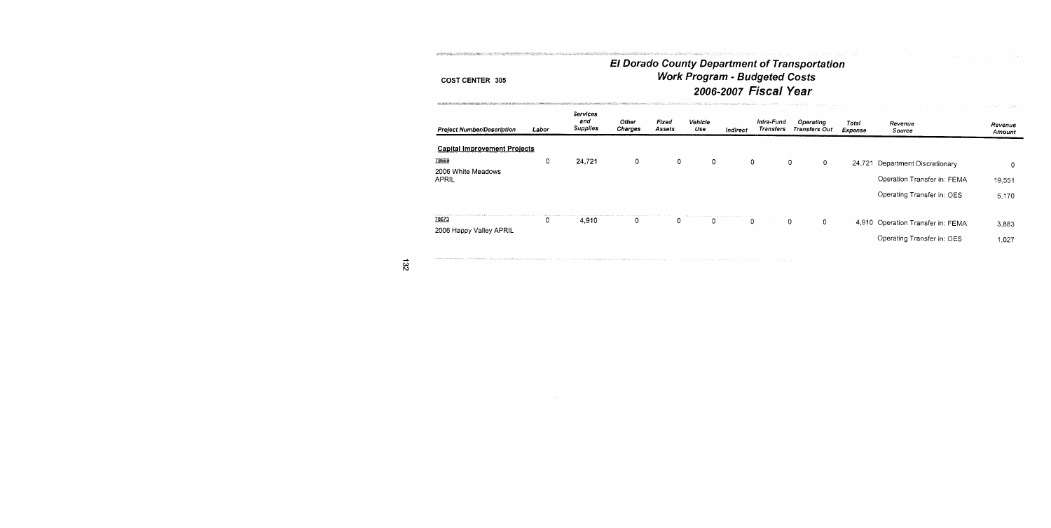。<br>1992年1月20日にお店内を全て利用したことにおように、この中でも、この中でも、その中でも、その中でも、この中でも、この中でも、この中でも、この中でも、この中で、この中で、この中で、この中で、この中で、この中で、この中で

SPREETROM ROBERTSTRIKKE ANDER

## **El Dorado County Department of Transportation Work Program - Budgeted Costs** 2006-2007 Fiscal Year

| Labor                               | Services<br>and<br>Supplies | Other<br>Charges | Fixed<br>Assets | Vehicle<br>Use | Indirect | Intra-Fund<br>Transfers | Operating<br><b>Transfers Out</b> | Total<br>Expense | Revenue<br>Source           | Revenue<br>Amount                                                                                  |
|-------------------------------------|-----------------------------|------------------|-----------------|----------------|----------|-------------------------|-----------------------------------|------------------|-----------------------------|----------------------------------------------------------------------------------------------------|
| <b>Capital Improvement Projects</b> |                             |                  |                 |                |          |                         |                                   |                  |                             |                                                                                                    |
|                                     |                             |                  |                 |                |          |                         |                                   |                  |                             | 0                                                                                                  |
|                                     |                             |                  |                 |                |          |                         |                                   |                  | Operation Transfer in: FEMA | 19,551                                                                                             |
|                                     |                             |                  |                 |                |          |                         |                                   |                  | Operating Transfer in: OES  | 5,170                                                                                              |
| υ                                   | 4.910                       | 0                | 0               | 0              |          |                         | 0                                 |                  |                             | 3,883                                                                                              |
|                                     |                             |                  |                 |                |          |                         |                                   |                  |                             | 1,027                                                                                              |
|                                     | 0                           | 24,721           | $\circ$         | 0              | 0        |                         | 0<br>0                            | 0<br>0<br>0      |                             | 24,721 Department Discretionary<br>4,910 Operation Transfer in: FEMA<br>Operating Transfer in: OES |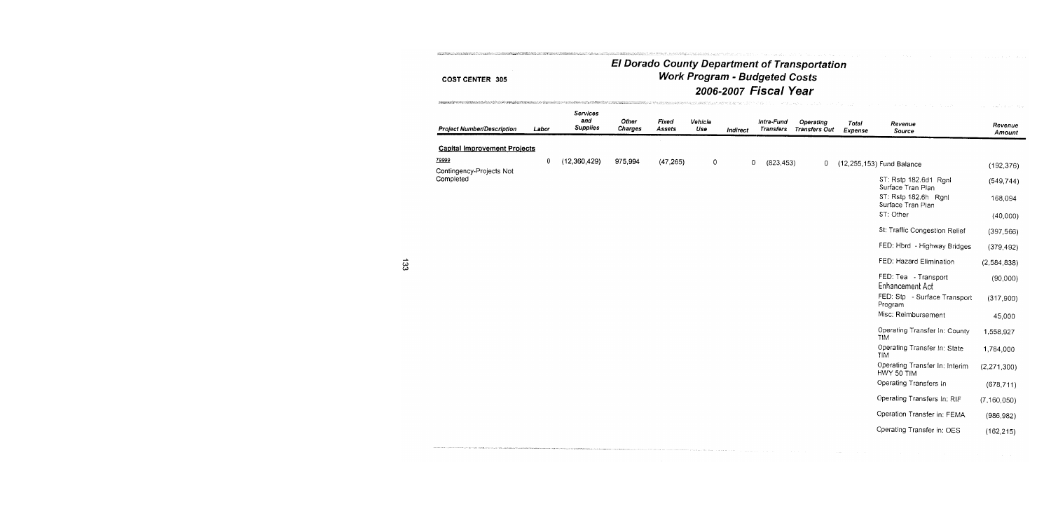Australian Park

**REPORTERS** 

#### **Services** and Other Fixed Vehicle Intra-Fund **Operating** Total Revenue Revenue **Supplies Project Number/Description** Labor Charges **Assets** Use **Transfers** Transfers Out Indirect Expense Source Amount **Capital Improvement Projects** 79999  $(12,360,429)$ 0 975.994  $(47, 265)$  $\Omega$  $\overline{0}$  $(823, 453)$  $\mathbf{0}$ (12,255,153) Fund Balance  $(192, 376)$ Contingency-Projects Not Completed ST: Rstp 182.6d1 Rgnl  $(549, 744)$ Surface Tran Plan ST: Rstp 182.6h Ronl 168,094 Surface Tran Plan ST: Other  $(40,000)$ St: Traffic Congestion Relief  $(397, 566)$ FED: Hbrd - Highway Bridges  $(379, 492)$ FED: Hazard Elimination  $(2, 584, 838)$ FED: Tea - Transport  $(90,000)$ Enhancement Act FED: Stp - Surface Transport  $(317,900)$ Program Misc: Reimbursement 45,000 Operating Transfer In: County 1,558,927 **TIM** Operating Transfer In: State 1,784,000 TIM Operating Transfer In: Interim  $(2, 271, 300)$ HWY 50 TIM Operating Transfers In  $(678, 711)$ Operating Transfers In: RIF  $(7, 160, 050)$ Operation Transfer in: FEMA  $(986, 982)$ Operating Transfer in: OES  $(162, 215)$

.<br>International component contract the composition of the contract of the contract of the contract of the contra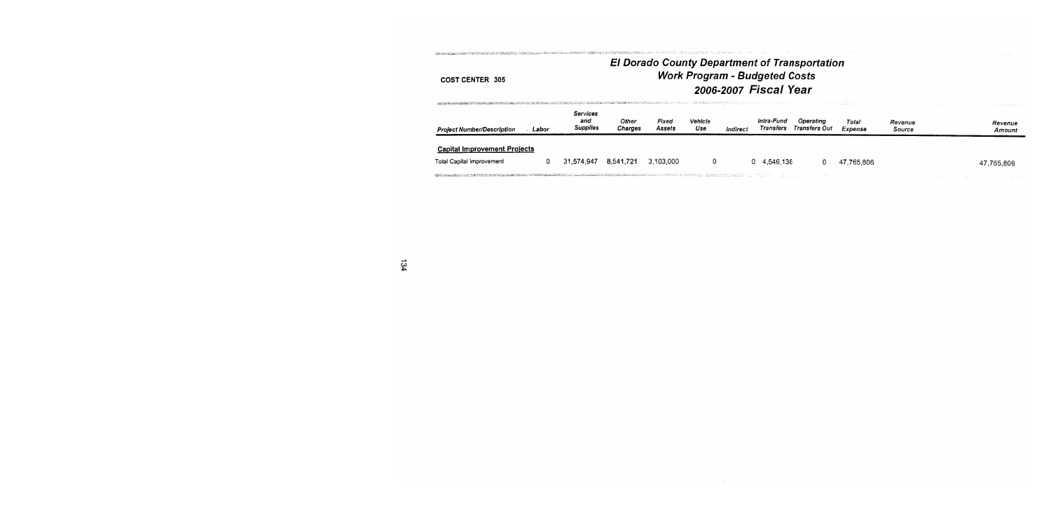| Project Number/Description          | Labor | <b>Services</b><br>and<br><b>Supplies</b> | Other<br>Charges | Fixed<br>Assets | Vehicle<br>Use | Indirect | Intra-Fund<br>Transfers | Operating<br>Transfers Out | Total<br>Expense | Revenue<br>Source | Revenue<br>Amount |
|-------------------------------------|-------|-------------------------------------------|------------------|-----------------|----------------|----------|-------------------------|----------------------------|------------------|-------------------|-------------------|
| <b>Capital Improvement Projects</b> |       |                                           |                  |                 |                |          |                         |                            |                  |                   |                   |
| <b>Total Capital Improvement</b>    | D.    | 31.574.947                                | 8,541,721        | 3,103,000       |                |          | 0 4,546,138             |                            | 47.765.806       |                   | 47,765,806        |

 $\label{thm:main} \begin{minipage}[t]{0.9\textwidth} \begin{minipage}[t]{0.9\textwidth} \begin{itemize} \color{blue}{\textbf{1}} \hspace*{1.5mm} \textbf{1} \hspace*{1.5mm} \textbf{1} \hspace*{1.5mm} \textbf{1} \hspace*{1.5mm} \textbf{1} \hspace*{1.5mm} \textbf{1} \hspace*{1.5mm} \textbf{1} \hspace*{1.5mm} \textbf{1} \hspace*{1.5mm} \textbf{1} \hspace*{1.5mm} \textbf{1} \hspace*{1.5mm} \textbf{1} \hspace$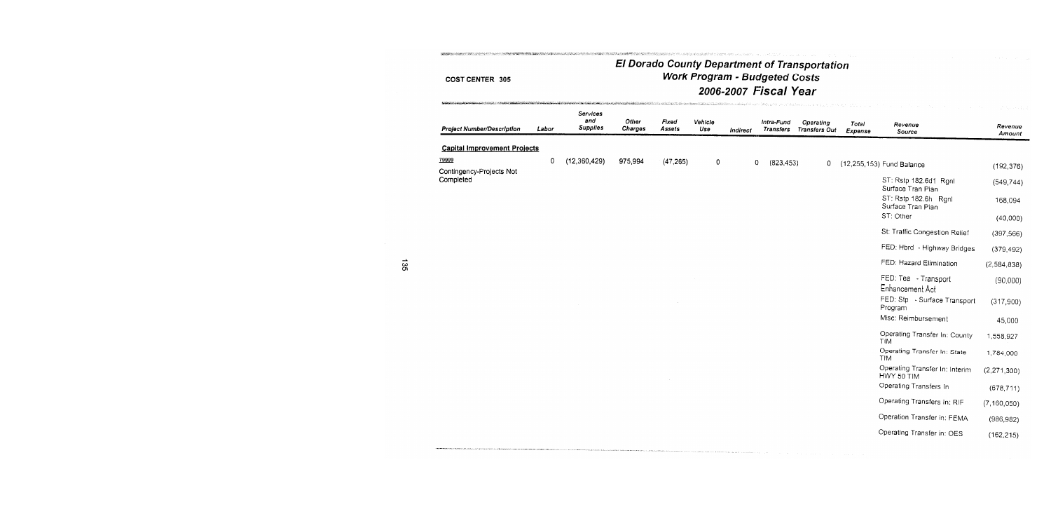## **El Dorado County Department of Transportation** Work Program - Budgeted Costs 2006-2007 Fiscal Year **「おいまだ」ということを、このことを、このことを、このことを、このことを、このことを、このことを、このことを、このことに、このことに、このことを、このことを、この**ことを、このことを、このことに、このことに、このことに、このことに、このこのこのことに、このことに、このことに、このことに、このことに、このことに、このことに、このことに、このことに、このことに、このことに、このことに、このことに、このことに、このことに、このことに、この

.<br>INSTRUCTIONS CONTINUES ON THE CONTINUES IN THE CONTINUES OF THE CONTINUES OF MINIMUM IN THE CONTRACT OF THE MI

| <b>Project Number/Description</b>     | Labor | Services<br>and<br><b>Supplies</b> | Other<br>Charges | Fixed<br>Assets | Vehicle<br>Use | Indirect | Intra-Fund<br>Transfers |            | Operating<br><b>Transfers Out</b> | Total<br>Expense | Revenue<br>Source                            | Revenue<br>Amount |
|---------------------------------------|-------|------------------------------------|------------------|-----------------|----------------|----------|-------------------------|------------|-----------------------------------|------------------|----------------------------------------------|-------------------|
| <b>Capital Improvement Projects</b>   |       |                                    |                  |                 |                |          |                         |            |                                   |                  |                                              |                   |
| 79999                                 | 0     | (12,360,429)                       | 975,994          | (47, 265)       | 0              |          | 0                       | (823, 453) | 0                                 |                  | (12,255,153) Fund Balance                    | (192, 376)        |
| Contingency-Projects Not<br>Completed |       |                                    |                  |                 |                |          |                         |            |                                   |                  | ST: Rstp 182.6d1 Rgnl<br>Surface Tran Plan   | (549, 744)        |
|                                       |       |                                    |                  |                 |                |          |                         |            |                                   |                  | ST: Rstp 182.6h Rgnl<br>Surface Tran Plan    | 168,094           |
|                                       |       |                                    |                  |                 |                |          |                         |            |                                   |                  | ST: Other                                    | (40,000)          |
|                                       |       |                                    |                  |                 |                |          |                         |            |                                   |                  | St: Traffic Congestion Relief                | (397, 566)        |
|                                       |       |                                    |                  |                 |                |          |                         |            |                                   |                  | FED: Hbrd - Highway Bridges                  | (379, 492)        |
|                                       |       |                                    |                  |                 |                |          |                         |            |                                   |                  | FED: Hazard Elimination                      | (2,584,838)       |
|                                       |       |                                    |                  |                 |                |          |                         |            |                                   |                  | FED: Tea - Transport<br>Enhancement Act      | (90,000)          |
|                                       |       |                                    |                  |                 |                |          |                         |            |                                   |                  | FED: Stp - Surface Transport<br>Program      | (317,900)         |
|                                       |       |                                    |                  |                 |                |          |                         |            |                                   |                  | Misc: Reimbursement                          | 45,000            |
|                                       |       |                                    |                  |                 |                |          |                         |            |                                   |                  | Operating Transfer In: County<br><b>TIM</b>  | 1,558,927         |
|                                       |       |                                    |                  |                 |                |          |                         |            |                                   |                  | Operating Transfer In: State<br><b>TIM</b>   | 1,784,000         |
|                                       |       |                                    |                  |                 |                |          |                         |            |                                   |                  | Operating Transfer In: Interim<br>HWY 50 TIM | (2, 271, 300)     |
|                                       |       |                                    |                  |                 |                |          |                         |            |                                   |                  | Operating Transfers In                       | (678, 711)        |
|                                       |       |                                    |                  |                 |                |          |                         |            |                                   |                  | Operating Transfers In: RIF                  | (7, 160, 050)     |
|                                       |       |                                    |                  |                 |                |          |                         |            |                                   |                  | Operation Transfer in: FEMA                  | (986, 982)        |
|                                       |       |                                    |                  |                 |                |          |                         |            |                                   |                  | Operating Transfer in: OES                   | (162.215)         |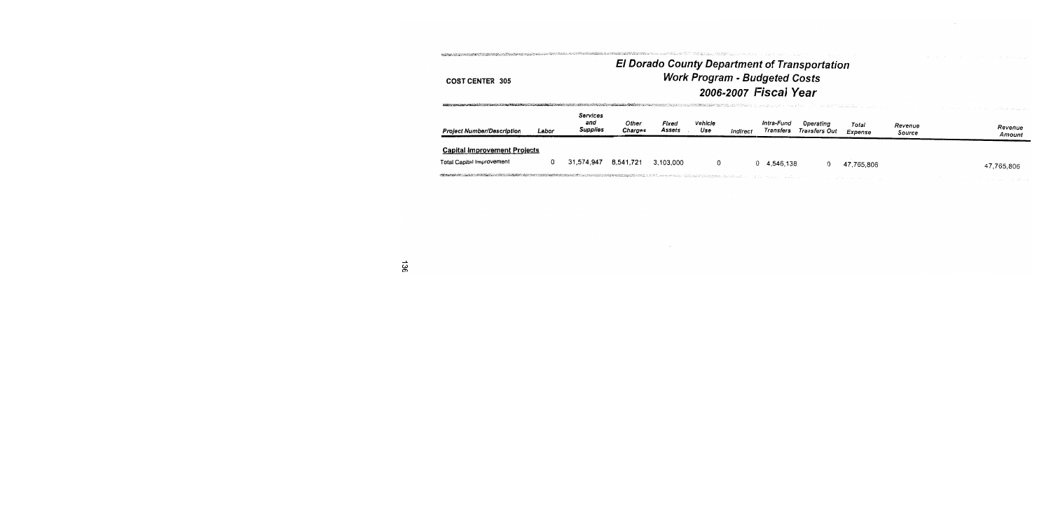ES CRETE EN LA CERA EN 1982 EN LA CALIF

## El Dorado County Department of Transportation<br>Work Program - Budgeted Costs 2006-2007 Fiscal Year

| <b>Project Number/Description</b>   | Labor | Services<br>and<br>Supplies | Other<br>Charges | Fixed<br>Assets | Vehicle<br>Use | Indirect | Intra-Fund<br>Transfers | Operating<br>Transfers Out | Total<br>Expense | Revenue<br>Source | Revenue<br>Amount |
|-------------------------------------|-------|-----------------------------|------------------|-----------------|----------------|----------|-------------------------|----------------------------|------------------|-------------------|-------------------|
| <b>Capital Improvement Projects</b> |       |                             |                  |                 |                |          |                         |                            |                  |                   |                   |
| Total Capital Improvement           |       | 31.574.947                  | 8,541,721        | 3,103,000       | 0              |          | 0 4.546.138             | 0                          | 47.765.806       |                   | 47,765,806        |
|                                     |       |                             |                  |                 |                |          |                         |                            |                  |                   |                   |